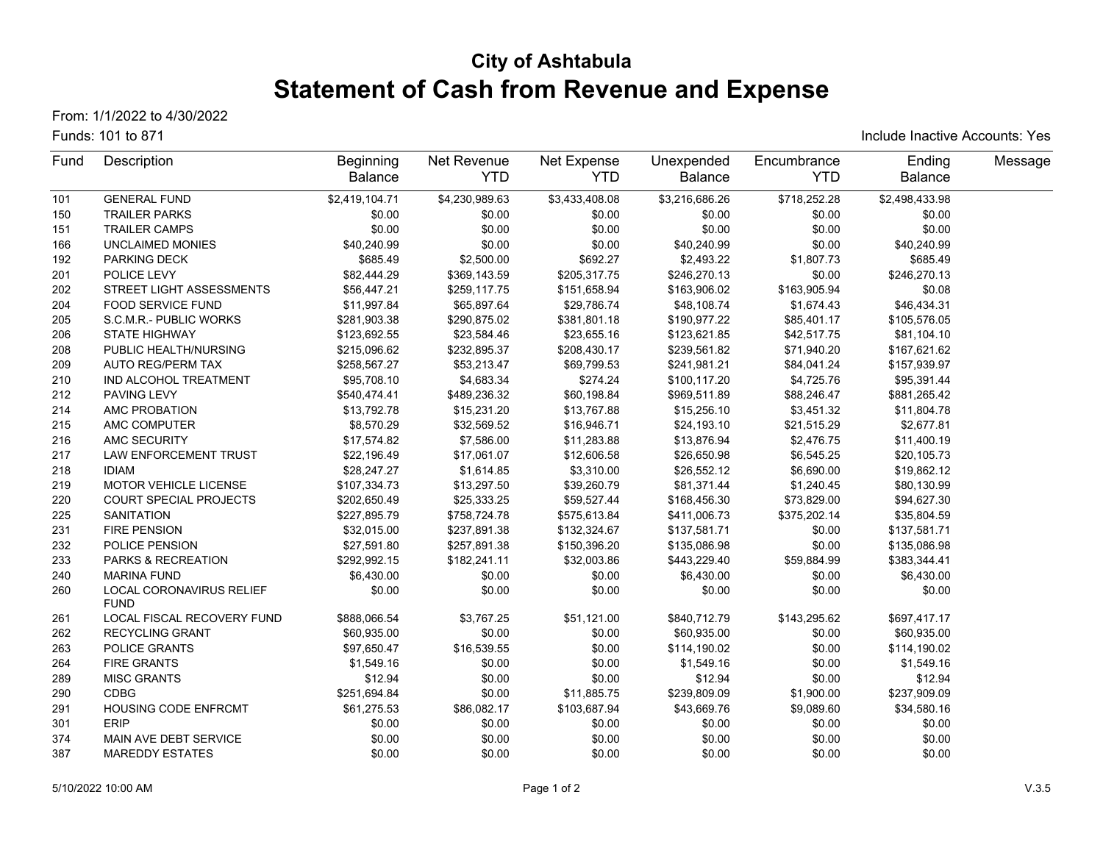# **City of Ashtabula Statement of Cash from Revenue and Expense**

From: 1/1/2022 to 4/30/2022

#### Funds: 101 to 871

Include Inactive Accounts: Yes

| Fund | Description                             | <b>Beginning</b> | Net Revenue    | Net Expense    | Unexpended     | Encumbrance  | Ending         | Message |
|------|-----------------------------------------|------------------|----------------|----------------|----------------|--------------|----------------|---------|
|      |                                         | Balance          | <b>YTD</b>     | <b>YTD</b>     | <b>Balance</b> | <b>YTD</b>   | Balance        |         |
| 101  | <b>GENERAL FUND</b>                     | \$2,419,104.71   | \$4,230,989.63 | \$3,433,408.08 | \$3,216,686.26 | \$718,252.28 | \$2,498,433.98 |         |
| 150  | <b>TRAILER PARKS</b>                    | \$0.00           | \$0.00         | \$0.00         | \$0.00         | \$0.00       | \$0.00         |         |
| 151  | <b>TRAILER CAMPS</b>                    | \$0.00           | \$0.00         | \$0.00         | \$0.00         | \$0.00       | \$0.00         |         |
| 166  | <b>UNCLAIMED MONIES</b>                 | \$40,240.99      | \$0.00         | \$0.00         | \$40,240.99    | \$0.00       | \$40,240.99    |         |
| 192  | PARKING DECK                            | \$685.49         | \$2,500.00     | \$692.27       | \$2,493.22     | \$1,807.73   | \$685.49       |         |
| 201  | POLICE LEVY                             | \$82,444.29      | \$369,143.59   | \$205,317.75   | \$246,270.13   | \$0.00       | \$246,270.13   |         |
| 202  | STREET LIGHT ASSESSMENTS                | \$56,447.21      | \$259,117.75   | \$151,658.94   | \$163,906.02   | \$163,905.94 | \$0.08         |         |
| 204  | <b>FOOD SERVICE FUND</b>                | \$11,997.84      | \$65,897.64    | \$29,786.74    | \$48,108.74    | \$1,674.43   | \$46,434.31    |         |
| 205  | S.C.M.R.- PUBLIC WORKS                  | \$281,903.38     | \$290,875.02   | \$381,801.18   | \$190,977.22   | \$85,401.17  | \$105,576.05   |         |
| 206  | STATE HIGHWAY                           | \$123,692.55     | \$23,584.46    | \$23,655.16    | \$123,621.85   | \$42,517.75  | \$81,104.10    |         |
| 208  | PUBLIC HEALTH/NURSING                   | \$215,096.62     | \$232,895.37   | \$208,430.17   | \$239,561.82   | \$71,940.20  | \$167,621.62   |         |
| 209  | <b>AUTO REG/PERM TAX</b>                | \$258,567.27     | \$53,213.47    | \$69,799.53    | \$241,981.21   | \$84,041.24  | \$157,939.97   |         |
| 210  | IND ALCOHOL TREATMENT                   | \$95,708.10      | \$4,683.34     | \$274.24       | \$100,117.20   | \$4,725.76   | \$95,391.44    |         |
| 212  | PAVING LEVY                             | \$540,474.41     | \$489,236.32   | \$60,198.84    | \$969,511.89   | \$88,246.47  | \$881,265.42   |         |
| 214  | AMC PROBATION                           | \$13,792.78      | \$15,231.20    | \$13,767.88    | \$15,256.10    | \$3,451.32   | \$11,804.78    |         |
| 215  | AMC COMPUTER                            | \$8,570.29       | \$32,569.52    | \$16,946.71    | \$24,193.10    | \$21,515.29  | \$2,677.81     |         |
| 216  | AMC SECURITY                            | \$17,574.82      | \$7,586.00     | \$11,283.88    | \$13,876.94    | \$2,476.75   | \$11,400.19    |         |
| 217  | <b>LAW ENFORCEMENT TRUST</b>            | \$22,196.49      | \$17,061.07    | \$12,606.58    | \$26,650.98    | \$6,545.25   | \$20,105.73    |         |
| 218  | <b>IDIAM</b>                            | \$28,247.27      | \$1,614.85     | \$3,310.00     | \$26,552.12    | \$6,690.00   | \$19,862.12    |         |
| 219  | <b>MOTOR VEHICLE LICENSE</b>            | \$107,334.73     | \$13,297.50    | \$39,260.79    | \$81,371.44    | \$1,240.45   | \$80,130.99    |         |
| 220  | <b>COURT SPECIAL PROJECTS</b>           | \$202,650.49     | \$25,333.25    | \$59,527.44    | \$168,456.30   | \$73,829.00  | \$94,627.30    |         |
| 225  | <b>SANITATION</b>                       | \$227,895.79     | \$758,724.78   | \$575,613.84   | \$411,006.73   | \$375,202.14 | \$35,804.59    |         |
| 231  | <b>FIRE PENSION</b>                     | \$32,015.00      | \$237,891.38   | \$132,324.67   | \$137,581.71   | \$0.00       | \$137,581.71   |         |
| 232  | POLICE PENSION                          | \$27,591.80      | \$257,891.38   | \$150,396.20   | \$135,086.98   | \$0.00       | \$135,086.98   |         |
| 233  | PARKS & RECREATION                      | \$292,992.15     | \$182,241.11   | \$32,003.86    | \$443,229.40   | \$59,884.99  | \$383,344.41   |         |
| 240  | <b>MARINA FUND</b>                      | \$6,430.00       | \$0.00         | \$0.00         | \$6,430.00     | \$0.00       | \$6,430.00     |         |
| 260  | LOCAL CORONAVIRUS RELIEF<br><b>FUND</b> | \$0.00           | \$0.00         | \$0.00         | \$0.00         | \$0.00       | \$0.00         |         |
| 261  | LOCAL FISCAL RECOVERY FUND              | \$888,066.54     | \$3,767.25     | \$51,121.00    | \$840,712.79   | \$143,295.62 | \$697,417.17   |         |
| 262  | <b>RECYCLING GRANT</b>                  | \$60,935.00      | \$0.00         | \$0.00         | \$60,935.00    | \$0.00       | \$60,935.00    |         |
| 263  | POLICE GRANTS                           | \$97,650.47      | \$16,539.55    | \$0.00         | \$114,190.02   | \$0.00       | \$114,190.02   |         |
| 264  | <b>FIRE GRANTS</b>                      | \$1,549.16       | \$0.00         | \$0.00         | \$1,549.16     | \$0.00       | \$1,549.16     |         |
| 289  | <b>MISC GRANTS</b>                      | \$12.94          | \$0.00         | \$0.00         | \$12.94        | \$0.00       | \$12.94        |         |
| 290  | <b>CDBG</b>                             | \$251,694.84     | \$0.00         | \$11,885.75    | \$239,809.09   | \$1,900.00   | \$237,909.09   |         |
| 291  | <b>HOUSING CODE ENFRCMT</b>             | \$61,275.53      | \$86,082.17    | \$103,687.94   | \$43,669.76    | \$9,089.60   | \$34,580.16    |         |
| 301  | <b>ERIP</b>                             | \$0.00           | \$0.00         | \$0.00         | \$0.00         | \$0.00       | \$0.00         |         |
| 374  | MAIN AVE DEBT SERVICE                   | \$0.00           | \$0.00         | \$0.00         | \$0.00         | \$0.00       | \$0.00         |         |
| 387  | <b>MAREDDY ESTATES</b>                  | \$0.00           | \$0.00         | \$0.00         | \$0.00         | \$0.00       | \$0.00         |         |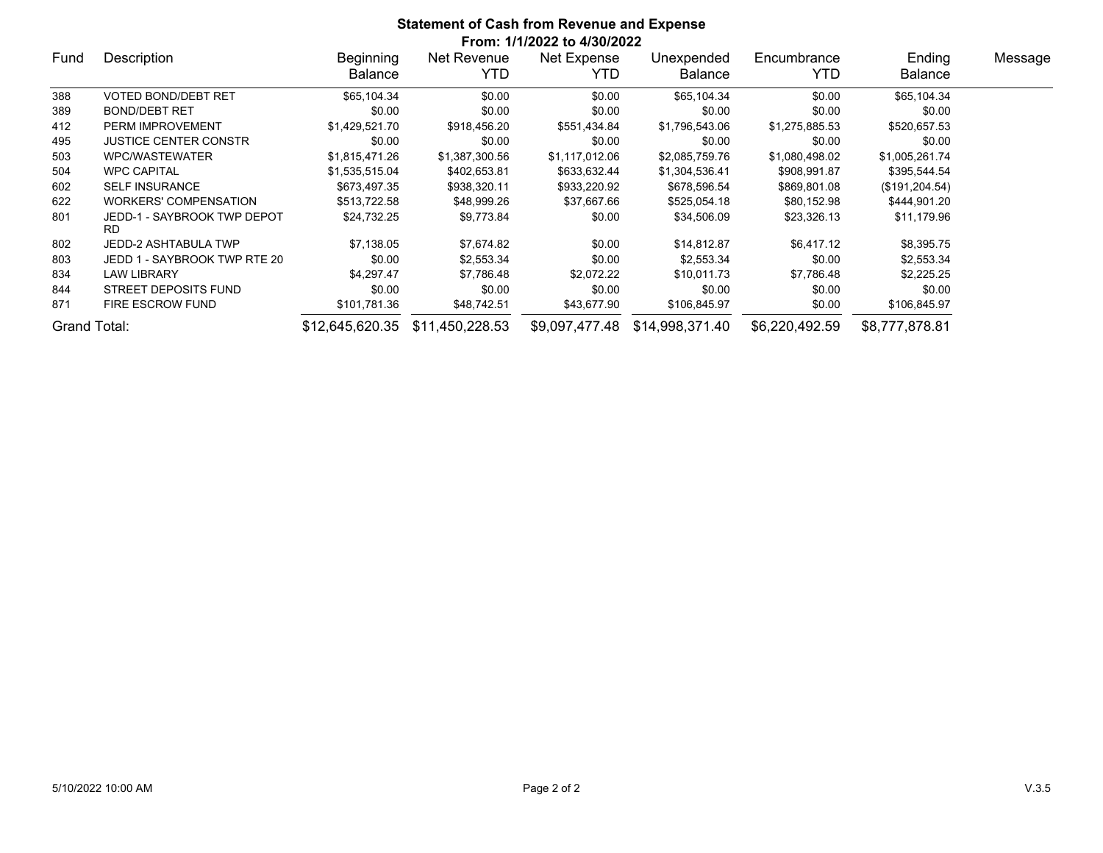| <b>Statement of Cash from Revenue and Expense</b><br>From: 1/1/2022 to 4/30/2022 |                                          |                             |                     |                     |                              |                    |                          |         |  |  |
|----------------------------------------------------------------------------------|------------------------------------------|-----------------------------|---------------------|---------------------|------------------------------|--------------------|--------------------------|---------|--|--|
| Fund                                                                             | Description                              | Beginning<br><b>Balance</b> | Net Revenue<br>YTD. | Net Expense<br>YTD. | Unexpended<br><b>Balance</b> | Encumbrance<br>YTD | Ending<br><b>Balance</b> | Message |  |  |
| 388                                                                              | VOTED BOND/DEBT RET                      | \$65,104.34                 | \$0.00              | \$0.00              | \$65,104.34                  | \$0.00             | \$65,104.34              |         |  |  |
| 389                                                                              | <b>BOND/DEBT RET</b>                     | \$0.00                      | \$0.00              | \$0.00              | \$0.00                       | \$0.00             | \$0.00                   |         |  |  |
| 412                                                                              | PERM IMPROVEMENT                         | \$1,429,521.70              | \$918,456.20        | \$551,434.84        | \$1,796,543.06               | \$1,275,885.53     | \$520,657.53             |         |  |  |
| 495                                                                              | <b>JUSTICE CENTER CONSTR</b>             | \$0.00                      | \$0.00              | \$0.00              | \$0.00                       | \$0.00             | \$0.00                   |         |  |  |
| 503                                                                              | WPC/WASTEWATER                           | \$1,815,471.26              | \$1,387,300.56      | \$1,117,012.06      | \$2,085,759.76               | \$1,080,498.02     | \$1,005,261.74           |         |  |  |
| 504                                                                              | <b>WPC CAPITAL</b>                       | \$1,535,515.04              | \$402,653.81        | \$633,632.44        | \$1,304,536.41               | \$908,991.87       | \$395,544.54             |         |  |  |
| 602                                                                              | <b>SELF INSURANCE</b>                    | \$673,497.35                | \$938,320.11        | \$933,220.92        | \$678,596.54                 | \$869,801.08       | (\$191, 204.54)          |         |  |  |
| 622                                                                              | <b>WORKERS' COMPENSATION</b>             | \$513,722.58                | \$48,999.26         | \$37,667.66         | \$525,054.18                 | \$80,152.98        | \$444,901.20             |         |  |  |
| 801                                                                              | JEDD-1 - SAYBROOK TWP DEPOT<br><b>RD</b> | \$24,732.25                 | \$9,773.84          | \$0.00              | \$34,506.09                  | \$23,326.13        | \$11,179.96              |         |  |  |
| 802                                                                              | JEDD-2 ASHTABULA TWP                     | \$7,138.05                  | \$7,674.82          | \$0.00              | \$14,812.87                  | \$6,417.12         | \$8,395.75               |         |  |  |
| 803                                                                              | JEDD 1 - SAYBROOK TWP RTE 20             | \$0.00                      | \$2,553.34          | \$0.00              | \$2,553.34                   | \$0.00             | \$2,553.34               |         |  |  |
| 834                                                                              | <b>LAW LIBRARY</b>                       | \$4,297.47                  | \$7,786.48          | \$2,072.22          | \$10,011.73                  | \$7,786.48         | \$2,225.25               |         |  |  |
| 844                                                                              | STREET DEPOSITS FUND                     | \$0.00                      | \$0.00              | \$0.00              | \$0.00                       | \$0.00             | \$0.00                   |         |  |  |
| 871                                                                              | <b>FIRE ESCROW FUND</b>                  | \$101,781.36                | \$48,742.51         | \$43,677.90         | \$106,845.97                 | \$0.00             | \$106,845.97             |         |  |  |
| Grand Total:                                                                     |                                          | \$12,645,620.35             | \$11,450,228.53     | \$9.097.477.48      | \$14,998,371.40              | \$6,220,492.59     | \$8,777,878.81           |         |  |  |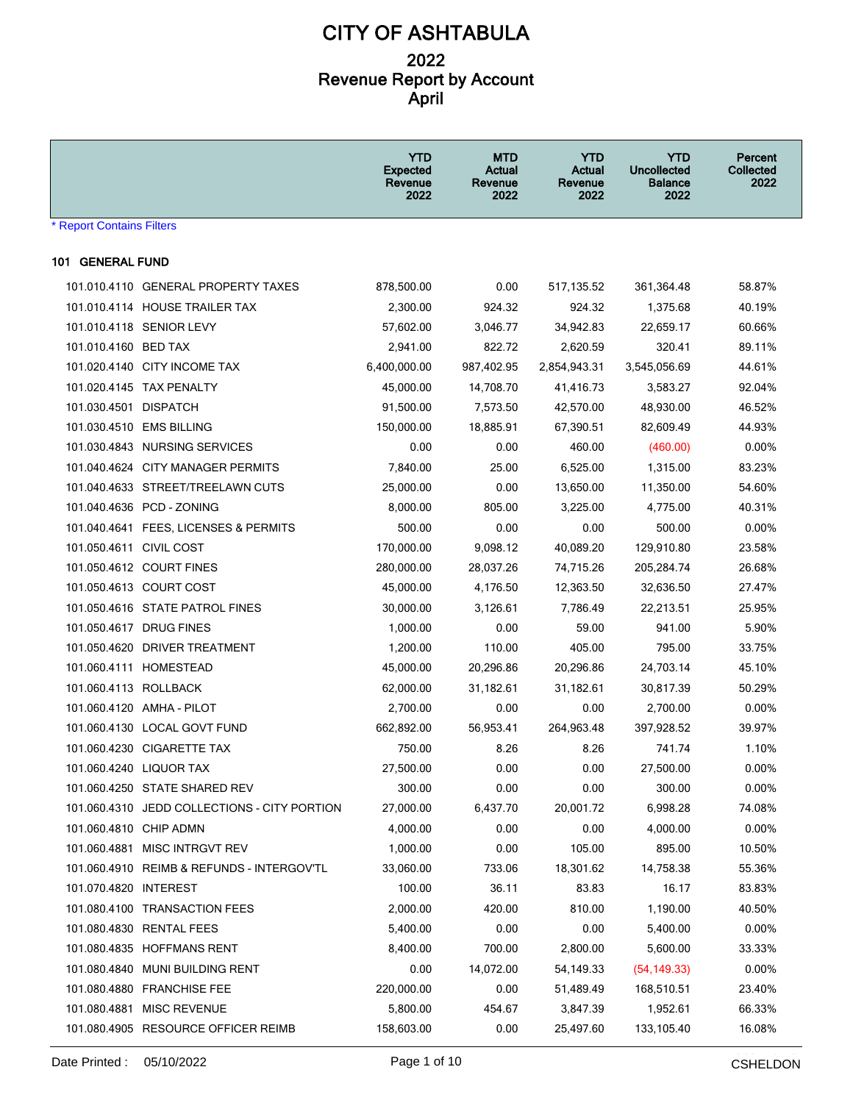|                           |                                              | <b>YTD</b><br><b>Expected</b><br>Revenue<br>2022 | <b>MTD</b><br>Actual<br>Revenue<br>2022 | <b>YTD</b><br><b>Actual</b><br>Revenue<br>2022 | <b>YTD</b><br><b>Uncollected</b><br><b>Balance</b><br>2022 | Percent<br>Collected<br>2022 |
|---------------------------|----------------------------------------------|--------------------------------------------------|-----------------------------------------|------------------------------------------------|------------------------------------------------------------|------------------------------|
| * Report Contains Filters |                                              |                                                  |                                         |                                                |                                                            |                              |
| 101 GENERAL FUND          |                                              |                                                  |                                         |                                                |                                                            |                              |
|                           | 101.010.4110 GENERAL PROPERTY TAXES          | 878,500.00                                       | 0.00                                    | 517, 135.52                                    | 361,364.48                                                 | 58.87%                       |
|                           | 101.010.4114 HOUSE TRAILER TAX               | 2,300.00                                         | 924.32                                  | 924.32                                         | 1,375.68                                                   | 40.19%                       |
|                           | 101.010.4118 SENIOR LEVY                     | 57,602.00                                        | 3,046.77                                | 34,942.83                                      | 22,659.17                                                  | 60.66%                       |
| 101.010.4160 BED TAX      |                                              | 2,941.00                                         | 822.72                                  | 2,620.59                                       | 320.41                                                     | 89.11%                       |
|                           | 101.020.4140 CITY INCOME TAX                 | 6,400,000.00                                     | 987,402.95                              | 2,854,943.31                                   | 3,545,056.69                                               | 44.61%                       |
|                           | 101.020.4145 TAX PENALTY                     | 45,000.00                                        | 14,708.70                               | 41,416.73                                      | 3,583.27                                                   | 92.04%                       |
| 101.030.4501 DISPATCH     |                                              | 91,500.00                                        | 7,573.50                                | 42,570.00                                      | 48,930.00                                                  | 46.52%                       |
|                           | 101.030.4510 EMS BILLING                     | 150,000.00                                       | 18,885.91                               | 67,390.51                                      | 82,609.49                                                  | 44.93%                       |
|                           | 101.030.4843 NURSING SERVICES                | 0.00                                             | 0.00                                    | 460.00                                         | (460.00)                                                   | $0.00\%$                     |
|                           | 101.040.4624 CITY MANAGER PERMITS            | 7,840.00                                         | 25.00                                   | 6,525.00                                       | 1,315.00                                                   | 83.23%                       |
|                           | 101.040.4633 STREET/TREELAWN CUTS            | 25,000.00                                        | 0.00                                    | 13,650.00                                      | 11,350.00                                                  | 54.60%                       |
|                           | 101.040.4636 PCD - ZONING                    | 8,000.00                                         | 805.00                                  | 3,225.00                                       | 4,775.00                                                   | 40.31%                       |
|                           | 101.040.4641 FEES, LICENSES & PERMITS        | 500.00                                           | 0.00                                    | 0.00                                           | 500.00                                                     | $0.00\%$                     |
| 101.050.4611 CIVIL COST   |                                              | 170,000.00                                       | 9,098.12                                | 40,089.20                                      | 129,910.80                                                 | 23.58%                       |
|                           | 101.050.4612 COURT FINES                     | 280,000.00                                       | 28,037.26                               | 74,715.26                                      | 205,284.74                                                 | 26.68%                       |
|                           | 101.050.4613 COURT COST                      | 45,000.00                                        | 4,176.50                                | 12,363.50                                      | 32,636.50                                                  | 27.47%                       |
|                           | 101.050.4616 STATE PATROL FINES              | 30,000.00                                        | 3,126.61                                | 7,786.49                                       | 22,213.51                                                  | 25.95%                       |
|                           | 101.050.4617 DRUG FINES                      | 1,000.00                                         | 0.00                                    | 59.00                                          | 941.00                                                     | 5.90%                        |
|                           | 101.050.4620 DRIVER TREATMENT                | 1,200.00                                         | 110.00                                  | 405.00                                         | 795.00                                                     | 33.75%                       |
|                           | 101.060.4111 HOMESTEAD                       | 45,000.00                                        | 20,296.86                               | 20,296.86                                      | 24,703.14                                                  | 45.10%                       |
| 101.060.4113 ROLLBACK     |                                              | 62,000.00                                        | 31,182.61                               | 31,182.61                                      | 30,817.39                                                  | 50.29%                       |
|                           | 101.060.4120 AMHA - PILOT                    | 2,700.00                                         | 0.00                                    | 0.00                                           | 2,700.00                                                   | $0.00\%$                     |
|                           | 101.060.4130 LOCAL GOVT FUND                 | 662,892.00                                       | 56,953.41                               | 264,963.48                                     | 397,928.52                                                 | 39.97%                       |
|                           | 101.060.4230 CIGARETTE TAX                   | 750.00                                           | 8.26                                    | 8.26                                           | 741.74                                                     | 1.10%                        |
|                           | 101.060.4240 LIQUOR TAX                      | 27,500.00                                        | 0.00                                    | 0.00                                           | 27,500.00                                                  | 0.00%                        |
|                           | 101.060.4250 STATE SHARED REV                | 300.00                                           | 0.00                                    | 0.00                                           | 300.00                                                     | 0.00%                        |
|                           | 101.060.4310 JEDD COLLECTIONS - CITY PORTION | 27,000.00                                        | 6,437.70                                | 20,001.72                                      | 6,998.28                                                   | 74.08%                       |
| 101.060.4810 CHIP ADMN    |                                              | 4,000.00                                         | 0.00                                    | 0.00                                           | 4,000.00                                                   | 0.00%                        |
|                           | 101.060.4881 MISC INTRGVT REV                | 1,000.00                                         | 0.00                                    | 105.00                                         | 895.00                                                     | 10.50%                       |
|                           | 101.060.4910 REIMB & REFUNDS - INTERGOV'TL   | 33,060.00                                        | 733.06                                  | 18,301.62                                      | 14,758.38                                                  | 55.36%                       |
| 101.070.4820 INTEREST     |                                              | 100.00                                           | 36.11                                   | 83.83                                          | 16.17                                                      | 83.83%                       |
|                           | 101.080.4100 TRANSACTION FEES                | 2,000.00                                         | 420.00                                  | 810.00                                         | 1,190.00                                                   | 40.50%                       |
|                           | 101.080.4830 RENTAL FEES                     | 5,400.00                                         | 0.00                                    | 0.00                                           | 5,400.00                                                   | 0.00%                        |
|                           | 101.080.4835 HOFFMANS RENT                   | 8,400.00                                         | 700.00                                  | 2,800.00                                       | 5,600.00                                                   | 33.33%                       |
|                           | 101.080.4840 MUNI BUILDING RENT              | 0.00                                             | 14,072.00                               | 54,149.33                                      | (54, 149.33)                                               | 0.00%                        |
|                           | 101.080.4880 FRANCHISE FEE                   | 220,000.00                                       | 0.00                                    | 51,489.49                                      | 168,510.51                                                 | 23.40%                       |
|                           | 101.080.4881 MISC REVENUE                    | 5,800.00                                         | 454.67                                  | 3,847.39                                       | 1,952.61                                                   | 66.33%                       |
|                           | 101.080.4905 RESOURCE OFFICER REIMB          | 158,603.00                                       | 0.00                                    | 25,497.60                                      | 133,105.40                                                 | 16.08%                       |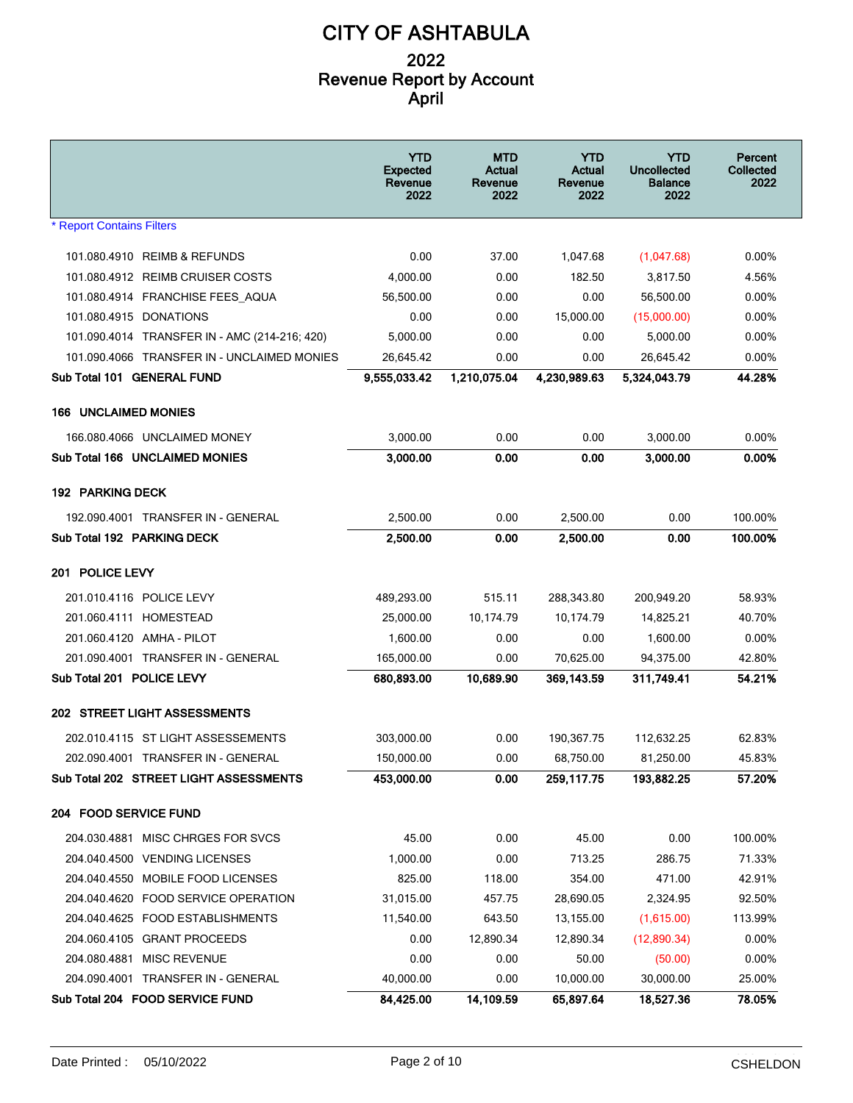|                                               | <b>YTD</b><br><b>Expected</b><br>Revenue<br>2022 | <b>MTD</b><br>Actual<br>Revenue<br>2022 | <b>YTD</b><br>Actual<br>Revenue<br>2022 | YTD<br><b>Uncollected</b><br><b>Balance</b><br>2022 | Percent<br>Collected<br>2022 |
|-----------------------------------------------|--------------------------------------------------|-----------------------------------------|-----------------------------------------|-----------------------------------------------------|------------------------------|
| <b>* Report Contains Filters</b>              |                                                  |                                         |                                         |                                                     |                              |
| 101.080.4910 REIMB & REFUNDS                  | 0.00                                             | 37.00                                   | 1,047.68                                | (1,047.68)                                          | 0.00%                        |
| 101.080.4912 REIMB CRUISER COSTS              | 4,000.00                                         | 0.00                                    | 182.50                                  | 3,817.50                                            | 4.56%                        |
| 101.080.4914 FRANCHISE FEES AQUA              | 56,500.00                                        | 0.00                                    | 0.00                                    | 56,500.00                                           | $0.00\%$                     |
| 101.080.4915 DONATIONS                        | 0.00                                             | 0.00                                    | 15,000.00                               | (15,000.00)                                         | 0.00%                        |
| 101.090.4014 TRANSFER IN - AMC (214-216; 420) | 5,000.00                                         | 0.00                                    | 0.00                                    | 5,000.00                                            | $0.00\%$                     |
| 101.090.4066 TRANSFER IN - UNCLAIMED MONIES   | 26,645.42                                        | 0.00                                    | 0.00                                    | 26,645.42                                           | 0.00%                        |
| Sub Total 101 GENERAL FUND                    | 9,555,033.42                                     | 1,210,075.04                            | 4,230,989.63                            | 5,324,043.79                                        | 44.28%                       |
| <b>166 UNCLAIMED MONIES</b>                   |                                                  |                                         |                                         |                                                     |                              |
| 166.080.4066 UNCLAIMED MONEY                  | 3,000.00                                         | 0.00                                    | 0.00                                    | 3,000.00                                            | 0.00%                        |
| Sub Total 166 UNCLAIMED MONIES                | 3.000.00                                         | 0.00                                    | 0.00                                    | 3,000.00                                            | 0.00%                        |
|                                               |                                                  |                                         |                                         |                                                     |                              |
| <b>192 PARKING DECK</b>                       |                                                  |                                         |                                         |                                                     |                              |
| 192.090.4001 TRANSFER IN - GENERAL            | 2,500.00                                         | 0.00                                    | 2,500.00                                | 0.00                                                | 100.00%                      |
| Sub Total 192 PARKING DECK                    | 2,500.00                                         | 0.00                                    | 2,500.00                                | 0.00                                                | 100.00%                      |
|                                               |                                                  |                                         |                                         |                                                     |                              |
| 201 POLICE LEVY                               |                                                  |                                         |                                         |                                                     |                              |
| 201.010.4116 POLICE LEVY                      | 489,293.00                                       | 515.11                                  | 288,343.80                              | 200,949.20                                          | 58.93%                       |
| 201.060.4111 HOMESTEAD                        | 25,000.00                                        | 10,174.79                               | 10,174.79                               | 14,825.21                                           | 40.70%                       |
| 201.060.4120 AMHA - PILOT                     | 1,600.00                                         | 0.00                                    | 0.00                                    | 1,600.00                                            | 0.00%                        |
| 201.090.4001 TRANSFER IN - GENERAL            | 165,000.00                                       | 0.00                                    | 70,625.00                               | 94,375.00                                           | 42.80%                       |
| Sub Total 201 POLICE LEVY                     | 680,893.00                                       | 10,689.90                               | 369,143.59                              | 311,749.41                                          | 54.21%                       |
| 202 STREET LIGHT ASSESSMENTS                  |                                                  |                                         |                                         |                                                     |                              |
| 202.010.4115 ST LIGHT ASSESSEMENTS            | 303,000.00                                       | 0.00                                    | 190,367.75                              | 112,632.25                                          | 62.83%                       |
| 202.090.4001 TRANSFER IN - GENERAL            | 150.000.00                                       | 0.00                                    | 68,750.00                               | 81,250.00                                           | 45.83%                       |
| Sub Total 202 STREET LIGHT ASSESSMENTS        | 453,000.00                                       | 0.00                                    | 259,117.75                              | 193,882.25                                          | 57.20%                       |
| 204 FOOD SERVICE FUND                         |                                                  |                                         |                                         |                                                     |                              |
| 204.030.4881 MISC CHRGES FOR SVCS             | 45.00                                            | 0.00                                    | 45.00                                   | 0.00                                                | 100.00%                      |
| 204.040.4500 VENDING LICENSES                 | 1,000.00                                         | 0.00                                    | 713.25                                  | 286.75                                              | 71.33%                       |
| 204.040.4550 MOBILE FOOD LICENSES             | 825.00                                           | 118.00                                  | 354.00                                  | 471.00                                              | 42.91%                       |
| 204.040.4620 FOOD SERVICE OPERATION           | 31,015.00                                        | 457.75                                  | 28,690.05                               | 2,324.95                                            | 92.50%                       |
| 204.040.4625 FOOD ESTABLISHMENTS              | 11,540.00                                        | 643.50                                  | 13,155.00                               | (1,615.00)                                          | 113.99%                      |
| 204.060.4105 GRANT PROCEEDS                   | 0.00                                             | 12,890.34                               | 12,890.34                               | (12,890.34)                                         | 0.00%                        |
| 204.080.4881 MISC REVENUE                     | 0.00                                             | 0.00                                    | 50.00                                   | (50.00)                                             | 0.00%                        |
| 204.090.4001 TRANSFER IN - GENERAL            | 40,000.00                                        | 0.00                                    | 10,000.00                               | 30,000.00                                           | 25.00%                       |
| Sub Total 204 FOOD SERVICE FUND               | 84,425.00                                        | 14,109.59                               | 65,897.64                               | 18,527.36                                           | 78.05%                       |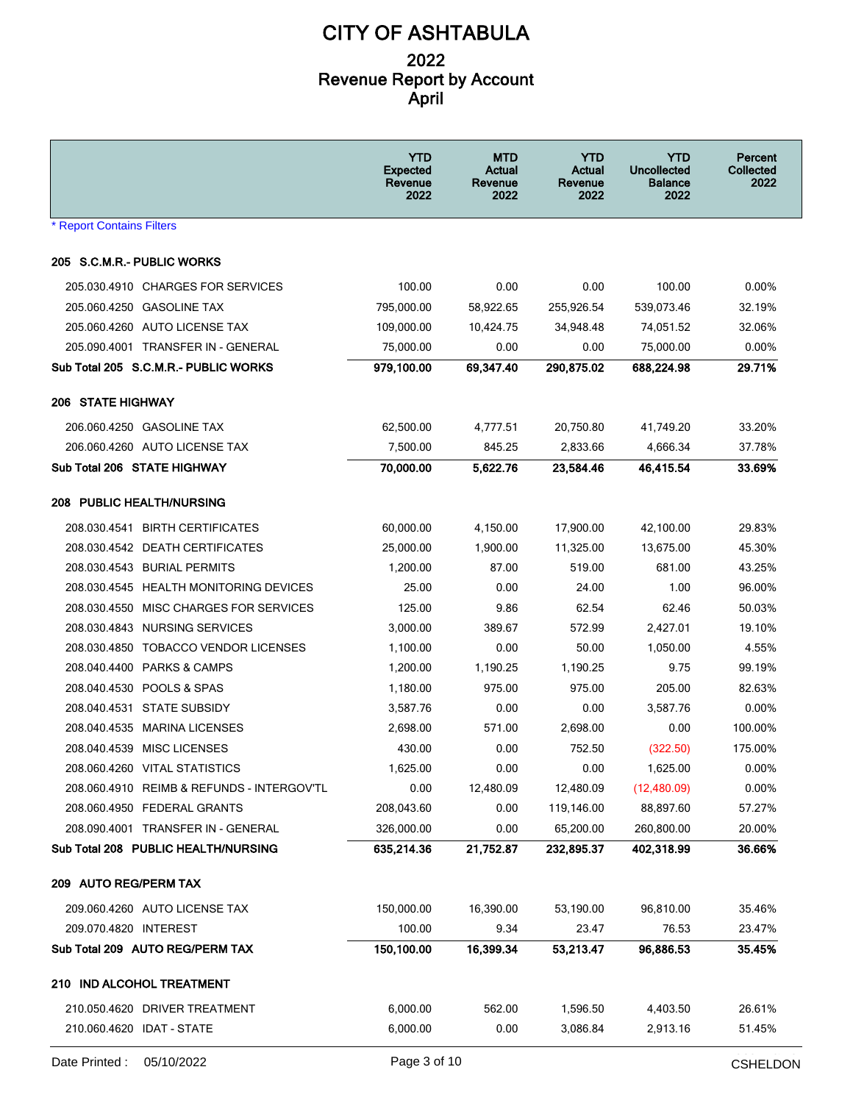|                                            | <b>YTD</b><br><b>Expected</b><br>Revenue<br>2022 | <b>MTD</b><br><b>Actual</b><br>Revenue<br>2022 | <b>YTD</b><br><b>Actual</b><br>Revenue<br>2022 | <b>YTD</b><br><b>Uncollected</b><br><b>Balance</b><br>2022 | Percent<br>Collected<br>2022 |
|--------------------------------------------|--------------------------------------------------|------------------------------------------------|------------------------------------------------|------------------------------------------------------------|------------------------------|
| * Report Contains Filters                  |                                                  |                                                |                                                |                                                            |                              |
| 205 S.C.M.R.- PUBLIC WORKS                 |                                                  |                                                |                                                |                                                            |                              |
| 205.030.4910 CHARGES FOR SERVICES          | 100.00                                           | 0.00                                           | 0.00                                           | 100.00                                                     | 0.00%                        |
| 205.060.4250 GASOLINE TAX                  | 795,000.00                                       | 58,922.65                                      | 255,926.54                                     | 539,073.46                                                 | 32.19%                       |
| 205.060.4260 AUTO LICENSE TAX              | 109,000.00                                       | 10,424.75                                      | 34,948.48                                      | 74,051.52                                                  | 32.06%                       |
| 205.090.4001 TRANSFER IN - GENERAL         | 75,000.00                                        | 0.00                                           | 0.00                                           | 75,000.00                                                  | 0.00%                        |
| Sub Total 205 S.C.M.R.- PUBLIC WORKS       | 979,100.00                                       | 69,347.40                                      | 290,875.02                                     | 688,224.98                                                 | 29.71%                       |
| <b>206 STATE HIGHWAY</b>                   |                                                  |                                                |                                                |                                                            |                              |
| 206.060.4250 GASOLINE TAX                  | 62,500.00                                        | 4,777.51                                       | 20,750.80                                      | 41,749.20                                                  | 33.20%                       |
| 206.060.4260 AUTO LICENSE TAX              | 7,500.00                                         | 845.25                                         | 2,833.66                                       | 4,666.34                                                   | 37.78%                       |
| Sub Total 206 STATE HIGHWAY                | 70,000.00                                        | 5,622.76                                       | 23,584.46                                      | 46,415.54                                                  | 33.69%                       |
| <b>208 PUBLIC HEALTH/NURSING</b>           |                                                  |                                                |                                                |                                                            |                              |
| 208.030.4541 BIRTH CERTIFICATES            | 60,000.00                                        | 4,150.00                                       | 17,900.00                                      | 42,100.00                                                  | 29.83%                       |
| 208.030.4542 DEATH CERTIFICATES            | 25,000.00                                        | 1,900.00                                       | 11,325.00                                      | 13,675.00                                                  | 45.30%                       |
| 208.030.4543 BURIAL PERMITS                | 1,200.00                                         | 87.00                                          | 519.00                                         | 681.00                                                     | 43.25%                       |
| 208.030.4545 HEALTH MONITORING DEVICES     | 25.00                                            | 0.00                                           | 24.00                                          | 1.00                                                       | 96.00%                       |
| 208.030.4550 MISC CHARGES FOR SERVICES     | 125.00                                           | 9.86                                           | 62.54                                          | 62.46                                                      | 50.03%                       |
| 208.030.4843 NURSING SERVICES              | 3,000.00                                         | 389.67                                         | 572.99                                         | 2,427.01                                                   | 19.10%                       |
| 208.030.4850 TOBACCO VENDOR LICENSES       | 1,100.00                                         | 0.00                                           | 50.00                                          | 1,050.00                                                   | 4.55%                        |
| 208.040.4400 PARKS & CAMPS                 | 1,200.00                                         | 1,190.25                                       | 1,190.25                                       | 9.75                                                       | 99.19%                       |
| 208.040.4530 POOLS & SPAS                  | 1,180.00                                         | 975.00                                         | 975.00                                         | 205.00                                                     | 82.63%                       |
| 208.040.4531 STATE SUBSIDY                 | 3,587.76                                         | 0.00                                           | 0.00                                           | 3,587.76                                                   | 0.00%                        |
| 208.040.4535 MARINA LICENSES               | 2,698.00                                         | 571.00                                         | 2,698.00                                       | 0.00                                                       | 100.00%                      |
| 208.040.4539 MISC LICENSES                 | 430.00                                           | 0.00                                           | 752.50                                         | (322.50)                                                   | 175.00%                      |
| 208.060.4260 VITAL STATISTICS              | 1,625.00                                         | 0.00                                           | 0.00                                           | 1,625.00                                                   | 0.00%                        |
| 208.060.4910 REIMB & REFUNDS - INTERGOV'TL | 0.00                                             | 12,480.09                                      | 12,480.09                                      | (12, 480.09)                                               | 0.00%                        |
| 208.060.4950 FEDERAL GRANTS                | 208,043.60                                       | 0.00                                           | 119,146.00                                     | 88,897.60                                                  | 57.27%                       |
| 208.090.4001 TRANSFER IN - GENERAL         | 326,000.00                                       | 0.00                                           | 65,200.00                                      | 260,800.00                                                 | 20.00%                       |
| Sub Total 208 PUBLIC HEALTH/NURSING        | 635,214.36                                       | 21,752.87                                      | 232,895.37                                     | 402.318.99                                                 | 36.66%                       |
| 209 AUTO REG/PERM TAX                      |                                                  |                                                |                                                |                                                            |                              |
| 209.060.4260 AUTO LICENSE TAX              | 150,000.00                                       | 16,390.00                                      | 53,190.00                                      | 96,810.00                                                  | 35.46%                       |
| 209.070.4820 INTEREST                      | 100.00                                           | 9.34                                           | 23.47                                          | 76.53                                                      | 23.47%                       |
| Sub Total 209 AUTO REG/PERM TAX            | 150,100.00                                       | 16,399.34                                      | 53,213.47                                      | 96,886.53                                                  | 35.45%                       |
| 210 IND ALCOHOL TREATMENT                  |                                                  |                                                |                                                |                                                            |                              |
|                                            |                                                  |                                                |                                                |                                                            |                              |
| 210.050.4620 DRIVER TREATMENT              | 6,000.00                                         | 562.00                                         | 1,596.50                                       | 4,403.50                                                   | 26.61%                       |
| 210.060.4620 IDAT - STATE                  | 6,000.00                                         | 0.00                                           | 3,086.84                                       | 2,913.16                                                   | 51.45%                       |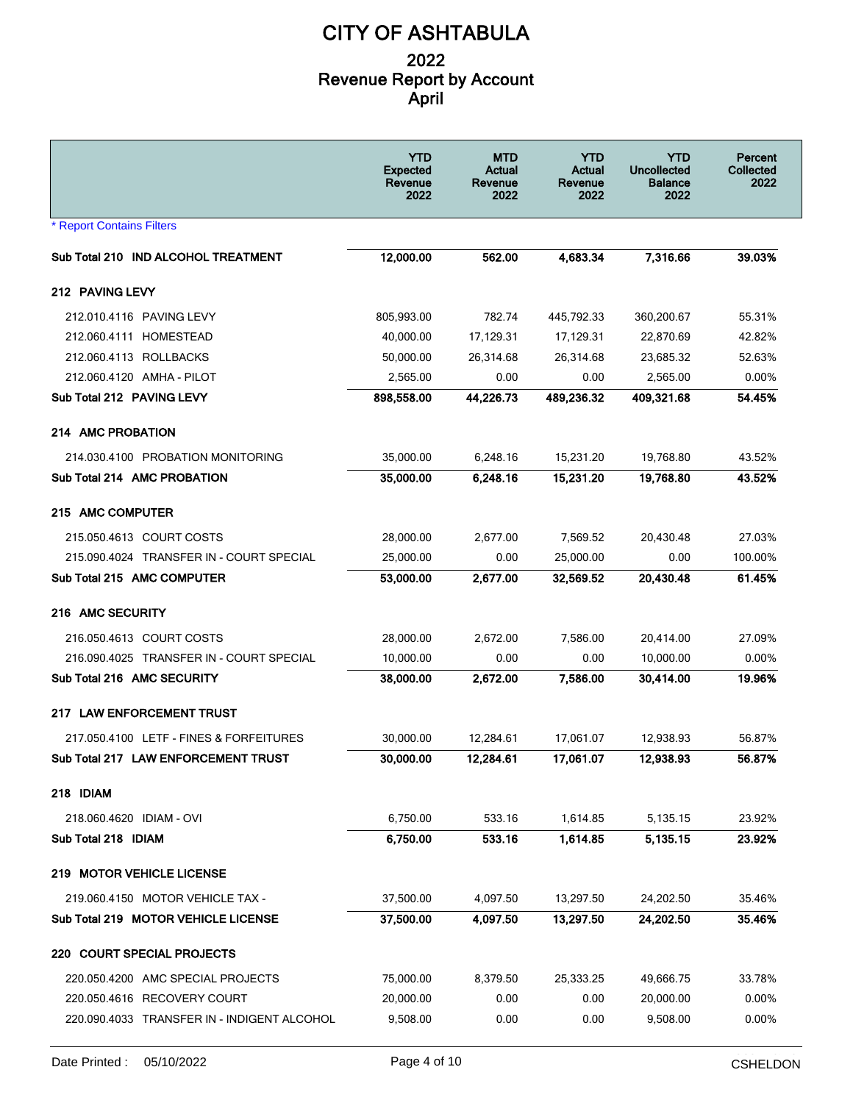|                                             | <b>YTD</b><br><b>Expected</b><br>Revenue<br>2022 | <b>MTD</b><br>Actual<br>Revenue<br>2022 | YTD<br>Actual<br>Revenue<br>2022 | <b>YTD</b><br><b>Uncollected</b><br><b>Balance</b><br>2022 | Percent<br>Collected<br>2022 |
|---------------------------------------------|--------------------------------------------------|-----------------------------------------|----------------------------------|------------------------------------------------------------|------------------------------|
| <b>* Report Contains Filters</b>            |                                                  |                                         |                                  |                                                            |                              |
| Sub Total 210 IND ALCOHOL TREATMENT         | 12,000.00                                        | 562.00                                  | 4,683.34                         | 7,316.66                                                   | 39.03%                       |
| 212 PAVING LEVY                             |                                                  |                                         |                                  |                                                            |                              |
| 212.010.4116 PAVING LEVY                    | 805,993.00                                       | 782.74                                  | 445,792.33                       | 360,200.67                                                 | 55.31%                       |
| 212.060.4111 HOMESTEAD                      | 40,000.00                                        | 17,129.31                               | 17,129.31                        | 22,870.69                                                  | 42.82%                       |
| 212.060.4113 ROLLBACKS                      | 50,000.00                                        | 26,314.68                               | 26,314.68                        | 23,685.32                                                  | 52.63%                       |
| 212.060.4120 AMHA - PILOT                   | 2,565.00                                         | 0.00                                    | 0.00                             | 2,565.00                                                   | 0.00%                        |
| Sub Total 212 PAVING LEVY                   | 898,558.00                                       | 44,226.73                               | 489,236.32                       | 409,321.68                                                 | 54.45%                       |
| 214 AMC PROBATION                           |                                                  |                                         |                                  |                                                            |                              |
| 214.030.4100 PROBATION MONITORING           | 35,000.00                                        | 6,248.16                                | 15,231.20                        | 19,768.80                                                  | 43.52%                       |
| Sub Total 214 AMC PROBATION                 | 35,000.00                                        | 6.248.16                                | 15,231.20                        | 19.768.80                                                  | 43.52%                       |
| 215 AMC COMPUTER                            |                                                  |                                         |                                  |                                                            |                              |
| 215.050.4613 COURT COSTS                    | 28,000.00                                        | 2,677.00                                | 7,569.52                         | 20,430.48                                                  | 27.03%                       |
| 215.090.4024 TRANSFER IN - COURT SPECIAL    | 25,000.00                                        | 0.00                                    | 25,000.00                        | 0.00                                                       | 100.00%                      |
| Sub Total 215 AMC COMPUTER                  | 53,000.00                                        | 2,677.00                                | 32,569.52                        | 20,430.48                                                  | 61.45%                       |
| 216 AMC SECURITY                            |                                                  |                                         |                                  |                                                            |                              |
| 216.050.4613 COURT COSTS                    | 28,000.00                                        | 2,672.00                                | 7,586.00                         | 20,414.00                                                  | 27.09%                       |
| 216.090.4025 TRANSFER IN - COURT SPECIAL    | 10,000.00                                        | 0.00                                    | 0.00                             | 10,000.00                                                  | 0.00%                        |
| Sub Total 216 AMC SECURITY                  | 38,000.00                                        | 2,672.00                                | 7,586.00                         | 30,414.00                                                  | 19.96%                       |
| 217 LAW ENFORCEMENT TRUST                   |                                                  |                                         |                                  |                                                            |                              |
| 217.050.4100 LETF - FINES & FORFEITURES     | 30,000.00                                        | 12,284.61                               | 17,061.07                        | 12,938.93                                                  | 56.87%                       |
| Sub Total 217 LAW ENFORCEMENT TRUST         | 30,000.00                                        | 12,284.61                               | 17,061.07                        | 12,938.93                                                  | 56.87%                       |
| 218 IDIAM                                   |                                                  |                                         |                                  |                                                            |                              |
| 218.060.4620 IDIAM - OVI                    | 6,750.00                                         | 533.16                                  | 1,614.85                         | 5,135.15                                                   | 23.92%                       |
| Sub Total 218 IDIAM                         | 6,750.00                                         | 533.16                                  | 1,614.85                         | 5,135.15                                                   | 23.92%                       |
| 219 MOTOR VEHICLE LICENSE                   |                                                  |                                         |                                  |                                                            |                              |
| 219.060.4150 MOTOR VEHICLE TAX -            | 37,500.00                                        | 4,097.50                                | 13,297.50                        | 24,202.50                                                  | 35.46%                       |
| Sub Total 219 MOTOR VEHICLE LICENSE         | 37,500.00                                        | 4,097.50                                | 13,297.50                        | 24,202.50                                                  | 35.46%                       |
| 220 COURT SPECIAL PROJECTS                  |                                                  |                                         |                                  |                                                            |                              |
| 220.050.4200 AMC SPECIAL PROJECTS           | 75,000.00                                        | 8,379.50                                | 25,333.25                        | 49,666.75                                                  | 33.78%                       |
| 220.050.4616 RECOVERY COURT                 | 20,000.00                                        | 0.00                                    | 0.00                             | 20,000.00                                                  | 0.00%                        |
| 220.090.4033 TRANSFER IN - INDIGENT ALCOHOL | 9,508.00                                         | 0.00                                    | 0.00                             | 9,508.00                                                   | 0.00%                        |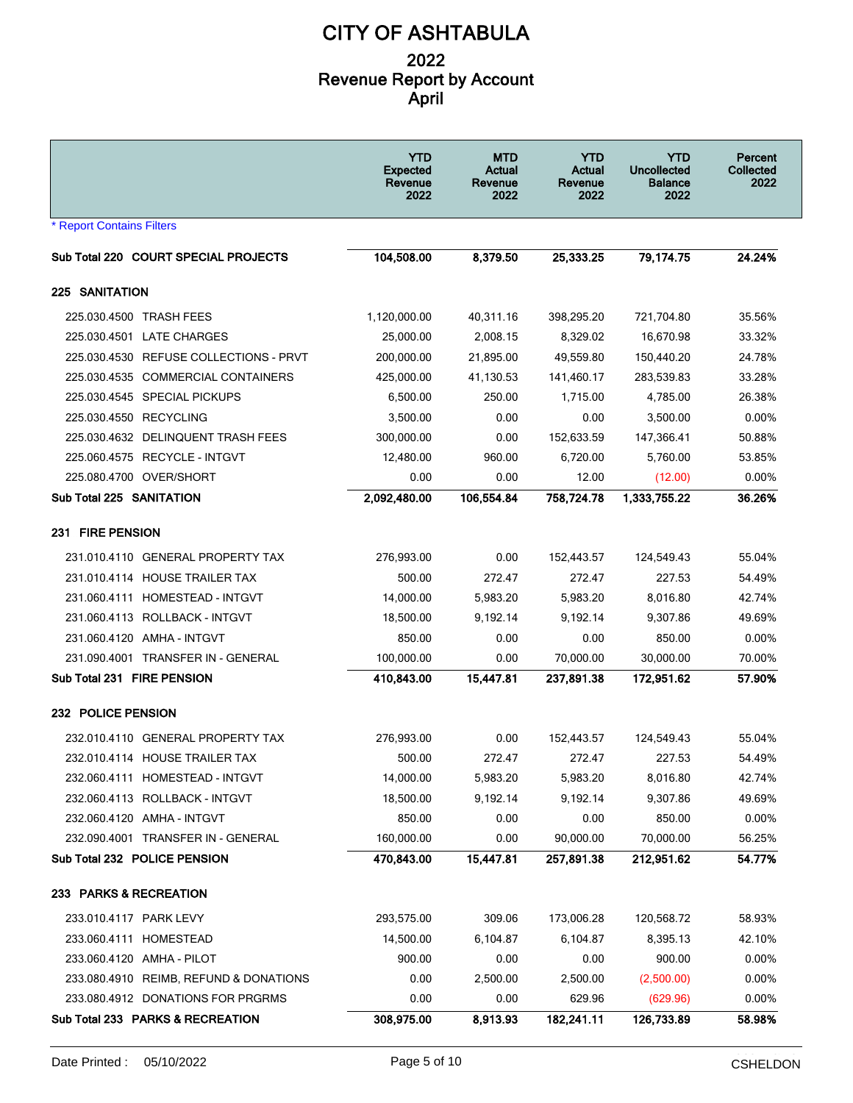|                                        | <b>YTD</b><br><b>Expected</b><br>Revenue<br>2022 | <b>MTD</b><br>Actual<br>Revenue<br>2022 | <b>YTD</b><br><b>Actual</b><br>Revenue<br>2022 | <b>YTD</b><br><b>Uncollected</b><br><b>Balance</b><br>2022 | Percent<br>Collected<br>2022 |
|----------------------------------------|--------------------------------------------------|-----------------------------------------|------------------------------------------------|------------------------------------------------------------|------------------------------|
| <b>* Report Contains Filters</b>       |                                                  |                                         |                                                |                                                            |                              |
| Sub Total 220 COURT SPECIAL PROJECTS   | 104,508.00                                       | 8,379.50                                | 25,333.25                                      | 79,174.75                                                  | 24.24%                       |
| <b>225 SANITATION</b>                  |                                                  |                                         |                                                |                                                            |                              |
| 225.030.4500 TRASH FEES                | 1,120,000.00                                     | 40,311.16                               | 398,295.20                                     | 721,704.80                                                 | 35.56%                       |
| 225.030.4501 LATE CHARGES              | 25,000.00                                        | 2,008.15                                | 8,329.02                                       | 16,670.98                                                  | 33.32%                       |
| 225.030.4530 REFUSE COLLECTIONS - PRVT | 200,000.00                                       | 21,895.00                               | 49,559.80                                      | 150,440.20                                                 | 24.78%                       |
| 225.030.4535 COMMERCIAL CONTAINERS     | 425,000.00                                       | 41,130.53                               | 141,460.17                                     | 283,539.83                                                 | 33.28%                       |
| 225.030.4545 SPECIAL PICKUPS           | 6,500.00                                         | 250.00                                  | 1,715.00                                       | 4,785.00                                                   | 26.38%                       |
| 225.030.4550 RECYCLING                 | 3,500.00                                         | 0.00                                    | 0.00                                           | 3,500.00                                                   | 0.00%                        |
| 225.030.4632 DELINQUENT TRASH FEES     | 300,000.00                                       | 0.00                                    | 152,633.59                                     | 147,366.41                                                 | 50.88%                       |
| 225.060.4575 RECYCLE - INTGVT          | 12,480.00                                        | 960.00                                  | 6,720.00                                       | 5,760.00                                                   | 53.85%                       |
| 225.080.4700 OVER/SHORT                | 0.00                                             | 0.00                                    | 12.00                                          | (12.00)                                                    | 0.00%                        |
| Sub Total 225 SANITATION               | 2,092,480.00                                     | 106,554.84                              | 758,724.78                                     | 1,333,755.22                                               | 36.26%                       |
| 231 FIRE PENSION                       |                                                  |                                         |                                                |                                                            |                              |
| 231.010.4110 GENERAL PROPERTY TAX      | 276,993.00                                       | 0.00                                    | 152,443.57                                     | 124,549.43                                                 | 55.04%                       |
| 231.010.4114 HOUSE TRAILER TAX         | 500.00                                           | 272.47                                  | 272.47                                         | 227.53                                                     | 54.49%                       |
| 231.060.4111 HOMESTEAD - INTGVT        | 14,000.00                                        | 5,983.20                                | 5,983.20                                       | 8,016.80                                                   | 42.74%                       |
| 231.060.4113 ROLLBACK - INTGVT         | 18,500.00                                        | 9,192.14                                | 9,192.14                                       | 9,307.86                                                   | 49.69%                       |
| 231.060.4120 AMHA - INTGVT             | 850.00                                           | 0.00                                    | 0.00                                           | 850.00                                                     | 0.00%                        |
| 231.090.4001 TRANSFER IN - GENERAL     | 100,000.00                                       | 0.00                                    | 70,000.00                                      | 30,000.00                                                  | 70.00%                       |
| Sub Total 231 FIRE PENSION             | 410,843.00                                       | 15,447.81                               | 237,891.38                                     | 172,951.62                                                 | 57.90%                       |
| 232 POLICE PENSION                     |                                                  |                                         |                                                |                                                            |                              |
| 232.010.4110 GENERAL PROPERTY TAX      | 276,993.00                                       | 0.00                                    | 152,443.57                                     | 124,549.43                                                 | 55.04%                       |
| 232.010.4114 HOUSE TRAILER TAX         | 500.00                                           | 272.47                                  | 272.47                                         | 227.53                                                     | 54.49%                       |
| 232.060.4111 HOMESTEAD - INTGVT        | 14,000.00                                        | 5,983.20                                | 5,983.20                                       | 8,016.80                                                   | 42.74%                       |
| 232.060.4113 ROLLBACK - INTGVT         | 18,500.00                                        | 9,192.14                                | 9,192.14                                       | 9,307.86                                                   | 49.69%                       |
| 232.060.4120 AMHA - INTGVT             | 850.00                                           | 0.00                                    | 0.00                                           | 850.00                                                     | 0.00%                        |
| 232.090.4001 TRANSFER IN - GENERAL     | 160,000.00                                       | 0.00                                    | 90,000.00                                      | 70,000.00                                                  | 56.25%                       |
| Sub Total 232 POLICE PENSION           | 470,843.00                                       | 15,447.81                               | 257,891.38                                     | 212,951.62                                                 | 54.77%                       |
| 233 PARKS & RECREATION                 |                                                  |                                         |                                                |                                                            |                              |
| 233.010.4117 PARK LEVY                 | 293,575.00                                       | 309.06                                  | 173,006.28                                     | 120,568.72                                                 | 58.93%                       |
| 233.060.4111 HOMESTEAD                 | 14,500.00                                        | 6,104.87                                | 6,104.87                                       | 8,395.13                                                   | 42.10%                       |
| 233.060.4120 AMHA - PILOT              | 900.00                                           | 0.00                                    | 0.00                                           | 900.00                                                     | 0.00%                        |
| 233.080.4910 REIMB, REFUND & DONATIONS | 0.00                                             | 2,500.00                                | 2,500.00                                       | (2,500.00)                                                 | 0.00%                        |
| 233.080.4912 DONATIONS FOR PRGRMS      | 0.00                                             | 0.00                                    | 629.96                                         | (629.96)                                                   | 0.00%                        |
| Sub Total 233 PARKS & RECREATION       | 308,975.00                                       | 8,913.93                                | 182,241.11                                     | 126,733.89                                                 | 58.98%                       |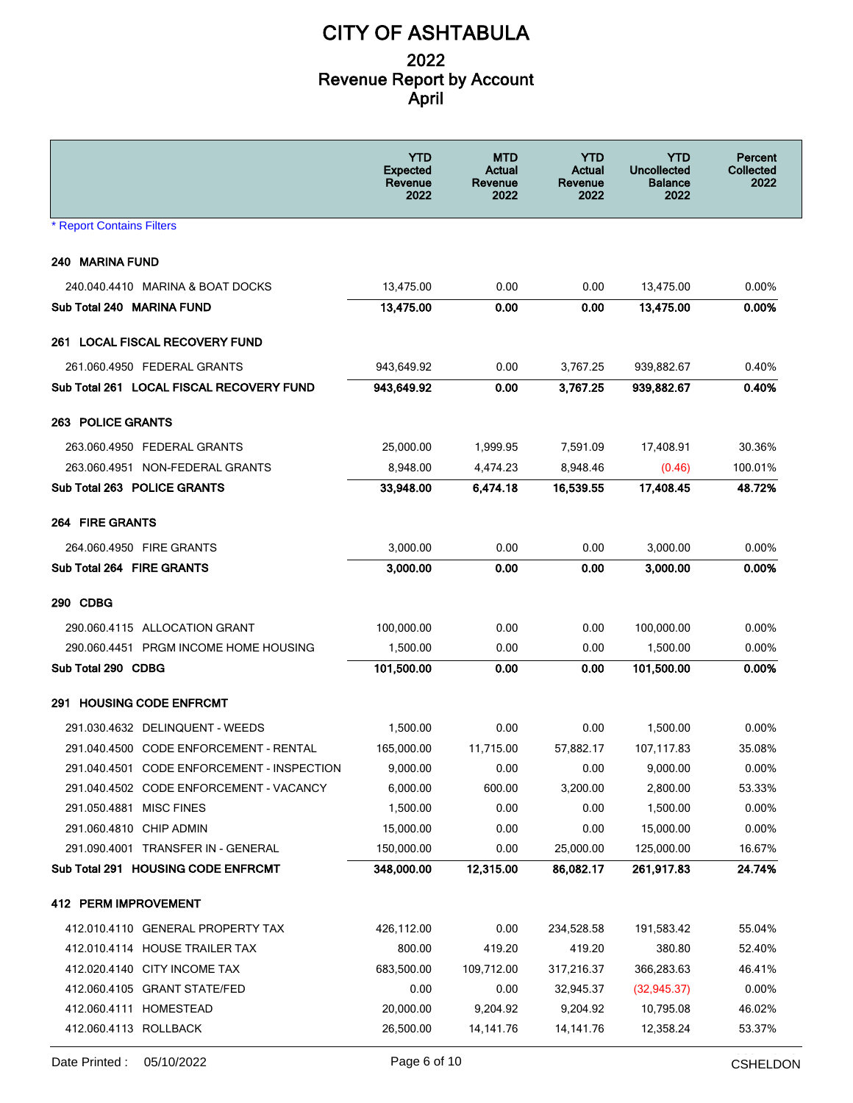|                                            | <b>YTD</b><br><b>Expected</b><br>Revenue<br>2022 | <b>MTD</b><br>Actual<br>Revenue<br>2022 | <b>YTD</b><br>Actual<br>Revenue<br>2022 | YTD<br><b>Uncollected</b><br><b>Balance</b><br>2022 | Percent<br><b>Collected</b><br>2022 |
|--------------------------------------------|--------------------------------------------------|-----------------------------------------|-----------------------------------------|-----------------------------------------------------|-------------------------------------|
| <b>* Report Contains Filters</b>           |                                                  |                                         |                                         |                                                     |                                     |
| 240 MARINA FUND                            |                                                  |                                         |                                         |                                                     |                                     |
| 240.040.4410 MARINA & BOAT DOCKS           | 13,475.00                                        | 0.00                                    | 0.00                                    | 13,475.00                                           | $0.00\%$                            |
| Sub Total 240 MARINA FUND                  | 13,475.00                                        | 0.00                                    | 0.00                                    | 13,475.00                                           | 0.00%                               |
| 261 LOCAL FISCAL RECOVERY FUND             |                                                  |                                         |                                         |                                                     |                                     |
| 261.060.4950 FEDERAL GRANTS                | 943,649.92                                       | 0.00                                    | 3,767.25                                | 939,882.67                                          | 0.40%                               |
| Sub Total 261 LOCAL FISCAL RECOVERY FUND   | 943,649.92                                       | 0.00                                    | 3,767.25                                | 939,882.67                                          | 0.40%                               |
| <b>263 POLICE GRANTS</b>                   |                                                  |                                         |                                         |                                                     |                                     |
| 263.060.4950 FEDERAL GRANTS                | 25,000.00                                        | 1,999.95                                | 7,591.09                                | 17,408.91                                           | 30.36%                              |
| 263.060.4951 NON-FEDERAL GRANTS            | 8,948.00                                         | 4,474.23                                | 8,948.46                                | (0.46)                                              | 100.01%                             |
| Sub Total 263 POLICE GRANTS                | 33,948.00                                        | 6,474.18                                | 16,539.55                               | 17,408.45                                           | 48.72%                              |
| <b>264 FIRE GRANTS</b>                     |                                                  |                                         |                                         |                                                     |                                     |
| 264.060.4950 FIRE GRANTS                   | 3,000.00                                         | 0.00                                    | 0.00                                    | 3,000.00                                            | $0.00\%$                            |
| Sub Total 264 FIRE GRANTS                  | 3,000.00                                         | 0.00                                    | 0.00                                    | 3,000.00                                            | $0.00\%$                            |
| 290 CDBG                                   |                                                  |                                         |                                         |                                                     |                                     |
| 290.060.4115 ALLOCATION GRANT              | 100,000.00                                       | 0.00                                    | 0.00                                    | 100,000.00                                          | $0.00\%$                            |
| 290.060.4451 PRGM INCOME HOME HOUSING      | 1,500.00                                         | 0.00                                    | 0.00                                    | 1,500.00                                            | $0.00\%$                            |
| Sub Total 290 CDBG                         | 101,500.00                                       | 0.00                                    | 0.00                                    | 101,500.00                                          | $0.00\%$                            |
| 291 HOUSING CODE ENFROMT                   |                                                  |                                         |                                         |                                                     |                                     |
| 291.030.4632 DELINQUENT - WEEDS            | 1,500.00                                         | 0.00                                    | 0.00                                    | 1,500.00                                            | $0.00\%$                            |
| 291.040.4500 CODE ENFORCEMENT - RENTAL     | 165.000.00                                       | 11,715.00                               | 57,882.17                               | 107,117.83                                          | 35.08%                              |
| 291.040.4501 CODE ENFORCEMENT - INSPECTION | 9,000.00                                         | 0.00                                    | 0.00                                    | 9,000.00                                            | 0.00%                               |
| 291.040.4502 CODE ENFORCEMENT - VACANCY    | 6,000.00                                         | 600.00                                  | 3.200.00                                | 2,800.00                                            | 53.33%                              |
| 291.050.4881 MISC FINES                    | 1,500.00                                         | 0.00                                    | 0.00                                    | 1,500.00                                            | 0.00%                               |
| 291.060.4810 CHIP ADMIN                    | 15,000.00                                        | 0.00                                    | 0.00                                    | 15,000.00                                           | 0.00%                               |
| 291.090.4001 TRANSFER IN - GENERAL         | 150,000.00                                       | 0.00                                    | 25,000.00                               | 125,000.00                                          | 16.67%                              |
| Sub Total 291 HOUSING CODE ENFRCMT         | 348.000.00                                       | 12,315.00                               | 86,082.17                               | 261,917.83                                          | 24.74%                              |
| 412 PERM IMPROVEMENT                       |                                                  |                                         |                                         |                                                     |                                     |
| 412.010.4110 GENERAL PROPERTY TAX          | 426,112.00                                       | 0.00                                    | 234,528.58                              | 191,583.42                                          | 55.04%                              |
| 412.010.4114 HOUSE TRAILER TAX             | 800.00                                           | 419.20                                  | 419.20                                  | 380.80                                              | 52.40%                              |
| 412.020.4140 CITY INCOME TAX               | 683,500.00                                       | 109,712.00                              | 317,216.37                              | 366,283.63                                          | 46.41%                              |
| 412.060.4105 GRANT STATE/FED               | 0.00                                             | 0.00                                    | 32,945.37                               | (32, 945.37)                                        | 0.00%                               |
| 412.060.4111 HOMESTEAD                     | 20,000.00                                        | 9,204.92                                | 9,204.92                                | 10,795.08                                           | 46.02%                              |
| 412.060.4113 ROLLBACK                      | 26,500.00                                        | 14,141.76                               | 14, 141. 76                             | 12,358.24                                           | 53.37%                              |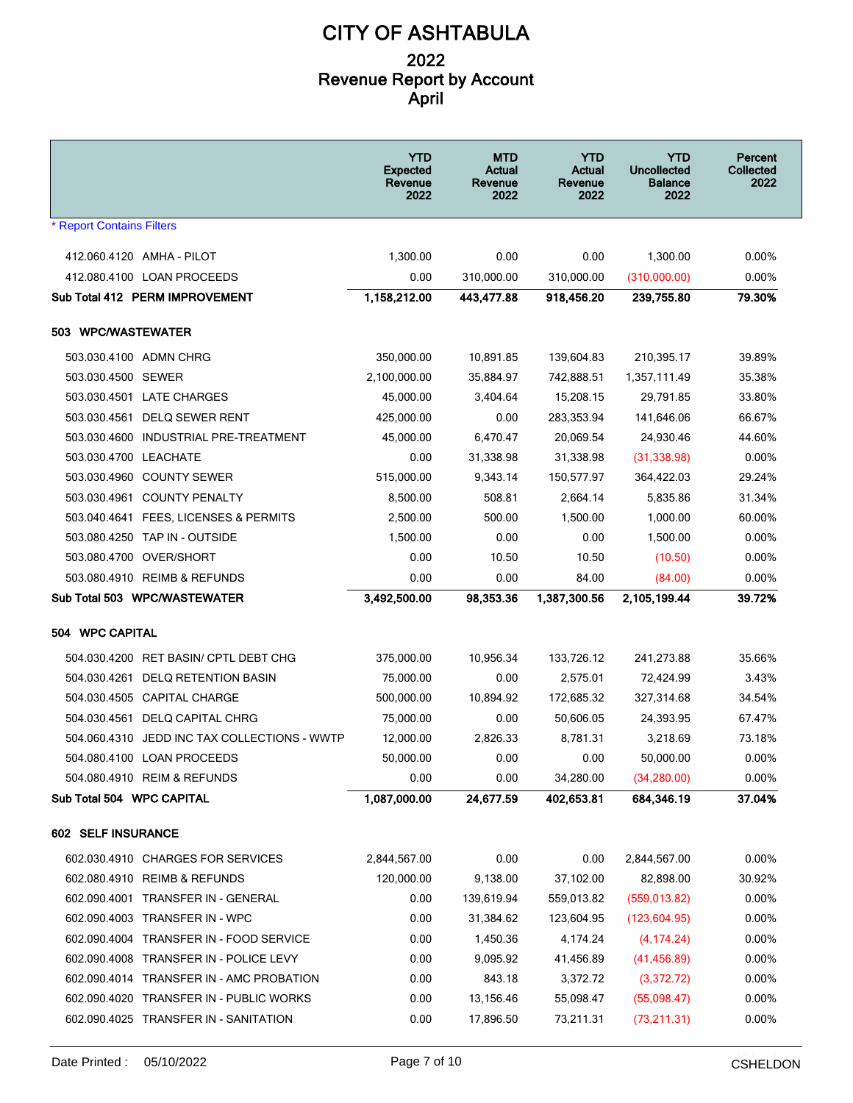|                                                 | <b>YTD</b><br><b>Expected</b><br>Revenue<br>2022 | <b>MTD</b><br>Actual<br>Revenue<br>2022 | <b>YTD</b><br>Actual<br>Revenue<br>2022 | YTD<br><b>Uncollected</b><br><b>Balance</b><br>2022 | <b>Percent</b><br><b>Collected</b><br>2022 |
|-------------------------------------------------|--------------------------------------------------|-----------------------------------------|-----------------------------------------|-----------------------------------------------------|--------------------------------------------|
| <b>* Report Contains Filters</b>                |                                                  |                                         |                                         |                                                     |                                            |
| 412.060.4120 AMHA - PILOT                       | 1,300.00                                         | 0.00                                    | 0.00                                    | 1,300.00                                            | 0.00%                                      |
| 412.080.4100 LOAN PROCEEDS                      | 0.00                                             | 310,000.00                              | 310,000.00                              | (310,000.00)                                        | $0.00\%$                                   |
| Sub Total 412 PERM IMPROVEMENT                  | 1,158,212.00                                     | 443,477.88                              | 918,456.20                              | 239,755.80                                          | 79.30%                                     |
| 503 WPC/WASTEWATER                              |                                                  |                                         |                                         |                                                     |                                            |
| 503.030.4100 ADMN CHRG                          | 350,000.00                                       | 10,891.85                               | 139,604.83                              | 210,395.17                                          | 39.89%                                     |
| 503.030.4500 SEWER                              | 2,100,000.00                                     | 35,884.97                               | 742,888.51                              | 1,357,111.49                                        | 35.38%                                     |
| 503.030.4501 LATE CHARGES                       | 45,000.00                                        | 3,404.64                                | 15,208.15                               | 29,791.85                                           | 33.80%                                     |
| 503.030.4561 DELQ SEWER RENT                    | 425,000.00                                       | 0.00                                    | 283,353.94                              | 141,646.06                                          | 66.67%                                     |
| 503.030.4600 INDUSTRIAL PRE-TREATMENT           | 45,000.00                                        | 6,470.47                                | 20,069.54                               | 24,930.46                                           | 44.60%                                     |
| 503.030.4700 LEACHATE                           | 0.00                                             | 31,338.98                               | 31,338.98                               | (31, 338.98)                                        | 0.00%                                      |
| 503.030.4960 COUNTY SEWER                       | 515,000.00                                       | 9,343.14                                | 150,577.97                              | 364,422.03                                          | 29.24%                                     |
| 503.030.4961 COUNTY PENALTY                     | 8,500.00                                         | 508.81                                  | 2,664.14                                | 5,835.86                                            | 31.34%                                     |
| 503.040.4641 FEES, LICENSES & PERMITS           | 2,500.00                                         | 500.00                                  | 1.500.00                                | 1,000.00                                            | 60.00%                                     |
| 503.080.4250 TAP IN - OUTSIDE                   | 1,500.00                                         | 0.00                                    | 0.00                                    | 1,500.00                                            | $0.00\%$                                   |
| 503.080.4700 OVER/SHORT                         | 0.00                                             | 10.50                                   | 10.50                                   | (10.50)                                             | $0.00\%$                                   |
| 503.080.4910 REIMB & REFUNDS                    | 0.00                                             | 0.00                                    | 84.00                                   | (84.00)                                             | $0.00\%$                                   |
| Sub Total 503 WPC/WASTEWATER                    | 3,492,500.00                                     | 98,353.36                               | 1,387,300.56                            | 2,105,199.44                                        | 39.72%                                     |
| 504 WPC CAPITAL                                 |                                                  |                                         |                                         |                                                     |                                            |
| 504.030.4200 RET BASIN/ CPTL DEBT CHG           | 375,000.00                                       | 10,956.34                               | 133,726.12                              | 241,273.88                                          | 35.66%                                     |
| 504.030.4261 DELQ RETENTION BASIN               | 75,000.00                                        | 0.00                                    | 2,575.01                                | 72,424.99                                           | 3.43%                                      |
| 504.030.4505 CAPITAL CHARGE                     | 500,000.00                                       | 10,894.92                               | 172,685.32                              | 327,314.68                                          | 34.54%                                     |
| 504.030.4561 DELQ CAPITAL CHRG                  | 75,000.00                                        | 0.00                                    | 50,606.05                               | 24,393.95                                           | 67.47%                                     |
| 504.060.4310<br>JEDD INC TAX COLLECTIONS - WWTP | 12,000.00                                        | 2,826.33                                | 8,781.31                                | 3,218.69                                            | 73.18%                                     |
| 504.080.4100 LOAN PROCEEDS                      | 50,000.00                                        | 0.00                                    | 0.00                                    | 50,000.00                                           | 0.00%                                      |
| 504.080.4910 REIM & REFUNDS                     | 0.00                                             | 0.00                                    | 34,280.00                               | (34, 280.00)                                        | 0.00%                                      |
| Sub Total 504 WPC CAPITAL                       | 1,087,000.00                                     | 24,677.59                               | 402,653.81                              | 684,346.19                                          | 37.04%                                     |
| 602 SELF INSURANCE                              |                                                  |                                         |                                         |                                                     |                                            |
| 602.030.4910 CHARGES FOR SERVICES               | 2,844,567.00                                     | 0.00                                    | 0.00                                    | 2,844,567.00                                        | 0.00%                                      |
| 602.080.4910 REIMB & REFUNDS                    | 120,000.00                                       | 9,138.00                                | 37,102.00                               | 82,898.00                                           | 30.92%                                     |
| 602.090.4001 TRANSFER IN - GENERAL              | 0.00                                             | 139,619.94                              | 559,013.82                              | (559, 013.82)                                       | 0.00%                                      |
| 602.090.4003 TRANSFER IN - WPC                  | 0.00                                             | 31,384.62                               | 123,604.95                              | (123, 604.95)                                       | 0.00%                                      |
| 602.090.4004 TRANSFER IN - FOOD SERVICE         | 0.00                                             | 1,450.36                                | 4,174.24                                | (4, 174.24)                                         | 0.00%                                      |
| 602.090.4008 TRANSFER IN - POLICE LEVY          | 0.00                                             | 9,095.92                                | 41,456.89                               | (41, 456.89)                                        | 0.00%                                      |
| 602.090.4014 TRANSFER IN - AMC PROBATION        | 0.00                                             | 843.18                                  | 3,372.72                                | (3,372.72)                                          | $0.00\%$                                   |
| 602.090.4020 TRANSFER IN - PUBLIC WORKS         | 0.00                                             | 13,156.46                               | 55,098.47                               | (55,098.47)                                         | 0.00%                                      |
| 602.090.4025 TRANSFER IN - SANITATION           | 0.00                                             | 17,896.50                               | 73,211.31                               | (73, 211.31)                                        | 0.00%                                      |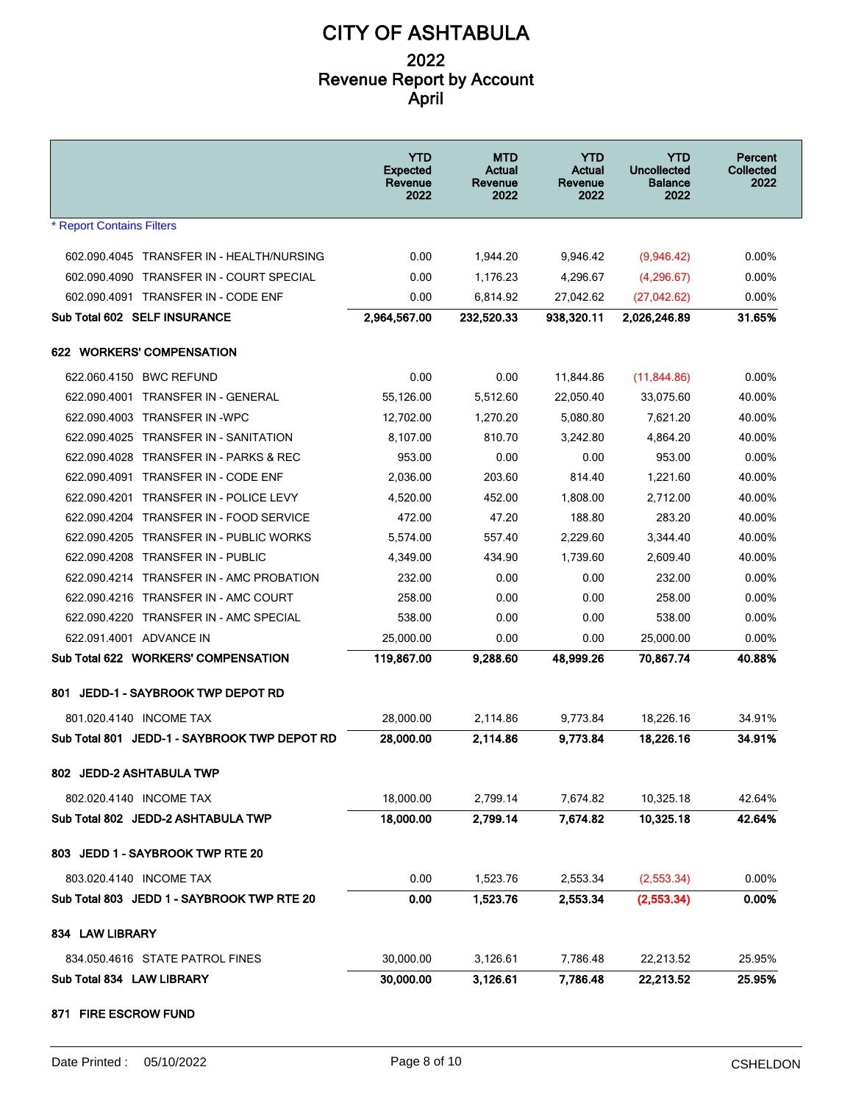|                                                      | <b>YTD</b><br><b>Expected</b><br>Revenue<br>2022 | <b>MTD</b><br>Actual<br>Revenue<br>2022 | <b>YTD</b><br>Actual<br>Revenue<br>2022 | <b>YTD</b><br>Uncollected<br><b>Balance</b><br>2022 | Percent<br>Collected<br>2022 |
|------------------------------------------------------|--------------------------------------------------|-----------------------------------------|-----------------------------------------|-----------------------------------------------------|------------------------------|
| <b>* Report Contains Filters</b>                     |                                                  |                                         |                                         |                                                     |                              |
| 602.090.4045 TRANSFER IN - HEALTH/NURSING            | 0.00                                             | 1,944.20                                | 9,946.42                                | (9,946.42)                                          | $0.00\%$                     |
| 602.090.4090 TRANSFER IN - COURT SPECIAL             | 0.00                                             | 1,176.23                                | 4,296.67                                | (4,296.67)                                          | $0.00\%$                     |
| 602.090.4091 TRANSFER IN - CODE ENF                  | 0.00                                             | 6,814.92                                | 27,042.62                               | (27,042.62)                                         | $0.00\%$                     |
| Sub Total 602 SELF INSURANCE                         | 2,964,567.00                                     | 232,520.33                              | 938,320.11                              | 2.026.246.89                                        | 31.65%                       |
| 622 WORKERS' COMPENSATION                            |                                                  |                                         |                                         |                                                     |                              |
| 622.060.4150 BWC REFUND                              | 0.00                                             | 0.00                                    | 11,844.86                               | (11, 844.86)                                        | $0.00\%$                     |
| 622.090.4001 TRANSFER IN - GENERAL                   | 55.126.00                                        | 5,512.60                                | 22,050.40                               | 33,075.60                                           | 40.00%                       |
| 622.090.4003 TRANSFER IN -WPC                        | 12,702.00                                        | 1,270.20                                | 5,080.80                                | 7,621.20                                            | 40.00%                       |
| 622.090.4025<br><b>TRANSFER IN - SANITATION</b>      | 8,107.00                                         | 810.70                                  | 3,242.80                                | 4,864.20                                            | 40.00%                       |
| <b>TRANSFER IN - PARKS &amp; REC</b><br>622.090.4028 | 953.00                                           | 0.00                                    | 0.00                                    | 953.00                                              | $0.00\%$                     |
| 622.090.4091<br><b>TRANSFER IN - CODE ENF</b>        | 2,036.00                                         | 203.60                                  | 814.40                                  | 1,221.60                                            | 40.00%                       |
| 622.090.4201 TRANSFER IN - POLICE LEVY               | 4,520.00                                         | 452.00                                  | 1,808.00                                | 2,712.00                                            | 40.00%                       |
| 622.090.4204<br><b>TRANSFER IN - FOOD SERVICE</b>    | 472.00                                           | 47.20                                   | 188.80                                  | 283.20                                              | 40.00%                       |
| 622.090.4205<br>TRANSFER IN - PUBLIC WORKS           | 5,574.00                                         | 557.40                                  | 2,229.60                                | 3,344.40                                            | 40.00%                       |
| 622.090.4208<br>TRANSFER IN - PUBLIC                 | 4,349.00                                         | 434.90                                  | 1,739.60                                | 2,609.40                                            | 40.00%                       |
| 622.090.4214 TRANSFER IN - AMC PROBATION             | 232.00                                           | 0.00                                    | 0.00                                    | 232.00                                              | 0.00%                        |
| 622.090.4216 TRANSFER IN - AMC COURT                 | 258.00                                           | 0.00                                    | 0.00                                    | 258.00                                              | $0.00\%$                     |
| 622.090.4220<br>TRANSFER IN - AMC SPECIAL            | 538.00                                           | 0.00                                    | 0.00                                    | 538.00                                              | 0.00%                        |
| 622.091.4001 ADVANCE IN                              | 25,000.00                                        | 0.00                                    | 0.00                                    | 25,000.00                                           | $0.00\%$                     |
| Sub Total 622 WORKERS' COMPENSATION                  | 119,867.00                                       | 9,288.60                                | 48.999.26                               | 70.867.74                                           | 40.88%                       |
| JEDD-1 - SAYBROOK TWP DEPOT RD<br>801                |                                                  |                                         |                                         |                                                     |                              |
| 801.020.4140 INCOME TAX                              | 28,000.00                                        | 2.114.86                                | 9,773.84                                | 18.226.16                                           | 34.91%                       |
| Sub Total 801 JEDD-1 - SAYBROOK TWP DEPOT RD         | 28,000.00                                        | 2,114.86                                | 9,773.84                                | 18,226.16                                           | 34.91%                       |
| 802 JEDD-2 ASHTABULA TWP                             |                                                  |                                         |                                         |                                                     |                              |
| 802.020.4140 INCOME TAX                              | 18,000.00                                        | 2,799.14                                | 7,674.82                                | 10,325.18                                           | 42.64%                       |
| Sub Total 802 JEDD-2 ASHTABULA TWP                   | 18,000.00                                        | 2.799.14                                | 7,674.82                                | 10,325.18                                           | 42.64%                       |
| 803 JEDD 1 - SAYBROOK TWP RTE 20                     |                                                  |                                         |                                         |                                                     |                              |
| 803.020.4140 INCOME TAX                              | 0.00                                             | 1,523.76                                | 2,553.34                                | (2,553.34)                                          | 0.00%                        |
| Sub Total 803 JEDD 1 - SAYBROOK TWP RTE 20           | 0.00                                             | 1,523.76                                | 2,553.34                                | (2,553.34)                                          | 0.00%                        |
| 834 LAW LIBRARY                                      |                                                  |                                         |                                         |                                                     |                              |
| 834.050.4616 STATE PATROL FINES                      | 30,000.00                                        | 3,126.61                                | 7,786.48                                | 22,213.52                                           | 25.95%                       |
| Sub Total 834 LAW LIBRARY                            | 30,000.00                                        | 3,126.61                                | 7,786.48                                | 22,213.52                                           | 25.95%                       |
| 871 FIRE ESCROW FUND                                 |                                                  |                                         |                                         |                                                     |                              |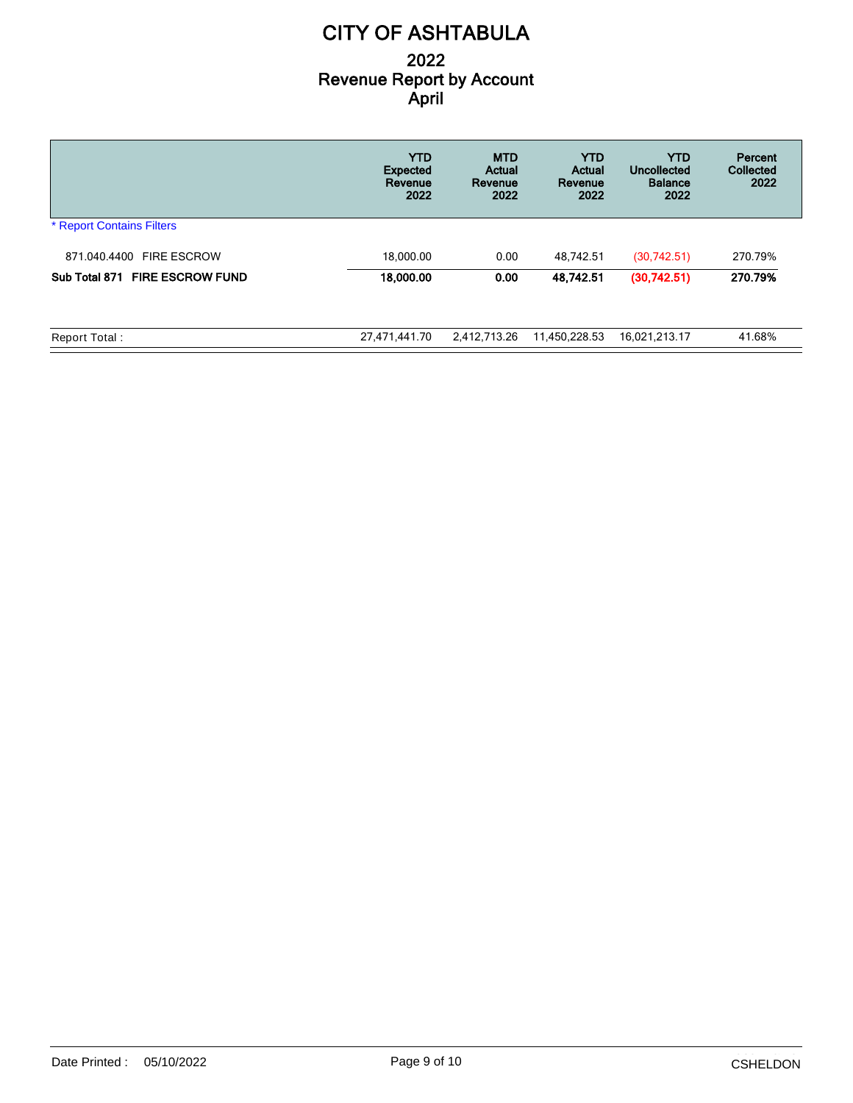|                                          | <b>YTD</b><br><b>Expected</b><br>Revenue<br>2022 | <b>MTD</b><br>Actual<br>Revenue<br>2022 | <b>YTD</b><br>Actual<br>Revenue<br>2022 | <b>YTD</b><br>Uncollected<br><b>Balance</b><br>2022 | Percent<br>Collected<br>2022 |
|------------------------------------------|--------------------------------------------------|-----------------------------------------|-----------------------------------------|-----------------------------------------------------|------------------------------|
| <b>* Report Contains Filters</b>         |                                                  |                                         |                                         |                                                     |                              |
| 871.040.4400 FIRE ESCROW                 | 18.000.00                                        | 0.00                                    | 48.742.51                               | (30,742.51)                                         | 270.79%                      |
| <b>FIRE ESCROW FUND</b><br>Sub Total 871 | 18,000.00                                        | 0.00                                    | 48,742.51                               | (30,742.51)                                         | 270.79%                      |
| Report Total:                            | 27,471,441.70                                    | 2,412,713.26                            | 11,450,228.53                           | 16,021,213.17                                       | 41.68%                       |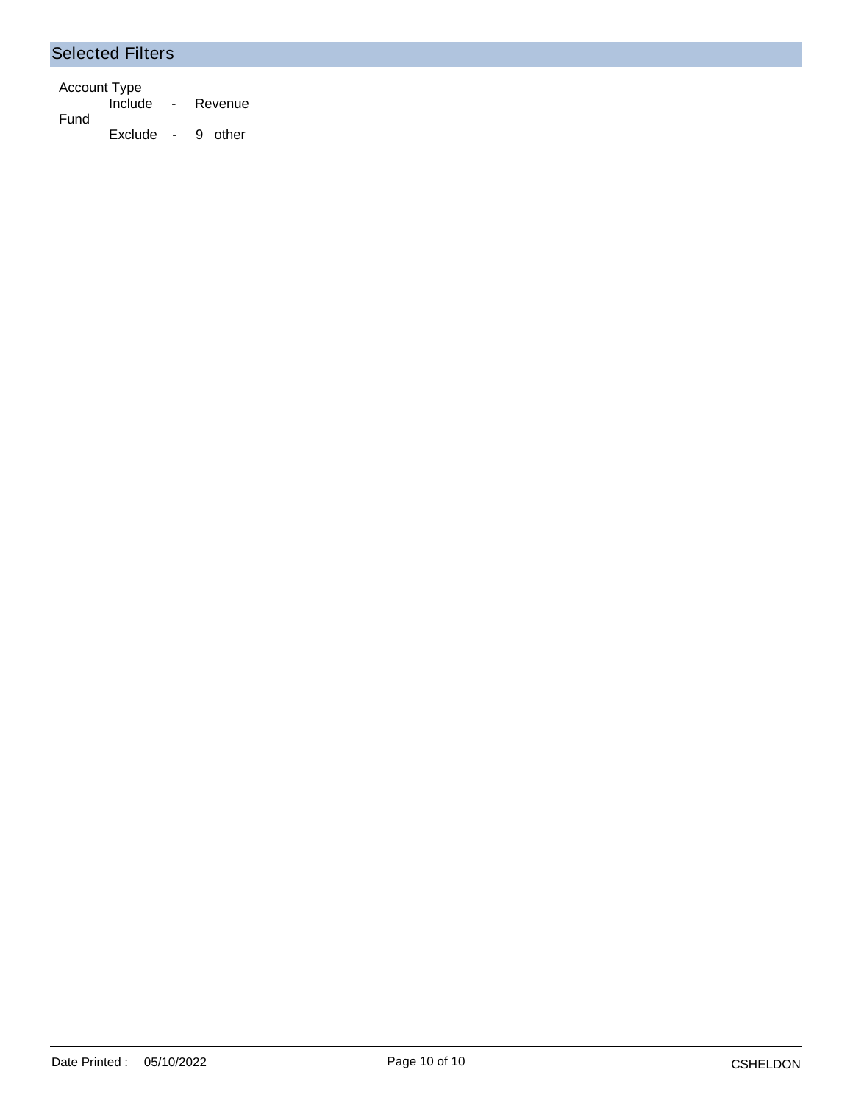#### Selected Filters

Account Type Include - Revenue Fund Exclude - 9 other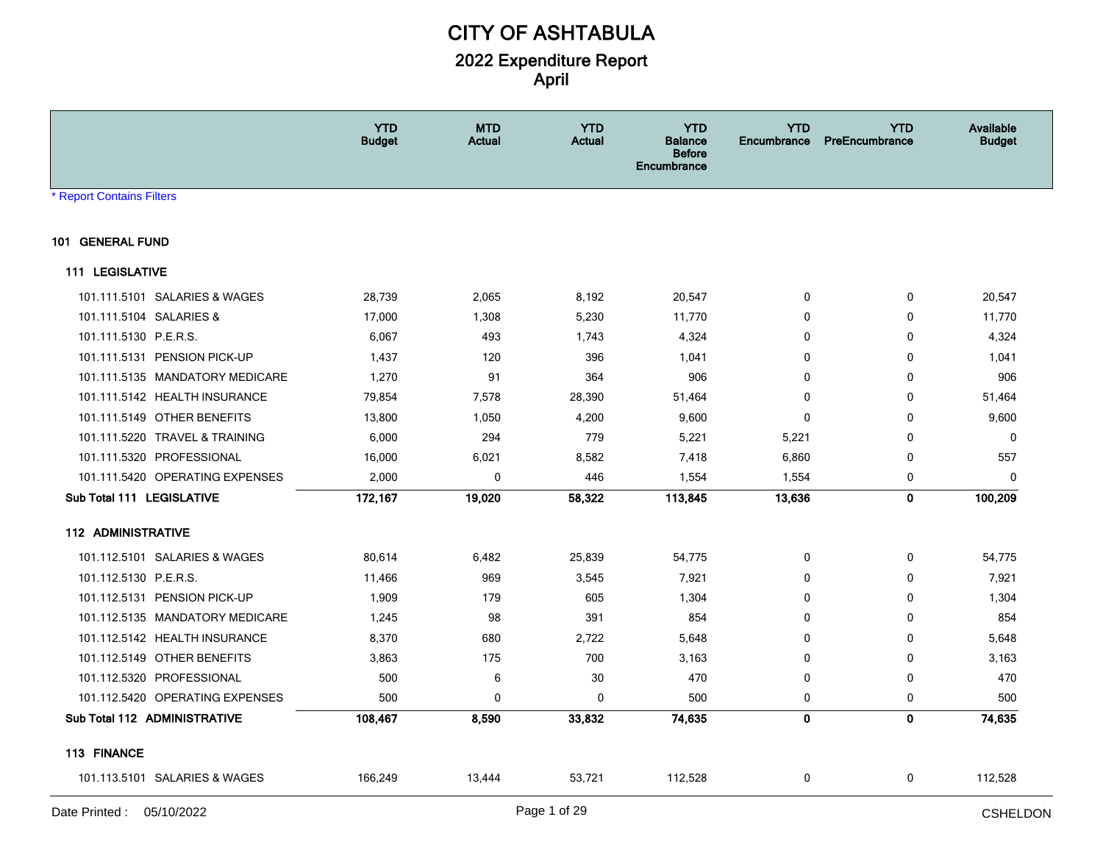|                                 | <b>YTD</b><br><b>Budget</b> | <b>MTD</b><br>Actual | <b>YTD</b><br>Actual | <b>YTD</b><br><b>Balance</b><br><b>Before</b><br>Encumbrance | <b>YTD</b><br>Encumbrance | <b>YTD</b><br>PreEncumbrance | <b>Available</b><br><b>Budget</b> |
|---------------------------------|-----------------------------|----------------------|----------------------|--------------------------------------------------------------|---------------------------|------------------------------|-----------------------------------|
| <b>Report Contains Filters</b>  |                             |                      |                      |                                                              |                           |                              |                                   |
| 101 GENERAL FUND                |                             |                      |                      |                                                              |                           |                              |                                   |
| <b>111 LEGISLATIVE</b>          |                             |                      |                      |                                                              |                           |                              |                                   |
| 101.111.5101 SALARIES & WAGES   | 28,739                      | 2,065                | 8,192                | 20,547                                                       | 0                         | 0                            | 20,547                            |
| 101.111.5104 SALARIES &         | 17,000                      | 1,308                | 5,230                | 11,770                                                       | $\Omega$                  | 0                            | 11,770                            |
| 101.111.5130 P.E.R.S.           | 6,067                       | 493                  | 1,743                | 4,324                                                        | $\mathbf 0$               | $\mathbf 0$                  | 4,324                             |
| 101.111.5131 PENSION PICK-UP    | 1,437                       | 120                  | 396                  | 1,041                                                        | $\mathbf 0$               | $\mathbf 0$                  | 1,041                             |
| 101.111.5135 MANDATORY MEDICARE | 1,270                       | 91                   | 364                  | 906                                                          | $\mathbf 0$               | $\mathbf 0$                  | 906                               |
| 101.111.5142 HEALTH INSURANCE   | 79,854                      | 7,578                | 28,390               | 51,464                                                       | $\Omega$                  | 0                            | 51,464                            |
| 101.111.5149 OTHER BENEFITS     | 13,800                      | 1,050                | 4,200                | 9,600                                                        | $\Omega$                  | $\mathbf 0$                  | 9,600                             |
| 101.111.5220 TRAVEL & TRAINING  | 6,000                       | 294                  | 779                  | 5,221                                                        | 5,221                     | $\mathbf 0$                  | 0                                 |
| 101.111.5320 PROFESSIONAL       | 16,000                      | 6,021                | 8,582                | 7,418                                                        | 6,860                     | 0                            | 557                               |
| 101.111.5420 OPERATING EXPENSES | 2,000                       | 0                    | 446                  | 1,554                                                        | 1,554                     | 0                            | 0                                 |
| Sub Total 111 LEGISLATIVE       | 172,167                     | 19,020               | 58,322               | 113,845                                                      | 13,636                    | $\mathbf 0$                  | 100,209                           |
| <b>112 ADMINISTRATIVE</b>       |                             |                      |                      |                                                              |                           |                              |                                   |
| 101.112.5101 SALARIES & WAGES   | 80,614                      | 6,482                | 25,839               | 54,775                                                       | 0                         | 0                            | 54,775                            |
| 101.112.5130 P.E.R.S.           | 11,466                      | 969                  | 3,545                | 7,921                                                        | $\mathbf 0$               | 0                            | 7,921                             |
| 101.112.5131 PENSION PICK-UP    | 1,909                       | 179                  | 605                  | 1,304                                                        | $\mathbf{0}$              | $\mathbf 0$                  | 1,304                             |
| 101.112.5135 MANDATORY MEDICARE | 1,245                       | 98                   | 391                  | 854                                                          | $\mathbf{0}$              | $\mathbf{0}$                 | 854                               |
| 101.112.5142 HEALTH INSURANCE   | 8,370                       | 680                  | 2,722                | 5,648                                                        | $\mathbf 0$               | $\mathbf 0$                  | 5,648                             |
| 101.112.5149 OTHER BENEFITS     | 3,863                       | 175                  | 700                  | 3,163                                                        | $\mathbf 0$               | 0                            | 3,163                             |
| 101.112.5320 PROFESSIONAL       | 500                         | 6                    | 30                   | 470                                                          | 0                         | 0                            | 470                               |
| 101.112.5420 OPERATING EXPENSES | 500                         | 0                    | $\mathbf 0$          | 500                                                          | 0                         | 0                            | 500                               |
| Sub Total 112 ADMINISTRATIVE    | 108,467                     | 8,590                | 33,832               | 74,635                                                       | $\mathbf 0$               | $\mathbf 0$                  | 74,635                            |
| 113 FINANCE                     |                             |                      |                      |                                                              |                           |                              |                                   |
| 101.113.5101 SALARIES & WAGES   | 166,249                     | 13,444               | 53,721               | 112,528                                                      | 0                         | 0                            | 112,528                           |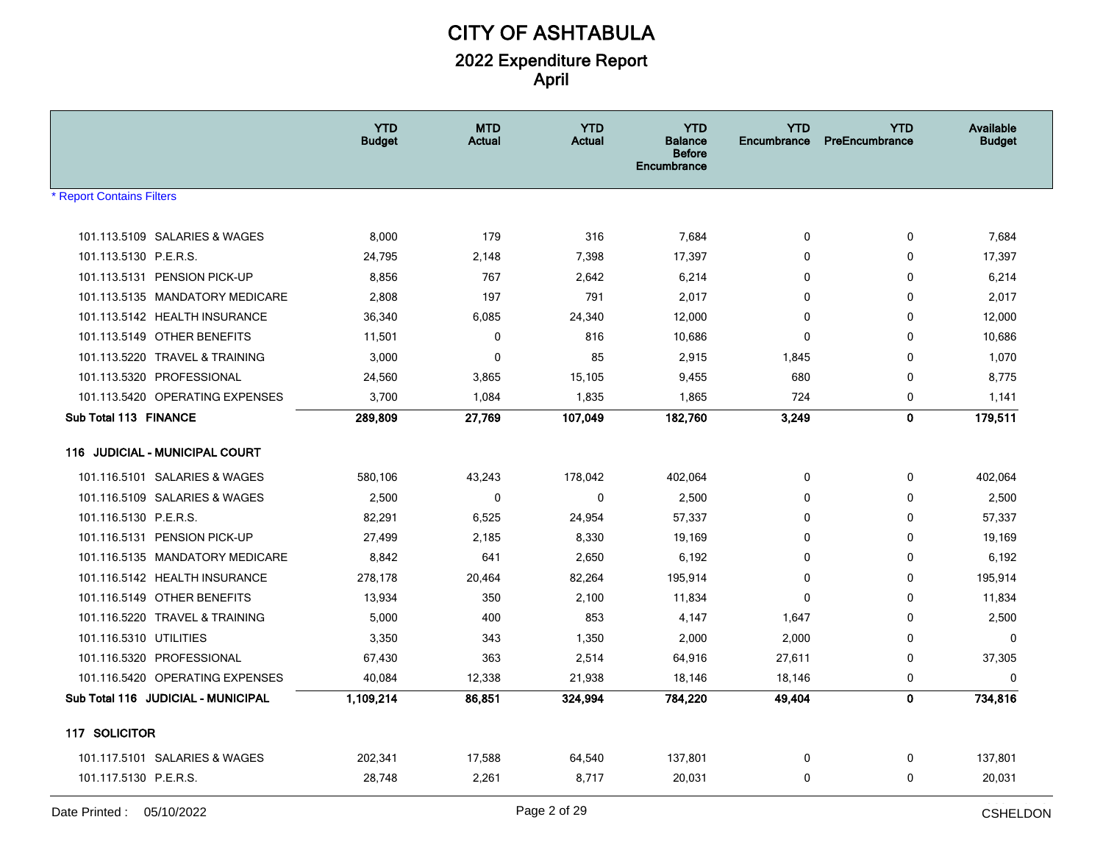|                                       | <b>YTD</b><br><b>Budget</b> | <b>MTD</b><br>Actual | <b>YTD</b><br><b>Actual</b> | <b>YTD</b><br><b>Balance</b><br><b>Before</b><br>Encumbrance | <b>YTD</b><br><b>Encumbrance</b> | <b>YTD</b><br>PreEncumbrance | <b>Available</b><br><b>Budget</b> |
|---------------------------------------|-----------------------------|----------------------|-----------------------------|--------------------------------------------------------------|----------------------------------|------------------------------|-----------------------------------|
| <b>Report Contains Filters</b>        |                             |                      |                             |                                                              |                                  |                              |                                   |
|                                       |                             |                      |                             |                                                              |                                  |                              |                                   |
| 101.113.5109 SALARIES & WAGES         | 8,000                       | 179                  | 316                         | 7,684                                                        | 0                                | 0                            | 7,684                             |
| 101.113.5130 P.E.R.S.                 | 24,795                      | 2,148                | 7,398                       | 17,397                                                       | 0                                | 0                            | 17,397                            |
| 101.113.5131 PENSION PICK-UP          | 8,856                       | 767                  | 2,642                       | 6,214                                                        | 0                                | 0                            | 6,214                             |
| 101.113.5135 MANDATORY MEDICARE       | 2,808                       | 197                  | 791                         | 2,017                                                        | 0                                | 0                            | 2,017                             |
| 101.113.5142 HEALTH INSURANCE         | 36,340                      | 6,085                | 24,340                      | 12,000                                                       | 0                                | 0                            | 12,000                            |
| 101.113.5149 OTHER BENEFITS           | 11,501                      | 0                    | 816                         | 10,686                                                       | 0                                | 0                            | 10,686                            |
| 101.113.5220 TRAVEL & TRAINING        | 3,000                       | $\mathbf 0$          | 85                          | 2,915                                                        | 1,845                            | 0                            | 1,070                             |
| 101.113.5320 PROFESSIONAL             | 24,560                      | 3,865                | 15,105                      | 9,455                                                        | 680                              | 0                            | 8,775                             |
| 101.113.5420 OPERATING EXPENSES       | 3,700                       | 1,084                | 1,835                       | 1,865                                                        | 724                              | 0                            | 1,141                             |
| Sub Total 113 FINANCE                 | 289,809                     | 27,769               | 107,049                     | 182,760                                                      | 3,249                            | $\mathbf 0$                  | 179,511                           |
| <b>116 JUDICIAL - MUNICIPAL COURT</b> |                             |                      |                             |                                                              |                                  |                              |                                   |
| 101.116.5101 SALARIES & WAGES         | 580,106                     | 43,243               | 178,042                     | 402,064                                                      | 0                                | $\Omega$                     | 402,064                           |
| 101.116.5109 SALARIES & WAGES         | 2,500                       | $\mathbf 0$          | $\mathbf{0}$                | 2,500                                                        | 0                                | 0                            | 2,500                             |
| 101.116.5130 P.E.R.S.                 | 82,291                      | 6,525                | 24,954                      | 57,337                                                       | 0                                | 0                            | 57,337                            |
| 101.116.5131 PENSION PICK-UP          | 27,499                      | 2,185                | 8,330                       | 19,169                                                       | 0                                | 0                            | 19,169                            |
| 101.116.5135 MANDATORY MEDICARE       | 8,842                       | 641                  | 2,650                       | 6,192                                                        | 0                                | 0                            | 6,192                             |
| 101.116.5142 HEALTH INSURANCE         | 278,178                     | 20,464               | 82,264                      | 195,914                                                      | 0                                | 0                            | 195,914                           |
| 101.116.5149 OTHER BENEFITS           | 13,934                      | 350                  | 2,100                       | 11,834                                                       | 0                                | 0                            | 11,834                            |
| 101.116.5220 TRAVEL & TRAINING        | 5,000                       | 400                  | 853                         | 4,147                                                        | 1,647                            | 0                            | 2,500                             |
| 101.116.5310 UTILITIES                | 3,350                       | 343                  | 1,350                       | 2,000                                                        | 2,000                            | 0                            | $\Omega$                          |
| 101.116.5320 PROFESSIONAL             | 67,430                      | 363                  | 2,514                       | 64,916                                                       | 27,611                           | 0                            | 37,305                            |
| 101.116.5420 OPERATING EXPENSES       | 40,084                      | 12,338               | 21,938                      | 18,146                                                       | 18,146                           | 0                            | $\Omega$                          |
| Sub Total 116 JUDICIAL - MUNICIPAL    | 1,109,214                   | 86,851               | 324,994                     | 784,220                                                      | 49,404                           | $\mathbf 0$                  | 734,816                           |
| 117 SOLICITOR                         |                             |                      |                             |                                                              |                                  |                              |                                   |
| 101.117.5101 SALARIES & WAGES         | 202,341                     | 17,588               | 64,540                      | 137,801                                                      | 0                                | 0                            | 137,801                           |
| 101.117.5130 P.E.R.S.                 | 28,748                      | 2,261                | 8,717                       | 20,031                                                       | 0                                | 0                            | 20,031                            |
|                                       |                             |                      |                             |                                                              |                                  |                              | المتنبذة والممالي                 |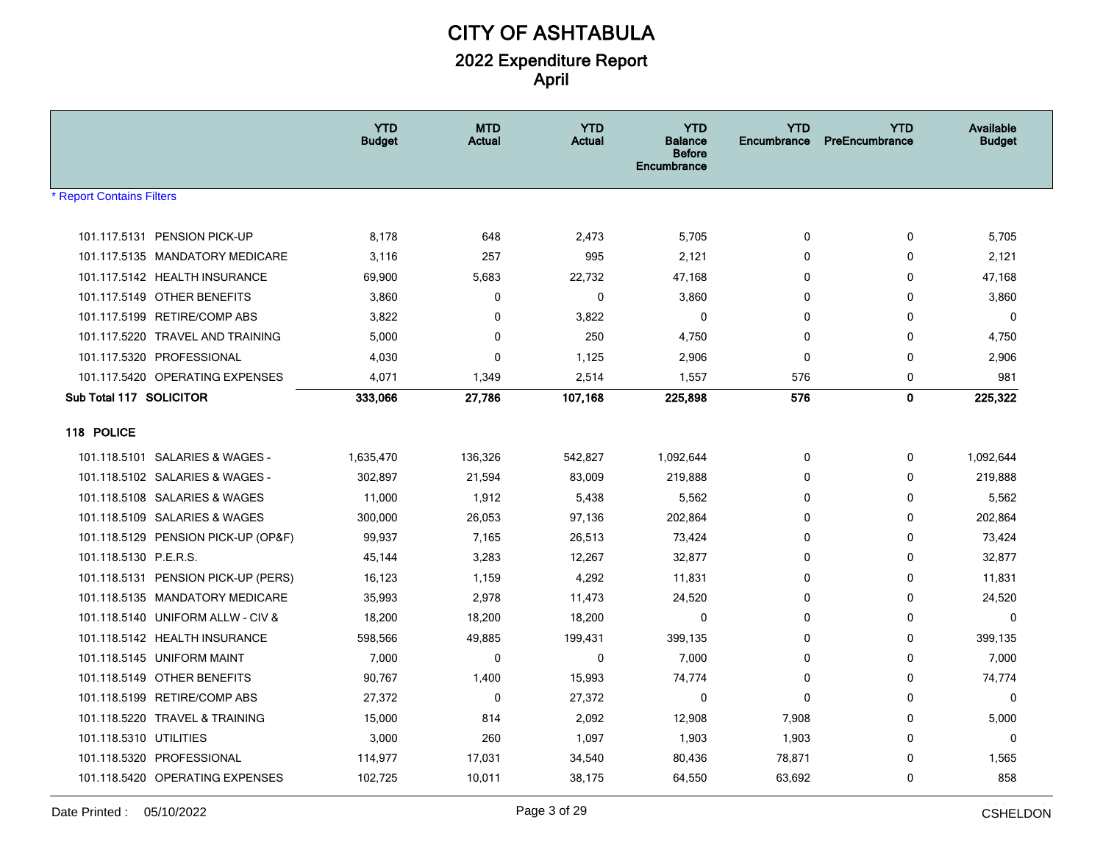|                                     | <b>YTD</b><br><b>Budget</b> | <b>MTD</b><br><b>Actual</b> | <b>YTD</b><br><b>Actual</b> | <b>YTD</b><br><b>Balance</b><br><b>Before</b><br>Encumbrance | <b>YTD</b><br><b>Encumbrance</b> | <b>YTD</b><br>PreEncumbrance | <b>Available</b><br><b>Budget</b> |
|-------------------------------------|-----------------------------|-----------------------------|-----------------------------|--------------------------------------------------------------|----------------------------------|------------------------------|-----------------------------------|
| * Report Contains Filters           |                             |                             |                             |                                                              |                                  |                              |                                   |
|                                     |                             |                             |                             |                                                              |                                  |                              |                                   |
| 101.117.5131 PENSION PICK-UP        | 8,178                       | 648                         | 2,473                       | 5,705                                                        | 0                                | 0                            | 5,705                             |
| 101.117.5135 MANDATORY MEDICARE     | 3,116                       | 257                         | 995                         | 2,121                                                        | 0                                | $\mathbf 0$                  | 2,121                             |
| 101.117.5142 HEALTH INSURANCE       | 69,900                      | 5,683                       | 22,732                      | 47,168                                                       | 0                                | 0                            | 47,168                            |
| 101.117.5149 OTHER BENEFITS         | 3,860                       | $\mathbf 0$                 | $\mathbf{0}$                | 3,860                                                        | $\mathbf{0}$                     | $\mathbf 0$                  | 3,860                             |
| 101.117.5199 RETIRE/COMP ABS        | 3,822                       | 0                           | 3,822                       | $\mathbf 0$                                                  | 0                                | 0                            | 0                                 |
| 101.117.5220 TRAVEL AND TRAINING    | 5,000                       | $\mathbf 0$                 | 250                         | 4,750                                                        | $\mathbf{0}$                     | $\mathbf 0$                  | 4,750                             |
| 101.117.5320 PROFESSIONAL           | 4,030                       | $\mathbf 0$                 | 1,125                       | 2,906                                                        | 0                                | 0                            | 2,906                             |
| 101.117.5420 OPERATING EXPENSES     | 4,071                       | 1,349                       | 2,514                       | 1,557                                                        | 576                              | 0                            | 981                               |
| Sub Total 117 SOLICITOR             | 333,066                     | 27,786                      | 107,168                     | 225,898                                                      | 576                              | $\mathbf 0$                  | 225,322                           |
| 118 POLICE                          |                             |                             |                             |                                                              |                                  |                              |                                   |
| 101.118.5101 SALARIES & WAGES -     | 1,635,470                   | 136,326                     | 542,827                     | 1,092,644                                                    | 0                                | 0                            | 1,092,644                         |
| 101.118.5102 SALARIES & WAGES -     | 302,897                     | 21,594                      | 83,009                      | 219,888                                                      | 0                                | 0                            | 219,888                           |
| 101.118.5108 SALARIES & WAGES       | 11,000                      | 1,912                       | 5,438                       | 5,562                                                        | 0                                | 0                            | 5,562                             |
| 101.118.5109 SALARIES & WAGES       | 300,000                     | 26,053                      | 97,136                      | 202,864                                                      | 0                                | $\mathbf 0$                  | 202,864                           |
| 101.118.5129 PENSION PICK-UP (OP&F) | 99,937                      | 7,165                       | 26,513                      | 73,424                                                       | 0                                | $\mathbf 0$                  | 73,424                            |
| 101.118.5130 P.E.R.S.               | 45,144                      | 3,283                       | 12,267                      | 32,877                                                       | 0                                | $\mathbf 0$                  | 32,877                            |
| 101.118.5131 PENSION PICK-UP (PERS) | 16,123                      | 1,159                       | 4,292                       | 11,831                                                       | $\mathbf{0}$                     | 0                            | 11,831                            |
| 101.118.5135 MANDATORY MEDICARE     | 35,993                      | 2,978                       | 11,473                      | 24,520                                                       | 0                                | $\mathbf 0$                  | 24,520                            |
| 101.118.5140 UNIFORM ALLW - CIV &   | 18,200                      | 18,200                      | 18,200                      | 0                                                            | 0                                | $\mathbf 0$                  | 0                                 |
| 101.118.5142 HEALTH INSURANCE       | 598,566                     | 49,885                      | 199,431                     | 399,135                                                      | $\Omega$                         | 0                            | 399,135                           |
| 101.118.5145 UNIFORM MAINT          | 7,000                       | 0                           | 0                           | 7,000                                                        | 0                                | 0                            | 7,000                             |
| 101.118.5149 OTHER BENEFITS         | 90,767                      | 1,400                       | 15,993                      | 74,774                                                       | 0                                | $\mathbf 0$                  | 74,774                            |
| 101.118.5199 RETIRE/COMP ABS        | 27,372                      | $\mathbf 0$                 | 27,372                      | 0                                                            | $\mathbf{0}$                     | 0                            | 0                                 |
| 101.118.5220 TRAVEL & TRAINING      | 15,000                      | 814                         | 2,092                       | 12,908                                                       | 7,908                            | 0                            | 5,000                             |
| 101.118.5310 UTILITIES              | 3,000                       | 260                         | 1,097                       | 1,903                                                        | 1,903                            | 0                            | 0                                 |
| 101.118.5320 PROFESSIONAL           | 114,977                     | 17,031                      | 34,540                      | 80,436                                                       | 78,871                           | $\mathbf 0$                  | 1,565                             |
| 101.118.5420 OPERATING EXPENSES     | 102,725                     | 10,011                      | 38,175                      | 64,550                                                       | 63,692                           | 0                            | 858                               |
|                                     |                             |                             |                             |                                                              |                                  |                              |                                   |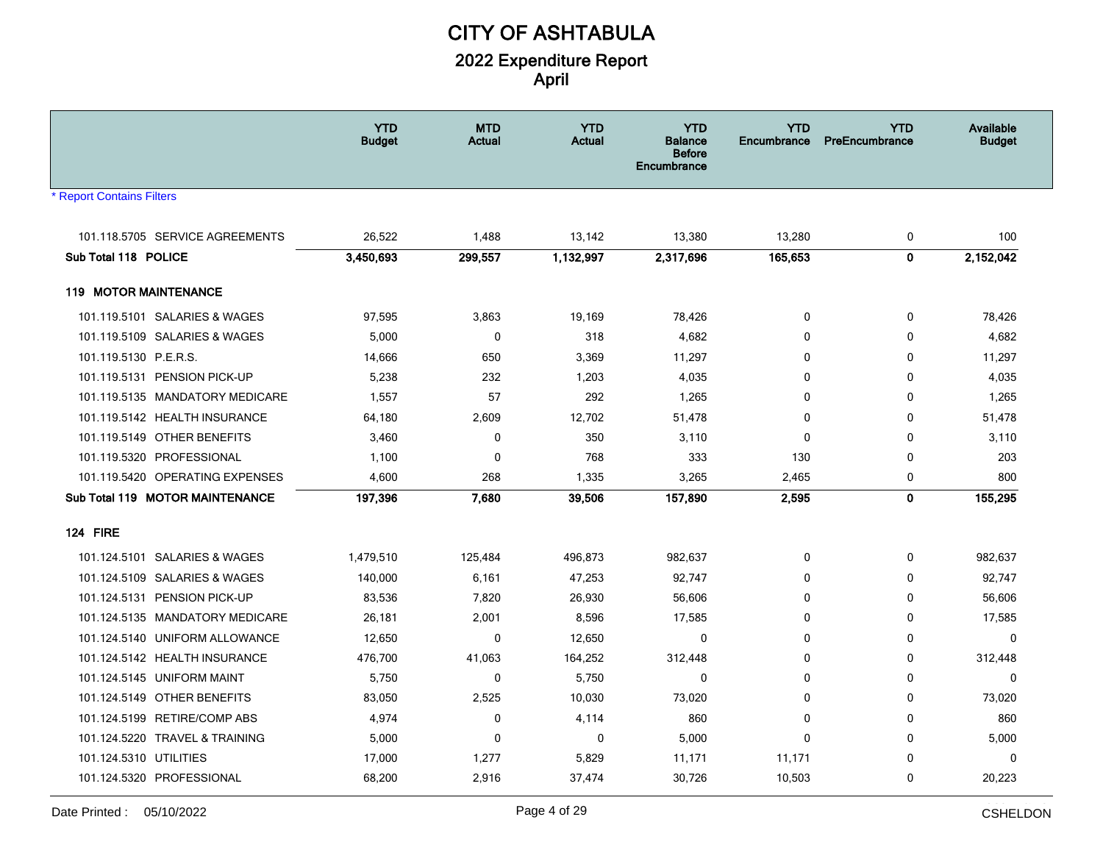|                                 | <b>YTD</b><br><b>Budget</b> | <b>MTD</b><br><b>Actual</b> | <b>YTD</b><br><b>Actual</b> | <b>YTD</b><br>Balance<br><b>Before</b><br>Encumbrance | <b>YTD</b><br><b>Encumbrance</b> | <b>YTD</b><br>PreEncumbrance | <b>Available</b><br><b>Budget</b> |
|---------------------------------|-----------------------------|-----------------------------|-----------------------------|-------------------------------------------------------|----------------------------------|------------------------------|-----------------------------------|
| <b>Report Contains Filters</b>  |                             |                             |                             |                                                       |                                  |                              |                                   |
| 101.118.5705 SERVICE AGREEMENTS | 26,522                      | 1,488                       | 13,142                      | 13,380                                                | 13,280                           | 0                            | 100                               |
| Sub Total 118 POLICE            | 3,450,693                   | 299,557                     | 1,132,997                   | 2,317,696                                             | 165,653                          | 0                            | 2,152,042                         |
|                                 |                             |                             |                             |                                                       |                                  |                              |                                   |
| <b>119 MOTOR MAINTENANCE</b>    |                             |                             |                             |                                                       |                                  |                              |                                   |
| 101.119.5101 SALARIES & WAGES   | 97,595                      | 3,863                       | 19,169                      | 78,426                                                | $\mathbf 0$                      | 0                            | 78,426                            |
| 101.119.5109 SALARIES & WAGES   | 5,000                       | $\mathbf 0$                 | 318                         | 4.682                                                 | $\Omega$                         | $\mathbf 0$                  | 4,682                             |
| 101.119.5130 P.E.R.S.           | 14,666                      | 650                         | 3,369                       | 11,297                                                | $\mathbf 0$                      | 0                            | 11,297                            |
| 101.119.5131 PENSION PICK-UP    | 5,238                       | 232                         | 1,203                       | 4,035                                                 | $\mathbf 0$                      | 0                            | 4,035                             |
| 101.119.5135 MANDATORY MEDICARE | 1,557                       | 57                          | 292                         | 1,265                                                 | $\mathbf 0$                      | $\mathbf 0$                  | 1,265                             |
| 101.119.5142 HEALTH INSURANCE   | 64,180                      | 2,609                       | 12,702                      | 51,478                                                | 0                                | 0                            | 51,478                            |
| 101.119.5149 OTHER BENEFITS     | 3,460                       | 0                           | 350                         | 3,110                                                 | $\mathbf 0$                      | $\mathbf 0$                  | 3,110                             |
| 101.119.5320 PROFESSIONAL       | 1,100                       | $\mathbf 0$                 | 768                         | 333                                                   | 130                              | 0                            | 203                               |
| 101.119.5420 OPERATING EXPENSES | 4,600                       | 268                         | 1,335                       | 3,265                                                 | 2,465                            | 0                            | 800                               |
| Sub Total 119 MOTOR MAINTENANCE | 197,396                     | 7,680                       | 39,506                      | 157,890                                               | 2,595                            | $\mathbf{0}$                 | 155,295                           |
| <b>124 FIRE</b>                 |                             |                             |                             |                                                       |                                  |                              |                                   |
| 101.124.5101 SALARIES & WAGES   | 1,479,510                   | 125,484                     | 496,873                     | 982,637                                               | 0                                | 0                            | 982,637                           |
| 101.124.5109 SALARIES & WAGES   | 140,000                     | 6,161                       | 47,253                      | 92,747                                                | 0                                | 0                            | 92,747                            |
| 101.124.5131 PENSION PICK-UP    | 83,536                      | 7,820                       | 26,930                      | 56,606                                                | 0                                | 0                            | 56,606                            |
| 101.124.5135 MANDATORY MEDICARE | 26,181                      | 2,001                       | 8,596                       | 17,585                                                | 0                                | 0                            | 17,585                            |
| 101.124.5140 UNIFORM ALLOWANCE  | 12,650                      | $\mathbf 0$                 | 12,650                      | $\mathbf{0}$                                          | $\mathbf 0$                      | $\mathbf 0$                  | $\mathbf 0$                       |
| 101.124.5142 HEALTH INSURANCE   | 476,700                     | 41,063                      | 164,252                     | 312,448                                               | $\Omega$                         | $\mathbf 0$                  | 312,448                           |
| 101.124.5145 UNIFORM MAINT      | 5,750                       | $\mathbf 0$                 | 5,750                       | $\mathbf{0}$                                          | $\Omega$                         | $\mathbf 0$                  | $\Omega$                          |
| 101.124.5149 OTHER BENEFITS     | 83,050                      | 2,525                       | 10,030                      | 73,020                                                | $\Omega$                         | 0                            | 73,020                            |
| 101.124.5199 RETIRE/COMP ABS    | 4,974                       | 0                           | 4,114                       | 860                                                   | $\mathbf 0$                      | 0                            | 860                               |
| 101.124.5220 TRAVEL & TRAINING  | 5,000                       | 0                           | $\pmb{0}$                   | 5,000                                                 | $\mathbf 0$                      | 0                            | 5,000                             |
| 101.124.5310 UTILITIES          | 17,000                      | 1,277                       | 5,829                       | 11,171                                                | 11,171                           | 0                            | 0                                 |
| 101.124.5320 PROFESSIONAL       | 68,200                      | 2,916                       | 37,474                      | 30,726                                                | 10,503                           | 0                            | 20,223                            |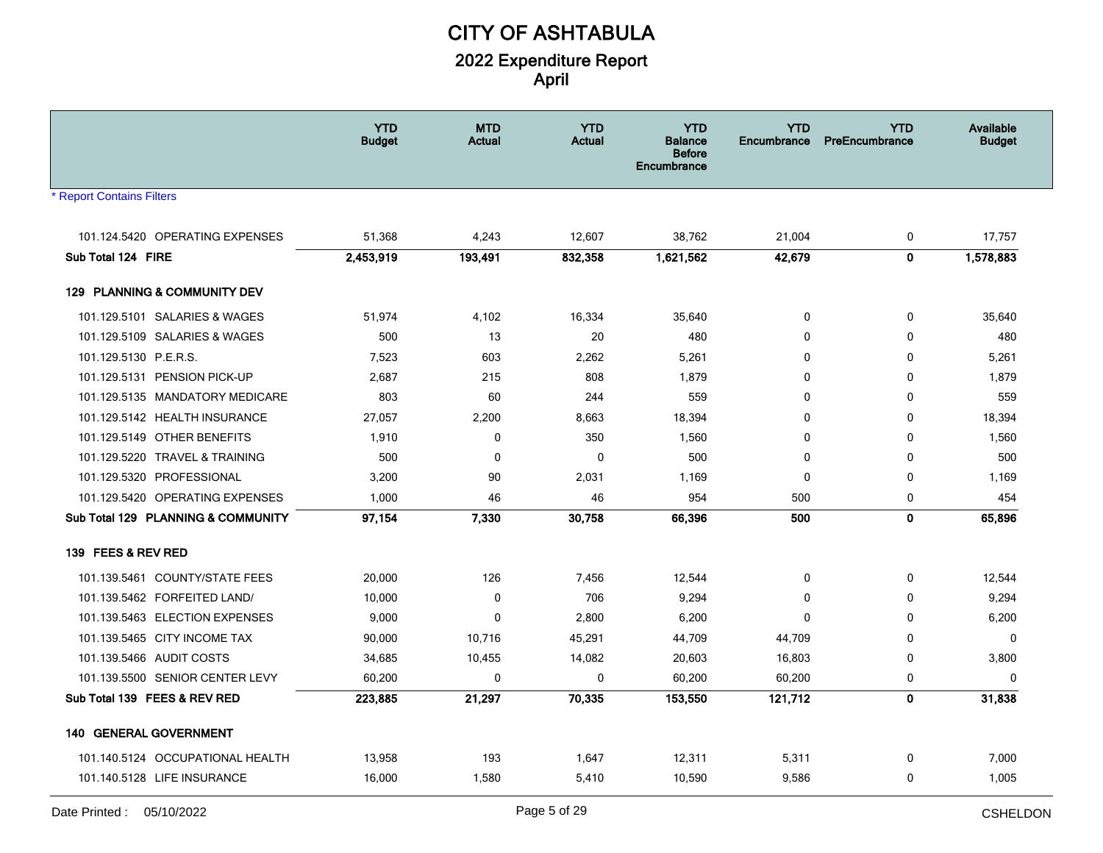| <b>YTD</b><br><b>YTD</b><br><b>MTD</b><br><b>YTD</b><br><b>Budget</b><br><b>Actual</b><br><b>Actual</b><br><b>Balance</b><br><b>Before</b><br>Encumbrance | <b>YTD</b><br>Encumbrance | <b>YTD</b><br>PreEncumbrance | <b>Available</b><br><b>Budget</b> |
|-----------------------------------------------------------------------------------------------------------------------------------------------------------|---------------------------|------------------------------|-----------------------------------|
| <b>Report Contains Filters</b>                                                                                                                            |                           |                              |                                   |
| 12,607<br>101.124.5420 OPERATING EXPENSES<br>51,368<br>4,243<br>38,762                                                                                    | 21,004                    | 0                            | 17,757                            |
| Sub Total 124 FIRE<br>1,621,562<br>2,453,919<br>193,491<br>832,358                                                                                        | 42,679                    | $\pmb{0}$                    | 1,578,883                         |
| 129 PLANNING & COMMUNITY DEV                                                                                                                              |                           |                              |                                   |
| 101.129.5101 SALARIES & WAGES<br>51,974<br>4,102<br>16,334<br>35,640                                                                                      | $\mathbf 0$               | 0                            | 35,640                            |
| 101.129.5109 SALARIES & WAGES<br>500<br>13<br>20                                                                                                          | 480<br>$\Omega$           | $\mathbf 0$                  | 480                               |
| 101.129.5130 P.E.R.S.<br>7,523<br>603<br>2,262<br>5,261                                                                                                   | 0                         | 0                            | 5,261                             |
| 101.129.5131 PENSION PICK-UP<br>808<br>1,879<br>2,687<br>215                                                                                              | $\mathbf 0$               | 0                            | 1,879                             |
| 101.129.5135 MANDATORY MEDICARE<br>803<br>60<br>244                                                                                                       | 559<br>$\Omega$           | $\mathbf 0$                  | 559                               |
| 101.129.5142 HEALTH INSURANCE<br>27,057<br>2,200<br>8,663<br>18,394                                                                                       | $\Omega$                  | $\mathbf 0$                  | 18,394                            |
| 101.129.5149 OTHER BENEFITS<br>1,910<br>$\mathbf 0$<br>350<br>1,560                                                                                       | $\mathbf 0$               | $\mathbf 0$                  | 1,560                             |
| 101.129.5220 TRAVEL & TRAINING<br>500<br>0<br>0                                                                                                           | 500<br>0                  | 0                            | 500                               |
| 90<br>2,031<br>1,169<br>101.129.5320 PROFESSIONAL<br>3,200                                                                                                | 0                         | 0                            | 1,169                             |
| 101.129.5420 OPERATING EXPENSES<br>46<br>1,000<br>46                                                                                                      | 954<br>500                | $\mathbf 0$                  | 454                               |
| Sub Total 129 PLANNING & COMMUNITY<br>97,154<br>7,330<br>30,758<br>66,396                                                                                 | 500                       | $\mathbf 0$                  | 65,896                            |
| 139 FEES & REV RED                                                                                                                                        |                           |                              |                                   |
| 7,456<br>101.139.5461 COUNTY/STATE FEES<br>20,000<br>126<br>12,544                                                                                        | 0                         | 0                            | 12,544                            |
| 101.139.5462 FORFEITED LAND/<br>$\mathbf 0$<br>706<br>9,294<br>10,000                                                                                     | 0                         | 0                            | 9,294                             |
| 101.139.5463 ELECTION EXPENSES<br>$\mathbf{0}$<br>2,800<br>6,200<br>9,000                                                                                 | $\Omega$                  | $\mathbf 0$                  | 6,200                             |
| 101.139.5465 CITY INCOME TAX<br>10,716<br>45,291<br>44,709<br>90,000                                                                                      | 44,709                    | $\mathbf 0$                  | 0                                 |
| 101.139.5466 AUDIT COSTS<br>10,455<br>14,082<br>20,603<br>34,685                                                                                          | 16,803                    | 0                            | 3,800                             |
| 101.139.5500 SENIOR CENTER LEVY<br>$\mathbf 0$<br>60,200<br>0<br>60,200                                                                                   | 60,200                    | 0                            | 0                                 |
| Sub Total 139 FEES & REV RED<br>70,335<br>153,550<br>223,885<br>21,297                                                                                    | 121,712                   | $\mathbf 0$                  | 31,838                            |
| <b>140 GENERAL GOVERNMENT</b>                                                                                                                             |                           |                              |                                   |
| 101.140.5124 OCCUPATIONAL HEALTH<br>13,958<br>193<br>1,647<br>12,311                                                                                      | 5,311                     | 0                            | 7,000                             |
| 101.140.5128 LIFE INSURANCE<br>1,580<br>5,410<br>10,590<br>16,000                                                                                         | 9,586                     | 0                            | 1,005                             |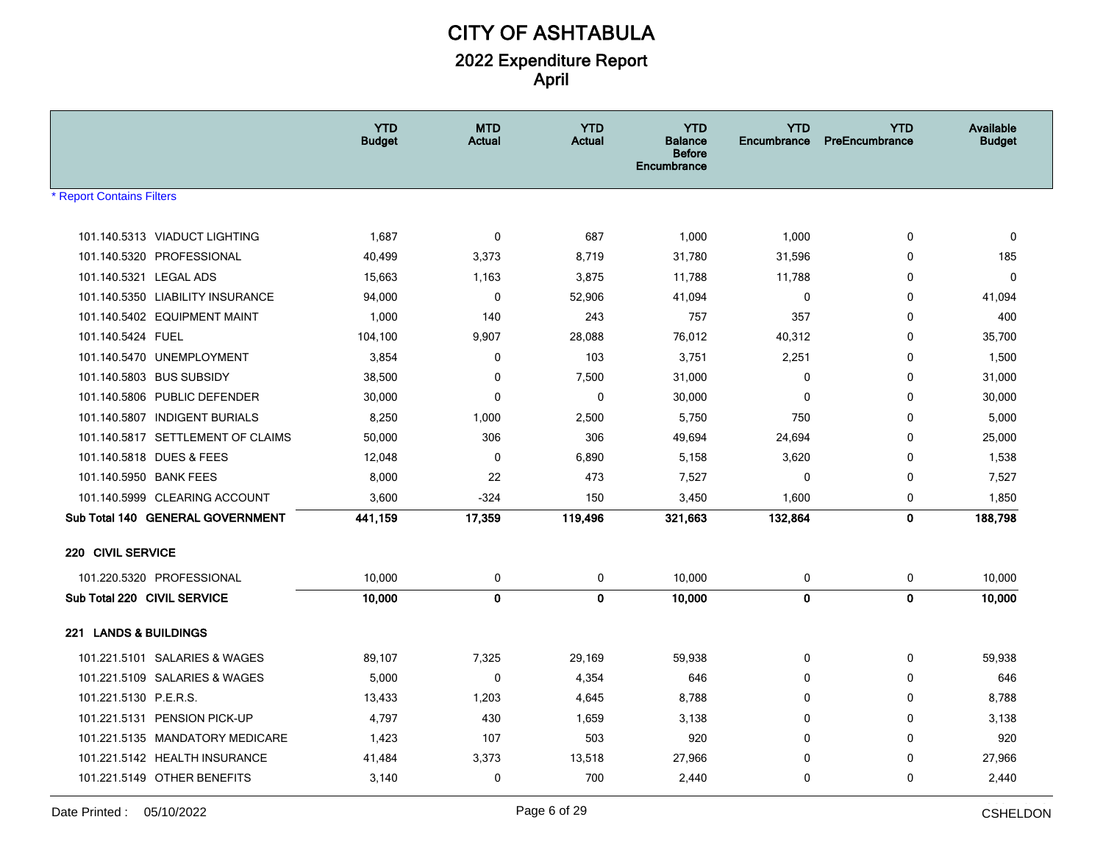|                                                     | <b>YTD</b><br><b>Budget</b> | <b>MTD</b><br><b>Actual</b> | <b>YTD</b><br><b>Actual</b> | <b>YTD</b><br><b>Balance</b><br><b>Before</b><br><b>Encumbrance</b> | <b>YTD</b><br>Encumbrance | <b>YTD</b><br>PreEncumbrance | <b>Available</b><br><b>Budget</b> |
|-----------------------------------------------------|-----------------------------|-----------------------------|-----------------------------|---------------------------------------------------------------------|---------------------------|------------------------------|-----------------------------------|
| <b>Report Contains Filters</b>                      |                             |                             |                             |                                                                     |                           |                              |                                   |
|                                                     |                             |                             |                             |                                                                     |                           |                              |                                   |
| 101.140.5313 VIADUCT LIGHTING                       | 1,687                       | $\mathbf 0$                 | 687                         | 1,000                                                               | 1,000                     | 0                            | $\mathbf 0$                       |
| 101.140.5320 PROFESSIONAL<br>101.140.5321 LEGAL ADS | 40,499                      | 3,373                       | 8,719<br>3,875              | 31,780<br>11,788                                                    | 31,596<br>11,788          | 0<br>$\mathbf 0$             | 185<br>$\Omega$                   |
| 101.140.5350 LIABILITY INSURANCE                    | 15,663<br>94,000            | 1,163<br>$\mathbf 0$        | 52,906                      | 41,094                                                              | $\mathbf 0$               | $\mathbf 0$                  | 41,094                            |
| 101.140.5402 EQUIPMENT MAINT                        | 1,000                       | 140                         | 243                         | 757                                                                 | 357                       | $\mathbf 0$                  | 400                               |
| 101.140.5424 FUEL                                   | 104,100                     | 9,907                       | 28,088                      | 76,012                                                              | 40,312                    | $\mathbf 0$                  | 35,700                            |
| 101.140.5470 UNEMPLOYMENT                           | 3,854                       | 0                           | 103                         | 3,751                                                               | 2,251                     | 0                            | 1,500                             |
| 101.140.5803 BUS SUBSIDY                            | 38,500                      | 0                           | 7,500                       | 31,000                                                              | 0                         | 0                            | 31,000                            |
| 101.140.5806 PUBLIC DEFENDER                        | 30,000                      | $\mathbf 0$                 | 0                           | 30,000                                                              | 0                         | $\mathbf 0$                  | 30,000                            |
| 101.140.5807 INDIGENT BURIALS                       | 8,250                       | 1,000                       | 2,500                       | 5,750                                                               | 750                       | $\mathbf 0$                  | 5,000                             |
| 101.140.5817 SETTLEMENT OF CLAIMS                   | 50,000                      | 306                         | 306                         | 49,694                                                              | 24,694                    | 0                            | 25,000                            |
| 101.140.5818 DUES & FEES                            | 12,048                      | $\mathbf 0$                 | 6,890                       | 5,158                                                               | 3,620                     | $\mathbf 0$                  | 1,538                             |
| 101.140.5950 BANK FEES                              | 8,000                       | 22                          | 473                         | 7,527                                                               | 0                         | 0                            | 7,527                             |
| 101.140.5999 CLEARING ACCOUNT                       | 3,600                       | $-324$                      | 150                         | 3,450                                                               | 1,600                     | 0                            | 1,850                             |
| Sub Total 140 GENERAL GOVERNMENT                    | 441,159                     | 17,359                      | 119,496                     | 321,663                                                             | 132,864                   | $\bf{0}$                     | 188,798                           |
|                                                     |                             |                             |                             |                                                                     |                           |                              |                                   |
| 220 CIVIL SERVICE                                   |                             |                             |                             |                                                                     |                           |                              |                                   |
| 101.220.5320 PROFESSIONAL                           | 10,000                      | 0                           | $\pmb{0}$                   | 10,000                                                              | $\pmb{0}$                 | 0                            | 10,000                            |
| Sub Total 220 CIVIL SERVICE                         | 10,000                      | $\mathbf 0$                 | $\mathbf{0}$                | 10,000                                                              | $\mathbf{0}$              | $\mathbf{0}$                 | 10,000                            |
| 221 LANDS & BUILDINGS                               |                             |                             |                             |                                                                     |                           |                              |                                   |
| 101.221.5101 SALARIES & WAGES                       | 89,107                      | 7,325                       | 29,169                      | 59,938                                                              | 0                         | $\mathbf 0$                  | 59,938                            |
| 101.221.5109 SALARIES & WAGES                       | 5,000                       | $\mathbf 0$                 | 4,354                       | 646                                                                 | 0                         | $\mathbf 0$                  | 646                               |
| 101.221.5130 P.E.R.S.                               | 13,433                      | 1,203                       | 4,645                       | 8,788                                                               | 0                         | $\mathbf 0$                  | 8,788                             |
| 101.221.5131 PENSION PICK-UP                        | 4,797                       | 430                         | 1,659                       | 3,138                                                               | 0                         | $\mathbf 0$                  | 3,138                             |
| 101.221.5135 MANDATORY MEDICARE                     | 1,423                       | 107                         | 503                         | 920                                                                 | 0                         | 0                            | 920                               |
| 101.221.5142 HEALTH INSURANCE                       | 41,484                      | 3,373                       | 13,518                      | 27,966                                                              | 0                         | $\mathbf 0$                  | 27,966                            |
| 101.221.5149 OTHER BENEFITS                         | 3,140                       | $\mathbf 0$                 | 700                         | 2,440                                                               | 0                         | $\mathbf 0$                  | 2,440                             |
|                                                     |                             |                             |                             |                                                                     |                           |                              |                                   |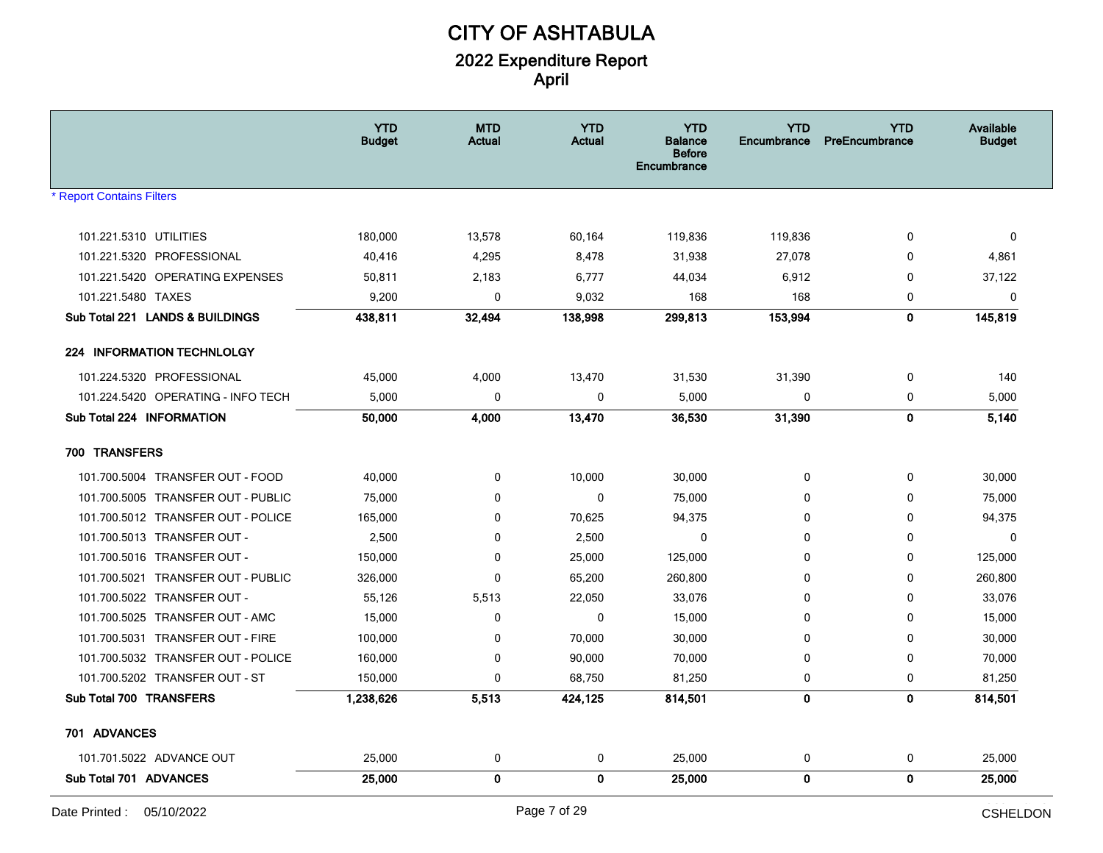|                                    | <b>YTD</b><br><b>Budget</b> | <b>MTD</b><br><b>Actual</b> | <b>YTD</b><br><b>Actual</b> | <b>YTD</b><br><b>Balance</b><br><b>Before</b><br>Encumbrance | <b>YTD</b><br><b>Encumbrance</b> | <b>YTD</b><br>PreEncumbrance | Available<br><b>Budget</b> |
|------------------------------------|-----------------------------|-----------------------------|-----------------------------|--------------------------------------------------------------|----------------------------------|------------------------------|----------------------------|
| <b>Report Contains Filters</b>     |                             |                             |                             |                                                              |                                  |                              |                            |
| 101.221.5310 UTILITIES             | 180,000                     | 13,578                      | 60,164                      | 119,836                                                      |                                  | 0                            | $\mathbf{0}$               |
| 101.221.5320 PROFESSIONAL          | 40,416                      | 4,295                       | 8,478                       | 31,938                                                       | 119,836<br>27,078                | 0                            | 4,861                      |
| 101.221.5420 OPERATING EXPENSES    | 50,811                      | 2,183                       | 6,777                       | 44,034                                                       | 6,912                            | 0                            | 37,122                     |
| 101.221.5480 TAXES                 | 9,200                       | $\mathbf 0$                 | 9,032                       | 168                                                          | 168                              | 0                            | $\mathbf 0$                |
| Sub Total 221 LANDS & BUILDINGS    | 438,811                     | 32,494                      | 138,998                     | 299,813                                                      | 153,994                          | 0                            | 145,819                    |
| <b>224 INFORMATION TECHNLOLGY</b>  |                             |                             |                             |                                                              |                                  |                              |                            |
| 101.224.5320 PROFESSIONAL          | 45,000                      | 4,000                       | 13,470                      | 31,530                                                       | 31,390                           | 0                            | 140                        |
| 101.224.5420 OPERATING - INFO TECH | 5,000                       | $\mathbf 0$                 | $\mathbf 0$                 | 5,000                                                        | 0                                | 0                            | 5,000                      |
| Sub Total 224 INFORMATION          | 50,000                      | 4,000                       | 13,470                      | 36,530                                                       | 31,390                           | 0                            | 5,140                      |
| 700 TRANSFERS                      |                             |                             |                             |                                                              |                                  |                              |                            |
| 101.700.5004 TRANSFER OUT - FOOD   | 40,000                      | 0                           | 10,000                      | 30,000                                                       | 0                                | 0                            | 30,000                     |
| 101.700.5005 TRANSFER OUT - PUBLIC | 75,000                      | 0                           | 0                           | 75,000                                                       | 0                                | 0                            | 75,000                     |
| 101.700.5012 TRANSFER OUT - POLICE | 165,000                     | 0                           | 70,625                      | 94,375                                                       | 0                                | 0                            | 94,375                     |
| 101.700.5013 TRANSFER OUT -        | 2,500                       | 0                           | 2,500                       | $\mathbf 0$                                                  | $\mathbf 0$                      | 0                            | $\mathbf 0$                |
| 101.700.5016 TRANSFER OUT -        | 150,000                     | 0                           | 25,000                      | 125,000                                                      | 0                                | 0                            | 125,000                    |
| 101.700.5021 TRANSFER OUT - PUBLIC | 326,000                     | 0                           | 65,200                      | 260,800                                                      | $\mathbf 0$                      | 0                            | 260,800                    |
| 101.700.5022 TRANSFER OUT -        | 55,126                      | 5,513                       | 22,050                      | 33,076                                                       | 0                                | 0                            | 33,076                     |
| 101.700.5025 TRANSFER OUT - AMC    | 15,000                      | 0                           | 0                           | 15,000                                                       | $\mathbf 0$                      | 0                            | 15,000                     |
| 101.700.5031 TRANSFER OUT - FIRE   | 100,000                     | 0                           | 70,000                      | 30,000                                                       | $\mathbf 0$                      | 0                            | 30,000                     |
| 101.700.5032 TRANSFER OUT - POLICE | 160,000                     | 0                           | 90,000                      | 70,000                                                       | 0                                | 0                            | 70,000                     |
| 101.700.5202 TRANSFER OUT - ST     | 150,000                     | 0                           | 68,750                      | 81,250                                                       | 0                                | 0                            | 81,250                     |
| <b>Sub Total 700 TRANSFERS</b>     | 1,238,626                   | 5,513                       | 424,125                     | 814,501                                                      | $\mathbf 0$                      | 0                            | 814,501                    |
| 701 ADVANCES                       |                             |                             |                             |                                                              |                                  |                              |                            |
| 101.701.5022 ADVANCE OUT           | 25,000                      | 0                           | 0                           | 25,000                                                       | 0                                | 0                            | 25,000                     |
| Sub Total 701 ADVANCES             | 25,000                      | 0                           | $\mathbf{0}$                | 25,000                                                       | $\pmb{0}$                        | 0                            | 25,000                     |
|                                    |                             |                             |                             |                                                              |                                  |                              | -----------                |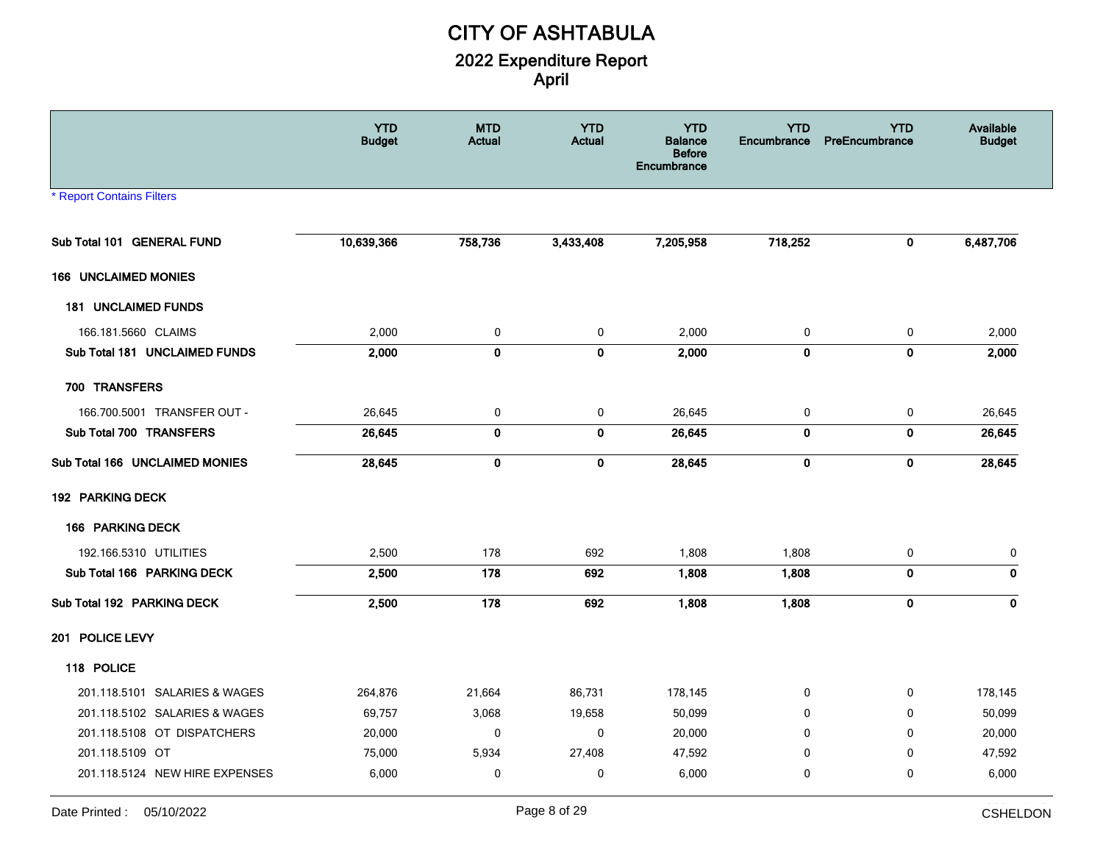|                                | <b>YTD</b><br><b>Budget</b> | <b>MTD</b><br>Actual | <b>YTD</b><br><b>Actual</b> | <b>YTD</b><br><b>Balance</b><br><b>Before</b><br>Encumbrance | <b>YTD</b><br>Encumbrance | <b>YTD</b><br>PreEncumbrance | Available<br><b>Budget</b> |
|--------------------------------|-----------------------------|----------------------|-----------------------------|--------------------------------------------------------------|---------------------------|------------------------------|----------------------------|
| <b>Report Contains Filters</b> |                             |                      |                             |                                                              |                           |                              |                            |
| Sub Total 101 GENERAL FUND     | 10,639,366                  | 758,736              | 3,433,408                   | 7,205,958                                                    | 718,252                   | $\bf{0}$                     | 6,487,706                  |
| <b>166 UNCLAIMED MONIES</b>    |                             |                      |                             |                                                              |                           |                              |                            |
| <b>181 UNCLAIMED FUNDS</b>     |                             |                      |                             |                                                              |                           |                              |                            |
| 166.181.5660 CLAIMS            | 2,000                       | $\mathbf 0$          | 0                           | 2,000                                                        | 0                         | 0                            | 2,000                      |
| Sub Total 181 UNCLAIMED FUNDS  | 2,000                       | $\mathbf 0$          | $\mathbf 0$                 | 2,000                                                        | $\mathbf 0$               | $\pmb{0}$                    | 2,000                      |
| 700 TRANSFERS                  |                             |                      |                             |                                                              |                           |                              |                            |
| 166.700.5001 TRANSFER OUT -    | 26,645                      | 0                    | $\pmb{0}$                   | 26,645                                                       | 0                         | $\pmb{0}$                    | 26,645                     |
| Sub Total 700 TRANSFERS        | 26,645                      | $\mathbf 0$          | 0                           | 26,645                                                       | $\mathbf 0$               | 0                            | 26,645                     |
| Sub Total 166 UNCLAIMED MONIES | 28,645                      | $\pmb{0}$            | $\pmb{0}$                   | 28,645                                                       | $\pmb{0}$                 | $\pmb{0}$                    | 28,645                     |
| 192 PARKING DECK               |                             |                      |                             |                                                              |                           |                              |                            |
| 166 PARKING DECK               |                             |                      |                             |                                                              |                           |                              |                            |
| 192.166.5310 UTILITIES         | 2,500                       | 178                  | 692                         | 1,808                                                        | 1,808                     | 0                            | 0                          |
| Sub Total 166 PARKING DECK     | 2,500                       | 178                  | 692                         | 1,808                                                        | 1,808                     | $\mathbf 0$                  | 0                          |
| Sub Total 192 PARKING DECK     | 2,500                       | 178                  | 692                         | 1,808                                                        | 1,808                     | $\pmb{0}$                    | 0                          |
| 201 POLICE LEVY                |                             |                      |                             |                                                              |                           |                              |                            |
| 118 POLICE                     |                             |                      |                             |                                                              |                           |                              |                            |
| 201.118.5101 SALARIES & WAGES  | 264,876                     | 21,664               | 86,731                      | 178,145                                                      | 0                         | 0                            | 178,145                    |
| 201.118.5102 SALARIES & WAGES  | 69,757                      | 3,068                | 19,658                      | 50,099                                                       | 0                         | 0                            | 50,099                     |
| 201.118.5108 OT DISPATCHERS    | 20,000                      | $\mathbf 0$          | $\mathbf 0$                 | 20,000                                                       | 0                         | $\mathbf 0$                  | 20,000                     |
| 201.118.5109 OT                | 75,000                      | 5,934                | 27,408                      | 47,592                                                       | 0                         | 0                            | 47,592                     |
| 201.118.5124 NEW HIRE EXPENSES | 6,000                       | $\mathbf 0$          | 0                           | 6,000                                                        | 0                         | 0                            | 6,000                      |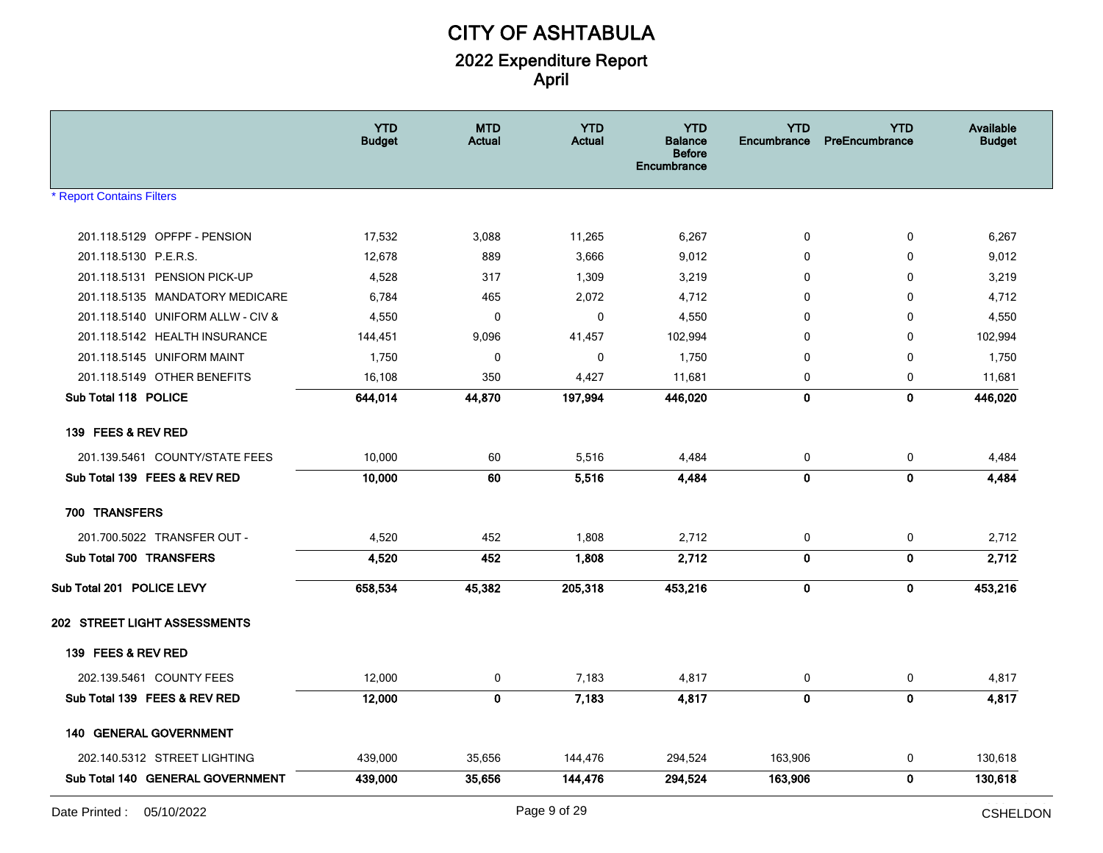|                                   | <b>YTD</b><br><b>Budget</b> | <b>MTD</b><br><b>Actual</b> | <b>YTD</b><br><b>Actual</b> | <b>YTD</b><br>Balance<br><b>Before</b><br>Encumbrance | <b>YTD</b><br>Encumbrance | <b>YTD</b><br>PreEncumbrance | Available<br><b>Budget</b> |
|-----------------------------------|-----------------------------|-----------------------------|-----------------------------|-------------------------------------------------------|---------------------------|------------------------------|----------------------------|
| <b>Report Contains Filters</b>    |                             |                             |                             |                                                       |                           |                              |                            |
| 201.118.5129 OPFPF - PENSION      | 17,532                      | 3,088                       | 11,265                      | 6,267                                                 | 0                         | 0                            | 6,267                      |
| 201.118.5130 P.E.R.S.             | 12,678                      | 889                         | 3,666                       | 9,012                                                 | 0                         | 0                            | 9,012                      |
| 201.118.5131 PENSION PICK-UP      | 4,528                       | 317                         | 1,309                       | 3,219                                                 | 0                         | 0                            | 3,219                      |
| 201.118.5135 MANDATORY MEDICARE   | 6,784                       | 465                         | 2,072                       | 4,712                                                 | 0                         | $\mathbf 0$                  | 4,712                      |
| 201.118.5140 UNIFORM ALLW - CIV & | 4,550                       | 0                           | $\mathbf 0$                 | 4,550                                                 | 0                         | 0                            | 4,550                      |
| 201.118.5142 HEALTH INSURANCE     | 144,451                     | 9,096                       | 41,457                      | 102,994                                               | 0                         | 0                            | 102,994                    |
| 201.118.5145 UNIFORM MAINT        | 1,750                       | 0                           | 0                           | 1,750                                                 | 0                         | 0                            | 1,750                      |
| 201.118.5149 OTHER BENEFITS       | 16,108                      | 350                         | 4,427                       | 11,681                                                | 0                         | 0                            | 11,681                     |
| Sub Total 118 POLICE              | 644,014                     | 44,870                      | 197,994                     | 446,020                                               | 0                         | 0                            | 446,020                    |
| 139 FEES & REV RED                |                             |                             |                             |                                                       |                           |                              |                            |
| 201.139.5461 COUNTY/STATE FEES    | 10,000                      | 60                          | 5,516                       | 4,484                                                 | 0                         | 0                            | 4,484                      |
| Sub Total 139 FEES & REV RED      | 10,000                      | 60                          | 5,516                       | 4,484                                                 | 0                         | $\mathbf 0$                  | 4,484                      |
| 700 TRANSFERS                     |                             |                             |                             |                                                       |                           |                              |                            |
| 201.700.5022 TRANSFER OUT -       | 4,520                       | 452                         | 1,808                       | 2,712                                                 | 0                         | 0                            | 2,712                      |
| Sub Total 700 TRANSFERS           | 4,520                       | 452                         | 1,808                       | 2,712                                                 | 0                         | 0                            | 2,712                      |
| Sub Total 201 POLICE LEVY         | 658,534                     | 45,382                      | 205,318                     | 453,216                                               | $\mathbf 0$               | $\mathbf 0$                  | 453,216                    |
| 202 STREET LIGHT ASSESSMENTS      |                             |                             |                             |                                                       |                           |                              |                            |
| 139 FEES & REV RED                |                             |                             |                             |                                                       |                           |                              |                            |
| 202.139.5461 COUNTY FEES          | 12,000                      | 0                           | 7,183                       | 4,817                                                 | 0                         | 0                            | 4,817                      |
| Sub Total 139 FEES & REV RED      | 12,000                      | $\mathbf{0}$                | 7,183                       | 4,817                                                 | 0                         | 0                            | 4,817                      |
| <b>140 GENERAL GOVERNMENT</b>     |                             |                             |                             |                                                       |                           |                              |                            |
| 202.140.5312 STREET LIGHTING      | 439,000                     | 35,656                      | 144,476                     | 294,524                                               | 163,906                   | 0                            | 130,618                    |
| Sub Total 140 GENERAL GOVERNMENT  | 439,000                     | 35,656                      | 144,476                     | 294,524                                               | 163,906                   | 0                            | 130,618                    |
|                                   |                             |                             |                             |                                                       |                           |                              | وينشده والوقاف             |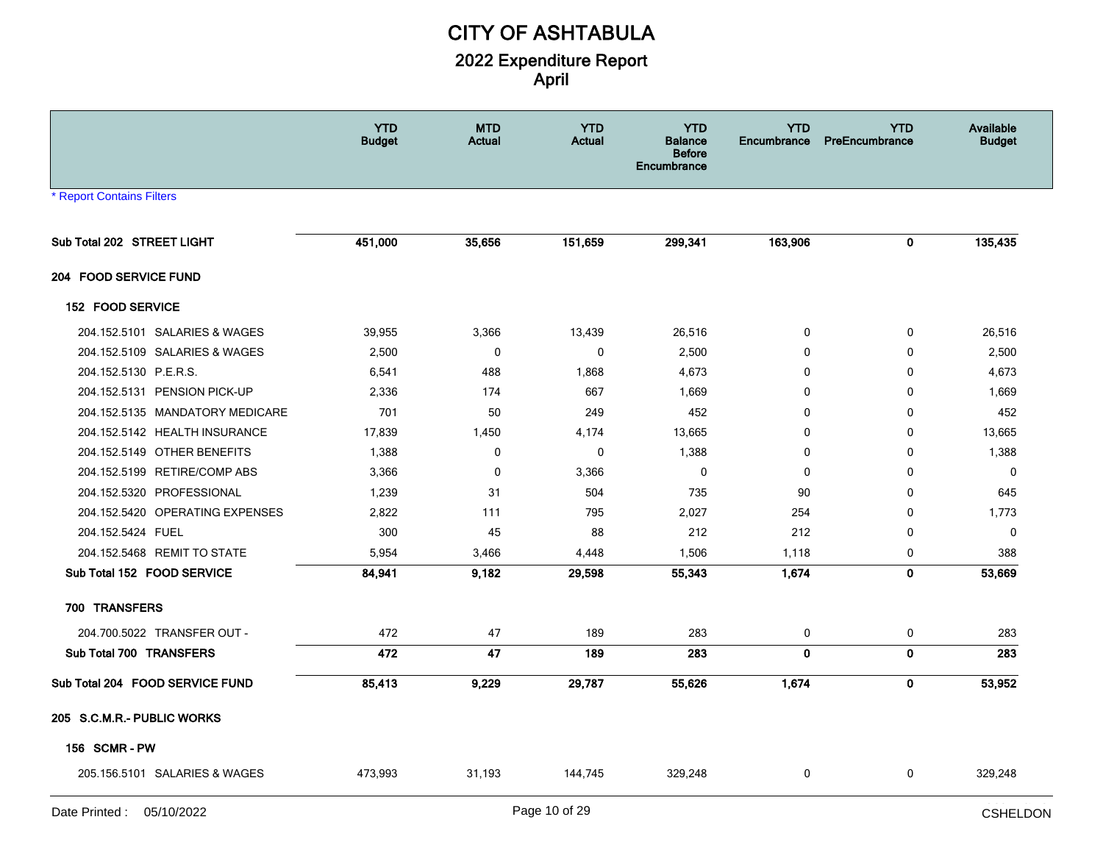|                                  | <b>YTD</b><br><b>Budget</b> | <b>MTD</b><br>Actual | <b>YTD</b><br><b>Actual</b> | <b>YTD</b><br><b>Balance</b><br><b>Before</b><br>Encumbrance | <b>YTD</b><br>Encumbrance | <b>YTD</b><br>PreEncumbrance | Available<br><b>Budget</b> |
|----------------------------------|-----------------------------|----------------------|-----------------------------|--------------------------------------------------------------|---------------------------|------------------------------|----------------------------|
| <b>* Report Contains Filters</b> |                             |                      |                             |                                                              |                           |                              |                            |
| Sub Total 202 STREET LIGHT       | 451,000                     | 35,656               | 151,659                     | 299,341                                                      | 163,906                   | 0                            | 135,435                    |
| 204 FOOD SERVICE FUND            |                             |                      |                             |                                                              |                           |                              |                            |
| 152 FOOD SERVICE                 |                             |                      |                             |                                                              |                           |                              |                            |
| 204.152.5101 SALARIES & WAGES    | 39,955                      | 3,366                | 13,439                      | 26,516                                                       | 0                         | $\mathbf 0$                  | 26,516                     |
| 204.152.5109 SALARIES & WAGES    | 2,500                       | $\mathbf 0$          | $\pmb{0}$                   | 2,500                                                        | $\mathbf 0$               | 0                            | 2,500                      |
| 204.152.5130 P.E.R.S.            | 6,541                       | 488                  | 1,868                       | 4,673                                                        | 0                         | 0                            | 4,673                      |
| 204.152.5131 PENSION PICK-UP     | 2,336                       | 174                  | 667                         | 1,669                                                        | 0                         | 0                            | 1,669                      |
| 204.152.5135 MANDATORY MEDICARE  | 701                         | 50                   | 249                         | 452                                                          | $\mathbf{0}$              | $\mathbf{0}$                 | 452                        |
| 204.152.5142 HEALTH INSURANCE    | 17,839                      | 1,450                | 4,174                       | 13,665                                                       | $\mathbf 0$               | $\mathbf 0$                  | 13,665                     |
| 204.152.5149 OTHER BENEFITS      | 1,388                       | 0                    | 0                           | 1,388                                                        | 0                         | $\mathbf 0$                  | 1,388                      |
| 204.152.5199 RETIRE/COMP ABS     | 3,366                       | $\mathbf 0$          | 3,366                       | $\mathbf 0$                                                  | $\mathbf 0$               | $\mathbf{0}$                 | $\mathbf{0}$               |
| 204.152.5320 PROFESSIONAL        | 1,239                       | 31                   | 504                         | 735                                                          | 90                        | 0                            | 645                        |
| 204.152.5420 OPERATING EXPENSES  | 2,822                       | 111                  | 795                         | 2,027                                                        | 254                       | $\mathbf 0$                  | 1,773                      |
| 204.152.5424 FUEL                | 300                         | 45                   | 88                          | 212                                                          | 212                       | 0                            | $\mathbf 0$                |
| 204.152.5468 REMIT TO STATE      | 5,954                       | 3,466                | 4,448                       | 1,506                                                        | 1,118                     | 0                            | 388                        |
| Sub Total 152 FOOD SERVICE       | 84,941                      | 9,182                | 29,598                      | 55,343                                                       | 1,674                     | 0                            | 53,669                     |
| 700 TRANSFERS                    |                             |                      |                             |                                                              |                           |                              |                            |
| 204.700.5022 TRANSFER OUT -      | 472                         | 47                   | 189                         | 283                                                          | 0                         | 0                            | 283                        |
| Sub Total 700 TRANSFERS          | 472                         | 47                   | 189                         | 283                                                          | $\mathbf 0$               | 0                            | 283                        |
| Sub Total 204 FOOD SERVICE FUND  | 85,413                      | 9,229                | 29,787                      | 55,626                                                       | 1,674                     | 0                            | 53,952                     |
| 205 S.C.M.R.- PUBLIC WORKS       |                             |                      |                             |                                                              |                           |                              |                            |
| <b>156 SCMR-PW</b>               |                             |                      |                             |                                                              |                           |                              |                            |
| 205.156.5101 SALARIES & WAGES    | 473,993                     | 31,193               | 144,745                     | 329,248                                                      | 0                         | 0                            | 329,248                    |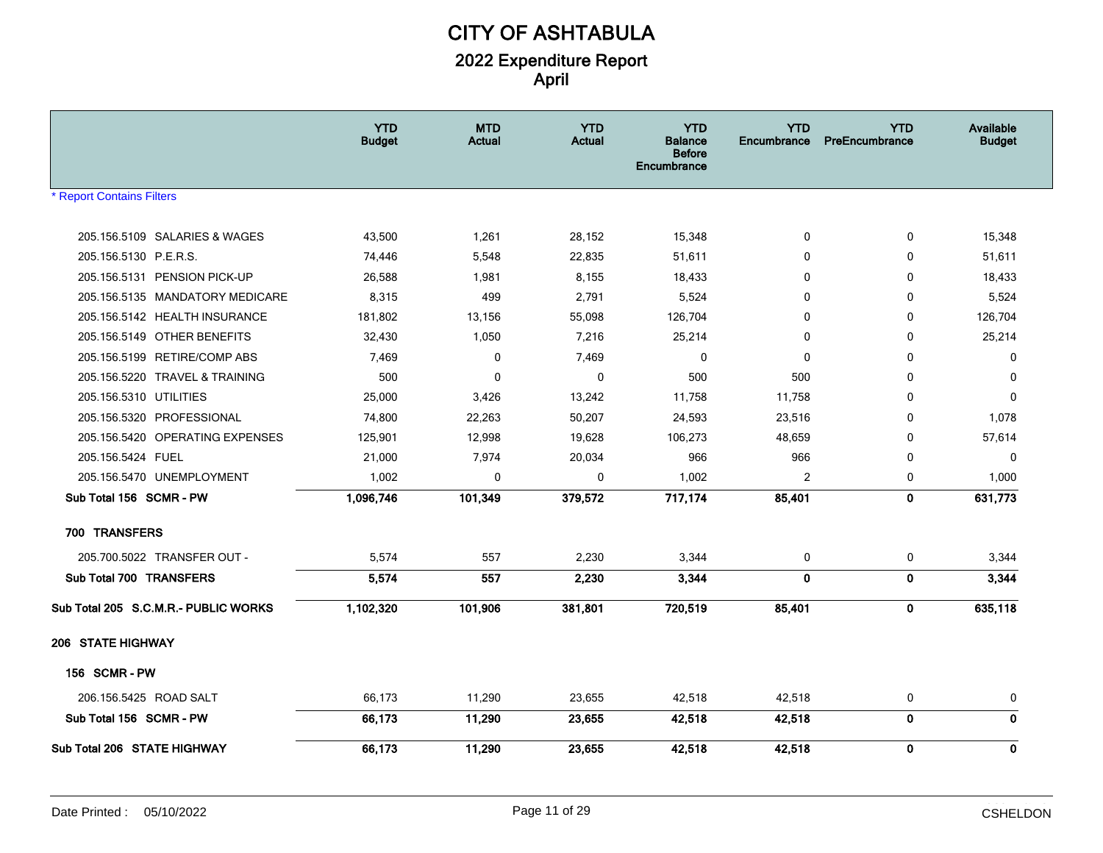|                                      | <b>YTD</b><br><b>Budget</b> | <b>MTD</b><br>Actual | <b>YTD</b><br><b>Actual</b> | <b>YTD</b><br><b>Balance</b><br><b>Before</b><br>Encumbrance | <b>YTD</b><br>Encumbrance | <b>YTD</b><br>PreEncumbrance | Available<br><b>Budget</b> |
|--------------------------------------|-----------------------------|----------------------|-----------------------------|--------------------------------------------------------------|---------------------------|------------------------------|----------------------------|
| <b>Report Contains Filters</b>       |                             |                      |                             |                                                              |                           |                              |                            |
| 205.156.5109 SALARIES & WAGES        | 43,500                      | 1,261                | 28,152                      | 15,348                                                       | $\mathbf 0$               | 0                            | 15,348                     |
| 205.156.5130 P.E.R.S.                | 74,446                      | 5,548                | 22,835                      | 51,611                                                       | 0                         | 0                            | 51,611                     |
| 205.156.5131 PENSION PICK-UP         | 26,588                      | 1,981                | 8,155                       | 18,433                                                       | $\Omega$                  | 0                            | 18,433                     |
| 205.156.5135 MANDATORY MEDICARE      | 8,315                       | 499                  | 2,791                       | 5,524                                                        | $\mathbf{0}$              | 0                            | 5,524                      |
| 205.156.5142 HEALTH INSURANCE        | 181,802                     | 13,156               | 55,098                      | 126,704                                                      | 0                         | 0                            | 126,704                    |
| 205.156.5149 OTHER BENEFITS          | 32,430                      | 1,050                | 7,216                       | 25,214                                                       | $\mathbf 0$               | 0                            | 25,214                     |
| 205.156.5199 RETIRE/COMP ABS         | 7,469                       | 0                    | 7,469                       | 0                                                            | $\mathbf 0$               | 0                            | 0                          |
| 205.156.5220 TRAVEL & TRAINING       | 500                         | $\mathbf 0$          | 0                           | 500                                                          | 500                       | 0                            | $\mathbf 0$                |
| 205.156.5310 UTILITIES               | 25,000                      | 3,426                | 13,242                      | 11,758                                                       | 11,758                    | 0                            | $\mathbf 0$                |
| 205.156.5320 PROFESSIONAL            | 74,800                      | 22,263               | 50,207                      | 24,593                                                       | 23,516                    | 0                            | 1,078                      |
| 205.156.5420 OPERATING EXPENSES      | 125,901                     | 12,998               | 19,628                      | 106,273                                                      | 48,659                    | 0                            | 57,614                     |
| 205.156.5424 FUEL                    | 21,000                      | 7,974                | 20,034                      | 966                                                          | 966                       | 0                            | 0                          |
| 205.156.5470 UNEMPLOYMENT            | 1,002                       | $\mathbf 0$          | 0                           | 1,002                                                        | 2                         | 0                            | 1,000                      |
| Sub Total 156 SCMR - PW              | 1,096,746                   | 101,349              | 379,572                     | 717,174                                                      | 85,401                    | $\mathbf 0$                  | 631,773                    |
| 700 TRANSFERS                        |                             |                      |                             |                                                              |                           |                              |                            |
| 205.700.5022 TRANSFER OUT -          | 5,574                       | 557                  | 2,230                       | 3,344                                                        | 0                         | 0                            | 3,344                      |
| Sub Total 700 TRANSFERS              | 5,574                       | 557                  | 2,230                       | 3,344                                                        | $\mathbf 0$               | $\mathbf 0$                  | 3,344                      |
| Sub Total 205 S.C.M.R.- PUBLIC WORKS | 1,102,320                   | 101,906              | 381,801                     | 720,519                                                      | 85,401                    | $\mathbf 0$                  | 635,118                    |
| <b>206 STATE HIGHWAY</b>             |                             |                      |                             |                                                              |                           |                              |                            |
| <b>156 SCMR-PW</b>                   |                             |                      |                             |                                                              |                           |                              |                            |
| 206.156.5425 ROAD SALT               | 66,173                      | 11,290               | 23,655                      | 42,518                                                       | 42,518                    | 0                            | 0                          |
| Sub Total 156 SCMR - PW              | 66,173                      | 11,290               | 23,655                      | 42,518                                                       | 42,518                    | $\mathbf 0$                  | $\mathbf 0$                |
| Sub Total 206 STATE HIGHWAY          | 66,173                      | 11,290               | 23,655                      | 42,518                                                       | 42,518                    | $\mathbf 0$                  | $\mathbf 0$                |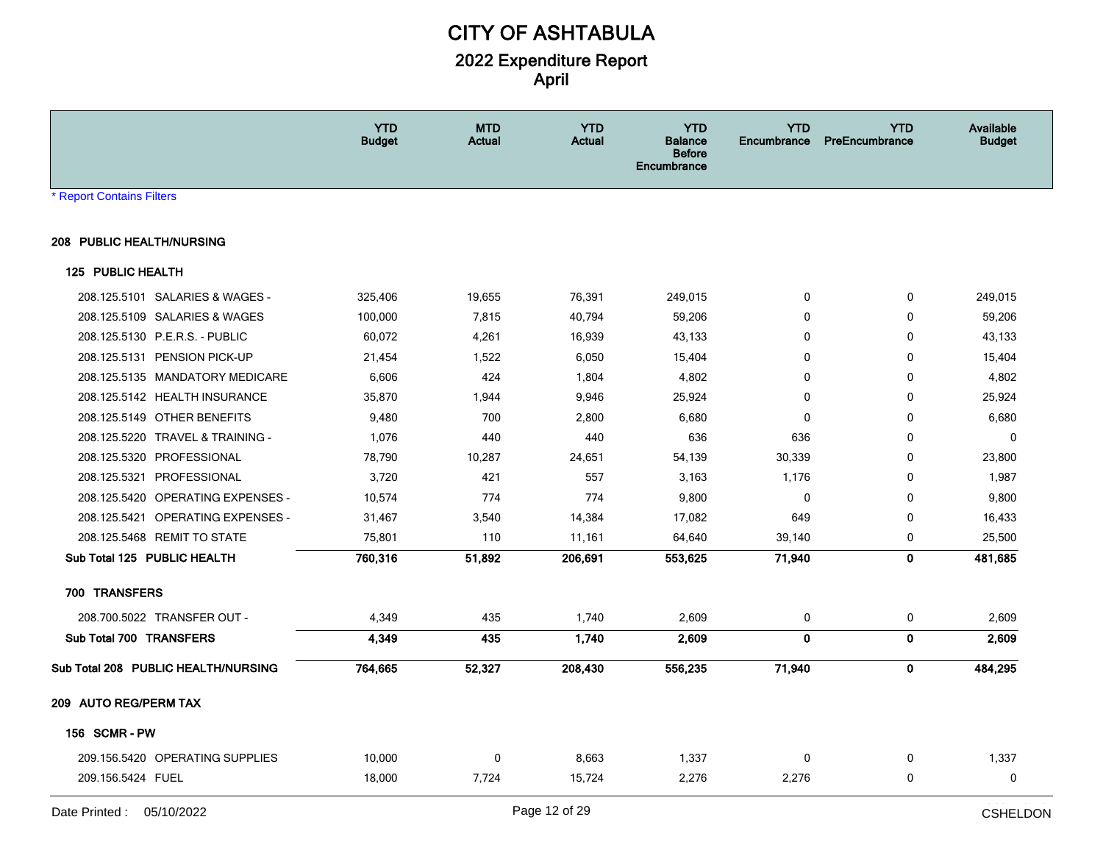|                                     | <b>YTD</b><br><b>Budget</b> | <b>MTD</b><br><b>Actual</b> | <b>YTD</b><br><b>Actual</b> | <b>YTD</b><br><b>Balance</b><br><b>Before</b><br>Encumbrance | <b>YTD</b><br>Encumbrance | <b>YTD</b><br>PreEncumbrance | Available<br><b>Budget</b> |
|-------------------------------------|-----------------------------|-----------------------------|-----------------------------|--------------------------------------------------------------|---------------------------|------------------------------|----------------------------|
| * Report Contains Filters           |                             |                             |                             |                                                              |                           |                              |                            |
| 208 PUBLIC HEALTH/NURSING           |                             |                             |                             |                                                              |                           |                              |                            |
| 125 PUBLIC HEALTH                   |                             |                             |                             |                                                              |                           |                              |                            |
| 208.125.5101 SALARIES & WAGES -     | 325,406                     | 19,655                      | 76,391                      | 249,015                                                      | 0                         | $\mathbf 0$                  | 249,015                    |
| 208.125.5109 SALARIES & WAGES       | 100,000                     | 7,815                       | 40,794                      | 59,206                                                       | $\mathbf{0}$              | $\Omega$                     | 59,206                     |
| 208.125.5130 P.E.R.S. - PUBLIC      | 60,072                      | 4,261                       | 16,939                      | 43,133                                                       | 0                         | 0                            | 43,133                     |
| 208.125.5131 PENSION PICK-UP        | 21,454                      | 1,522                       | 6,050                       | 15,404                                                       | 0                         | 0                            | 15,404                     |
| 208.125.5135 MANDATORY MEDICARE     | 6,606                       | 424                         | 1,804                       | 4,802                                                        | $\mathbf{0}$              | 0                            | 4,802                      |
| 208.125.5142 HEALTH INSURANCE       | 35,870                      | 1,944                       | 9,946                       | 25,924                                                       | $\mathbf{0}$              | $\Omega$                     | 25,924                     |
| 208.125.5149 OTHER BENEFITS         | 9,480                       | 700                         | 2,800                       | 6,680                                                        | 0                         | 0                            | 6,680                      |
| 208.125.5220 TRAVEL & TRAINING -    | 1,076                       | 440                         | 440                         | 636                                                          | 636                       | 0                            | $\mathbf 0$                |
| 208.125.5320 PROFESSIONAL           | 78,790                      | 10,287                      | 24,651                      | 54,139                                                       | 30,339                    | 0                            | 23,800                     |
| 208.125.5321 PROFESSIONAL           | 3,720                       | 421                         | 557                         | 3,163                                                        | 1,176                     | 0                            | 1,987                      |
| 208.125.5420 OPERATING EXPENSES -   | 10,574                      | 774                         | 774                         | 9,800                                                        | 0                         | $\Omega$                     | 9,800                      |
| 208.125.5421 OPERATING EXPENSES -   | 31,467                      | 3,540                       | 14,384                      | 17,082                                                       | 649                       | 0                            | 16,433                     |
| 208.125.5468 REMIT TO STATE         | 75,801                      | 110                         | 11,161                      | 64,640                                                       | 39,140                    | 0                            | 25,500                     |
| Sub Total 125 PUBLIC HEALTH         | 760,316                     | 51,892                      | 206,691                     | 553,625                                                      | 71,940                    | $\mathbf 0$                  | 481,685                    |
| 700 TRANSFERS                       |                             |                             |                             |                                                              |                           |                              |                            |
| 208.700.5022 TRANSFER OUT -         | 4,349                       | 435                         | 1,740                       | 2,609                                                        | 0                         | 0                            | 2,609                      |
| Sub Total 700 TRANSFERS             | 4,349                       | 435                         | 1,740                       | 2,609                                                        | 0                         | $\mathbf 0$                  | 2,609                      |
| Sub Total 208 PUBLIC HEALTH/NURSING | 764,665                     | 52,327                      | 208,430                     | 556,235                                                      | 71,940                    | $\mathbf 0$                  | 484,295                    |
| 209 AUTO REG/PERM TAX               |                             |                             |                             |                                                              |                           |                              |                            |
| <b>156 SCMR-PW</b>                  |                             |                             |                             |                                                              |                           |                              |                            |
| 209.156.5420 OPERATING SUPPLIES     | 10,000                      | $\mathbf 0$                 | 8,663                       | 1,337                                                        | 0                         | $\mathbf 0$                  | 1,337                      |
| 209.156.5424 FUEL                   | 18,000                      | 7,724                       | 15,724                      | 2,276                                                        | 2,276                     | 0                            | $\mathbf 0$                |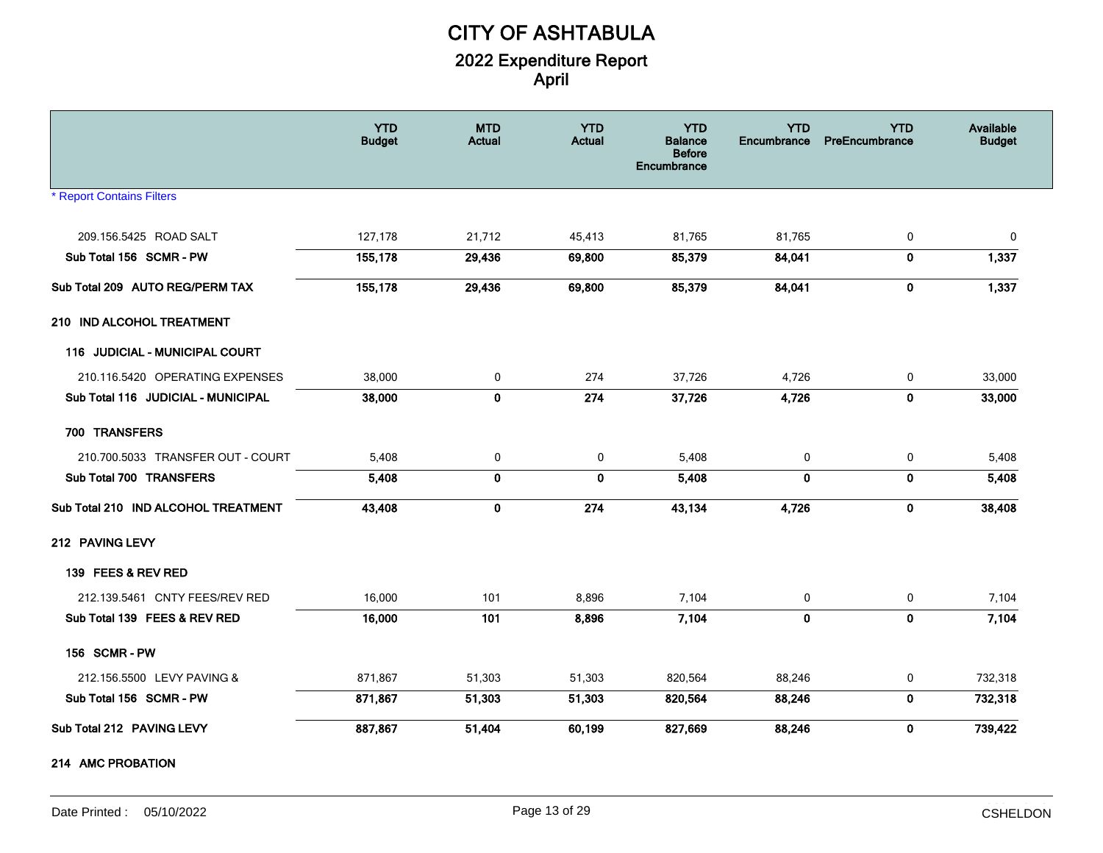|                                     | <b>YTD</b><br><b>Budget</b> | <b>MTD</b><br><b>Actual</b> | <b>YTD</b><br><b>Actual</b> | <b>YTD</b><br><b>Balance</b><br><b>Before</b><br>Encumbrance | <b>YTD</b><br>Encumbrance | <b>YTD</b><br>PreEncumbrance | Available<br><b>Budget</b> |
|-------------------------------------|-----------------------------|-----------------------------|-----------------------------|--------------------------------------------------------------|---------------------------|------------------------------|----------------------------|
| <b>* Report Contains Filters</b>    |                             |                             |                             |                                                              |                           |                              |                            |
| 209.156.5425 ROAD SALT              | 127,178                     | 21,712                      | 45,413                      | 81,765                                                       | 81,765                    | 0                            | 0                          |
| Sub Total 156 SCMR - PW             | 155,178                     | 29,436                      | 69,800                      | 85,379                                                       | 84,041                    | $\mathbf 0$                  | 1,337                      |
| Sub Total 209 AUTO REG/PERM TAX     | 155,178                     | 29,436                      | 69,800                      | 85,379                                                       | 84,041                    | $\bf{0}$                     | 1,337                      |
| 210 IND ALCOHOL TREATMENT           |                             |                             |                             |                                                              |                           |                              |                            |
| 116 JUDICIAL - MUNICIPAL COURT      |                             |                             |                             |                                                              |                           |                              |                            |
| 210.116.5420 OPERATING EXPENSES     | 38,000                      | $\mathbf 0$                 | 274                         | 37,726                                                       | 4,726                     | 0                            | 33,000                     |
| Sub Total 116 JUDICIAL - MUNICIPAL  | 38,000                      | 0                           | 274                         | 37,726                                                       | 4,726                     | $\mathbf 0$                  | 33,000                     |
| 700 TRANSFERS                       |                             |                             |                             |                                                              |                           |                              |                            |
| 210.700.5033 TRANSFER OUT - COURT   | 5,408                       | 0                           | 0                           | 5,408                                                        | 0                         | 0                            | 5,408                      |
| Sub Total 700 TRANSFERS             | 5,408                       | $\bf{0}$                    | $\mathbf 0$                 | 5,408                                                        | $\mathbf{0}$              | $\mathbf 0$                  | 5,408                      |
| Sub Total 210 IND ALCOHOL TREATMENT | 43,408                      | $\mathbf 0$                 | 274                         | 43,134                                                       | 4,726                     | $\mathbf 0$                  | 38,408                     |
| 212 PAVING LEVY                     |                             |                             |                             |                                                              |                           |                              |                            |
| 139 FEES & REV RED                  |                             |                             |                             |                                                              |                           |                              |                            |
| 212.139.5461 CNTY FEES/REV RED      | 16,000                      | 101                         | 8,896                       | 7,104                                                        | 0                         | 0                            | 7,104                      |
| Sub Total 139 FEES & REV RED        | 16,000                      | 101                         | 8,896                       | 7,104                                                        | $\mathbf 0$               | $\mathbf 0$                  | 7,104                      |
| 156 SCMR-PW                         |                             |                             |                             |                                                              |                           |                              |                            |
| 212.156.5500 LEVY PAVING &          | 871,867                     | 51,303                      | 51,303                      | 820,564                                                      | 88,246                    | 0                            | 732,318                    |
| Sub Total 156 SCMR - PW             | 871,867                     | 51,303                      | 51,303                      | 820,564                                                      | 88,246                    | $\mathbf 0$                  | 732,318                    |
| Sub Total 212 PAVING LEVY           | 887,867                     | 51,404                      | 60,199                      | 827,669                                                      | 88,246                    | $\mathbf 0$                  | 739,422                    |
| 214 AMC PROBATION                   |                             |                             |                             |                                                              |                           |                              |                            |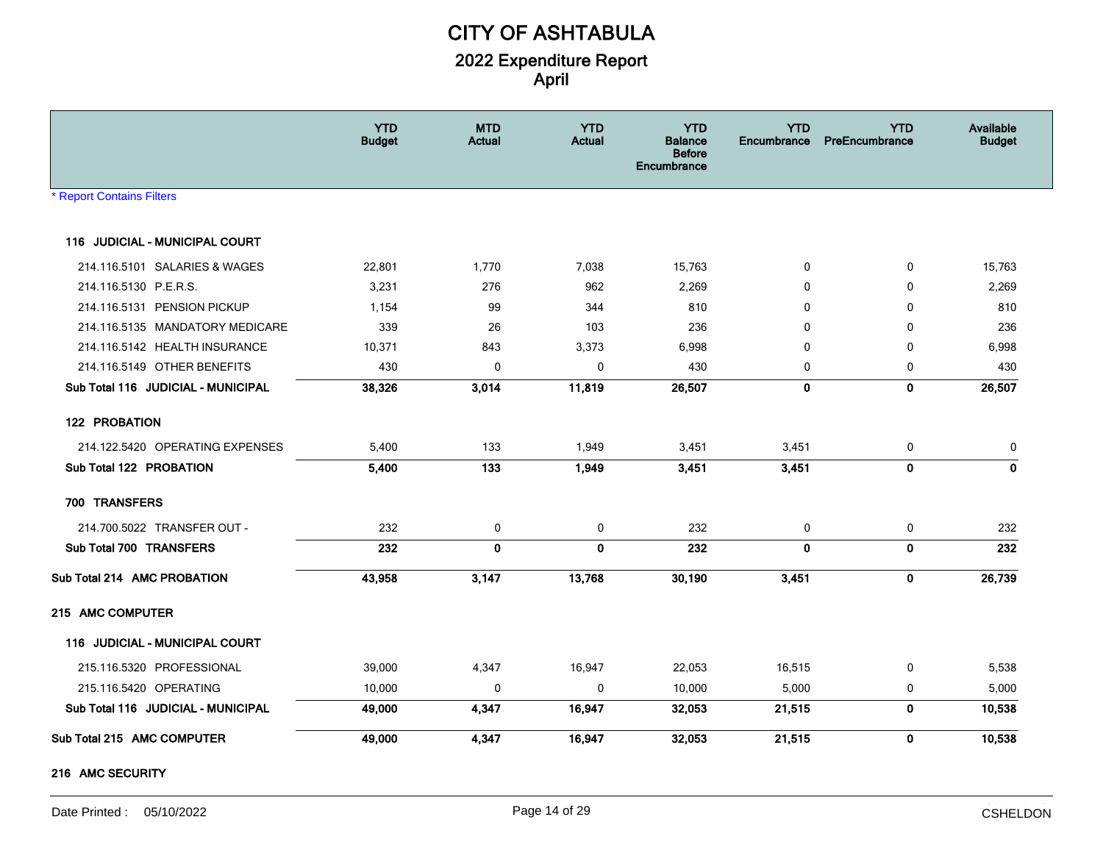|                                    | <b>YTD</b><br><b>Budget</b> | <b>MTD</b><br><b>Actual</b> | <b>YTD</b><br><b>Actual</b> | <b>YTD</b><br><b>Balance</b><br><b>Before</b><br><b>Encumbrance</b> | <b>YTD</b><br><b>Encumbrance</b> | <b>YTD</b><br><b>PreEncumbrance</b> | Available<br><b>Budget</b> |
|------------------------------------|-----------------------------|-----------------------------|-----------------------------|---------------------------------------------------------------------|----------------------------------|-------------------------------------|----------------------------|
| <b>Report Contains Filters</b>     |                             |                             |                             |                                                                     |                                  |                                     |                            |
| 116 JUDICIAL - MUNICIPAL COURT     |                             |                             |                             |                                                                     |                                  |                                     |                            |
| 214.116.5101 SALARIES & WAGES      | 22,801                      | 1,770                       | 7,038                       | 15,763                                                              | 0                                | $\mathbf 0$                         | 15,763                     |
| 214.116.5130 P.E.R.S.              | 3,231                       | 276                         | 962                         | 2,269                                                               | $\mathbf 0$                      | 0                                   | 2,269                      |
| 214.116.5131 PENSION PICKUP        | 1,154                       | 99                          | 344                         | 810                                                                 | 0                                | 0                                   | 810                        |
| 214.116.5135 MANDATORY MEDICARE    | 339                         | 26                          | 103                         | 236                                                                 | 0                                | 0                                   | 236                        |
| 214.116.5142 HEALTH INSURANCE      | 10,371                      | 843                         | 3,373                       | 6,998                                                               | 0                                | $\Omega$                            | 6,998                      |
| 214.116.5149 OTHER BENEFITS        | 430                         | $\mathbf 0$                 | $\pmb{0}$                   | 430                                                                 | $\mathbf 0$                      | $\mathbf 0$                         | 430                        |
| Sub Total 116 JUDICIAL - MUNICIPAL | 38,326                      | 3,014                       | 11,819                      | 26,507                                                              | $\mathbf{0}$                     | $\mathbf 0$                         | 26,507                     |
| 122 PROBATION                      |                             |                             |                             |                                                                     |                                  |                                     |                            |
| 214.122.5420 OPERATING EXPENSES    | 5,400                       | 133                         | 1,949                       | 3,451                                                               | 3,451                            | 0                                   | 0                          |
| Sub Total 122 PROBATION            | 5,400                       | 133                         | 1,949                       | 3,451                                                               | 3,451                            | $\mathbf 0$                         | $\mathbf{0}$               |
| 700 TRANSFERS                      |                             |                             |                             |                                                                     |                                  |                                     |                            |
| 214.700.5022 TRANSFER OUT -        | 232                         | 0                           | 0                           | 232                                                                 | 0                                | 0                                   | 232                        |
| Sub Total 700 TRANSFERS            | 232                         | 0                           | $\mathbf{0}$                | 232                                                                 | $\mathbf{0}$                     | $\bf{0}$                            | 232                        |
| Sub Total 214 AMC PROBATION        | 43,958                      | 3,147                       | 13,768                      | 30,190                                                              | 3,451                            | 0                                   | 26,739                     |
| 215 AMC COMPUTER                   |                             |                             |                             |                                                                     |                                  |                                     |                            |
| 116 JUDICIAL - MUNICIPAL COURT     |                             |                             |                             |                                                                     |                                  |                                     |                            |
| 215.116.5320 PROFESSIONAL          | 39,000                      | 4,347                       | 16,947                      | 22,053                                                              | 16,515                           | 0                                   | 5,538                      |
| 215.116.5420 OPERATING             | 10,000                      | 0                           | 0                           | 10,000                                                              | 5,000                            | 0                                   | 5,000                      |
| Sub Total 116 JUDICIAL - MUNICIPAL | 49,000                      | 4,347                       | 16,947                      | 32,053                                                              | 21,515                           | $\pmb{0}$                           | 10,538                     |
| Sub Total 215 AMC COMPUTER         | 49,000                      | 4,347                       | 16,947                      | 32,053                                                              | 21,515                           | $\mathbf 0$                         | 10,538                     |
|                                    |                             |                             |                             |                                                                     |                                  |                                     |                            |

#### **216 AMC SECURITY**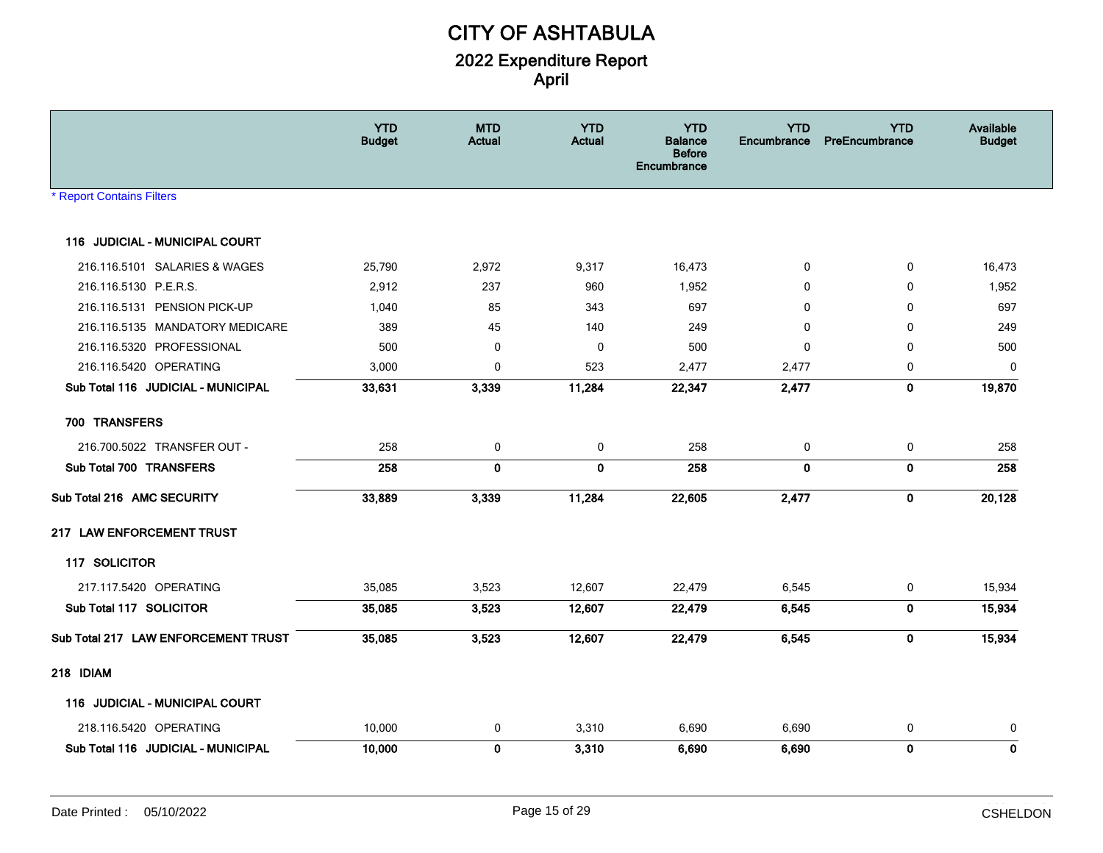|                                       | <b>YTD</b><br><b>Budget</b> | <b>MTD</b><br><b>Actual</b> | <b>YTD</b><br><b>Actual</b> | <b>YTD</b><br><b>Balance</b><br><b>Before</b><br><b>Encumbrance</b> | <b>YTD</b><br>Encumbrance | <b>YTD</b><br>PreEncumbrance | Available<br><b>Budget</b> |
|---------------------------------------|-----------------------------|-----------------------------|-----------------------------|---------------------------------------------------------------------|---------------------------|------------------------------|----------------------------|
| <b>* Report Contains Filters</b>      |                             |                             |                             |                                                                     |                           |                              |                            |
| 116 JUDICIAL - MUNICIPAL COURT        |                             |                             |                             |                                                                     |                           |                              |                            |
| 216.116.5101 SALARIES & WAGES         | 25,790                      | 2,972                       | 9,317                       | 16,473                                                              | 0                         | $\mathbf 0$                  | 16,473                     |
| 216.116.5130 P.E.R.S.                 | 2,912                       | 237                         | 960                         | 1,952                                                               | 0                         | 0                            | 1,952                      |
| 216.116.5131 PENSION PICK-UP          | 1,040                       | 85                          | 343                         | 697                                                                 | $\mathbf{0}$              | $\Omega$                     | 697                        |
| 216.116.5135 MANDATORY MEDICARE       | 389                         | 45                          | 140                         | 249                                                                 | 0                         | $\mathbf 0$                  | 249                        |
| 216.116.5320 PROFESSIONAL             | 500                         | $\mathbf 0$                 | $\mathbf 0$                 | 500                                                                 | 0                         | 0                            | 500                        |
| 216.116.5420 OPERATING                | 3,000                       | $\mathbf 0$                 | 523                         | 2,477                                                               | 2,477                     | 0                            | 0                          |
| Sub Total 116 JUDICIAL - MUNICIPAL    | 33,631                      | 3,339                       | 11,284                      | 22,347                                                              | 2,477                     | $\mathbf{0}$                 | 19,870                     |
| 700 TRANSFERS                         |                             |                             |                             |                                                                     |                           |                              |                            |
| 216.700.5022 TRANSFER OUT -           | 258                         | 0                           | 0                           | 258                                                                 | 0                         | 0                            | 258                        |
| Sub Total 700 TRANSFERS               | 258                         | $\mathbf 0$                 | $\mathbf 0$                 | 258                                                                 | $\mathbf 0$               | $\mathbf{0}$                 | 258                        |
| Sub Total 216 AMC SECURITY            | 33,889                      | 3,339                       | 11,284                      | 22,605                                                              | 2,477                     | $\mathbf 0$                  | 20,128                     |
| 217 LAW ENFORCEMENT TRUST             |                             |                             |                             |                                                                     |                           |                              |                            |
| 117 SOLICITOR                         |                             |                             |                             |                                                                     |                           |                              |                            |
| 217.117.5420 OPERATING                | 35,085                      | 3,523                       | 12,607                      | 22,479                                                              | 6,545                     | 0                            | 15,934                     |
| Sub Total 117 SOLICITOR               | 35,085                      | 3,523                       | 12,607                      | 22,479                                                              | 6,545                     | $\mathbf 0$                  | 15,934                     |
| Sub Total 217 LAW ENFORCEMENT TRUST   | 35,085                      | 3,523                       | 12,607                      | 22,479                                                              | 6,545                     | $\mathbf 0$                  | 15,934                     |
| 218 IDIAM                             |                             |                             |                             |                                                                     |                           |                              |                            |
| <b>116 JUDICIAL - MUNICIPAL COURT</b> |                             |                             |                             |                                                                     |                           |                              |                            |
| 218.116.5420 OPERATING                | 10,000                      | 0                           | 3,310                       | 6,690                                                               | 6,690                     | 0                            | 0                          |
| Sub Total 116 JUDICIAL - MUNICIPAL    | 10,000                      | $\mathbf 0$                 | 3,310                       | 6,690                                                               | 6,690                     | $\mathbf 0$                  | $\mathbf 0$                |
|                                       |                             |                             |                             |                                                                     |                           |                              |                            |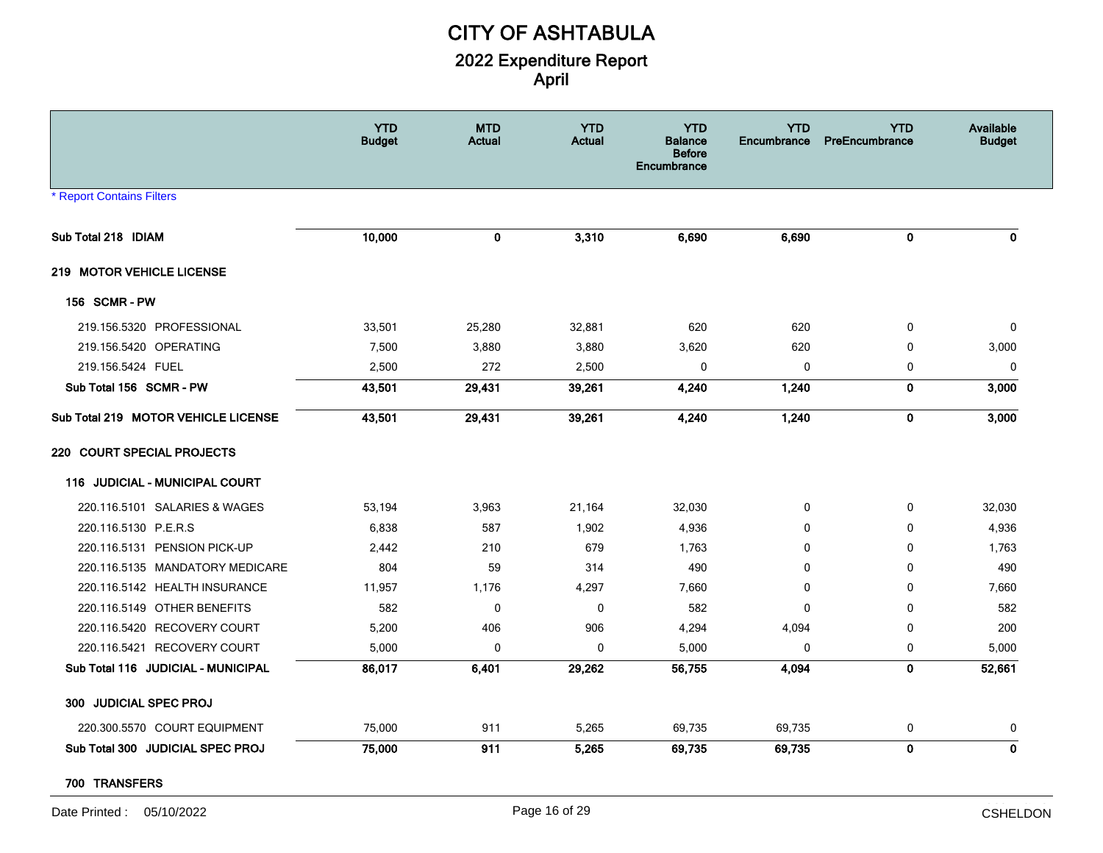|                                     | <b>YTD</b><br><b>Budget</b> | <b>MTD</b><br><b>Actual</b> | <b>YTD</b><br><b>Actual</b> | <b>YTD</b><br><b>Balance</b><br><b>Before</b><br><b>Encumbrance</b> | <b>YTD</b><br>Encumbrance | <b>YTD</b><br><b>PreEncumbrance</b> | Available<br><b>Budget</b> |
|-------------------------------------|-----------------------------|-----------------------------|-----------------------------|---------------------------------------------------------------------|---------------------------|-------------------------------------|----------------------------|
| <b>* Report Contains Filters</b>    |                             |                             |                             |                                                                     |                           |                                     |                            |
| Sub Total 218 IDIAM                 | 10,000                      | 0                           | 3,310                       | 6,690                                                               | 6,690                     | $\mathbf 0$                         | 0                          |
| 219 MOTOR VEHICLE LICENSE           |                             |                             |                             |                                                                     |                           |                                     |                            |
| <b>156 SCMR-PW</b>                  |                             |                             |                             |                                                                     |                           |                                     |                            |
| 219.156.5320 PROFESSIONAL           | 33,501                      | 25,280                      | 32,881                      | 620                                                                 | 620                       | 0                                   | $\mathbf 0$                |
| 219.156.5420 OPERATING              | 7,500                       | 3,880                       | 3,880                       | 3,620                                                               | 620                       | $\mathbf 0$                         | 3,000                      |
| 219.156.5424 FUEL                   | 2,500                       | 272                         | 2,500                       | 0                                                                   | 0                         | 0                                   | 0                          |
| Sub Total 156 SCMR - PW             | 43,501                      | 29,431                      | 39,261                      | 4,240                                                               | 1,240                     | $\mathbf 0$                         | 3,000                      |
| Sub Total 219 MOTOR VEHICLE LICENSE | 43,501                      | 29,431                      | 39,261                      | 4,240                                                               | 1,240                     | $\mathbf 0$                         | 3,000                      |
| 220 COURT SPECIAL PROJECTS          |                             |                             |                             |                                                                     |                           |                                     |                            |
| JUDICIAL - MUNICIPAL COURT<br>116   |                             |                             |                             |                                                                     |                           |                                     |                            |
| 220.116.5101 SALARIES & WAGES       | 53,194                      | 3,963                       | 21,164                      | 32,030                                                              | 0                         | $\mathbf 0$                         | 32,030                     |
| 220.116.5130 P.E.R.S                | 6,838                       | 587                         | 1,902                       | 4,936                                                               | $\Omega$                  | $\mathbf{0}$                        | 4,936                      |
| 220.116.5131 PENSION PICK-UP        | 2,442                       | 210                         | 679                         | 1,763                                                               | $\Omega$                  | $\mathbf 0$                         | 1,763                      |
| 220.116.5135 MANDATORY MEDICARE     | 804                         | 59                          | 314                         | 490                                                                 | 0                         | $\mathbf 0$                         | 490                        |
| 220.116.5142 HEALTH INSURANCE       | 11,957                      | 1,176                       | 4,297                       | 7,660                                                               | 0                         | 0                                   | 7,660                      |
| 220.116.5149 OTHER BENEFITS         | 582                         | $\mathbf 0$                 | 0                           | 582                                                                 | 0                         | $\mathbf 0$                         | 582                        |
| 220.116.5420 RECOVERY COURT         | 5,200                       | 406                         | 906                         | 4,294                                                               | 4,094                     | 0                                   | 200                        |
| 220.116.5421 RECOVERY COURT         | 5,000                       | 0                           | 0                           | 5,000                                                               | 0                         | 0                                   | 5,000                      |
| Sub Total 116 JUDICIAL - MUNICIPAL  | 86,017                      | 6,401                       | 29,262                      | 56,755                                                              | 4,094                     | $\mathbf 0$                         | 52,661                     |
| 300 JUDICIAL SPEC PROJ              |                             |                             |                             |                                                                     |                           |                                     |                            |
| 220.300.5570 COURT EQUIPMENT        | 75,000                      | 911                         | 5,265                       | 69,735                                                              | 69,735                    | 0                                   | 0                          |
| Sub Total 300 JUDICIAL SPEC PROJ    | 75,000                      | 911                         | 5,265                       | 69,735                                                              | 69,735                    | $\pmb{0}$                           | $\mathbf 0$                |

#### **700 TRANSFERS**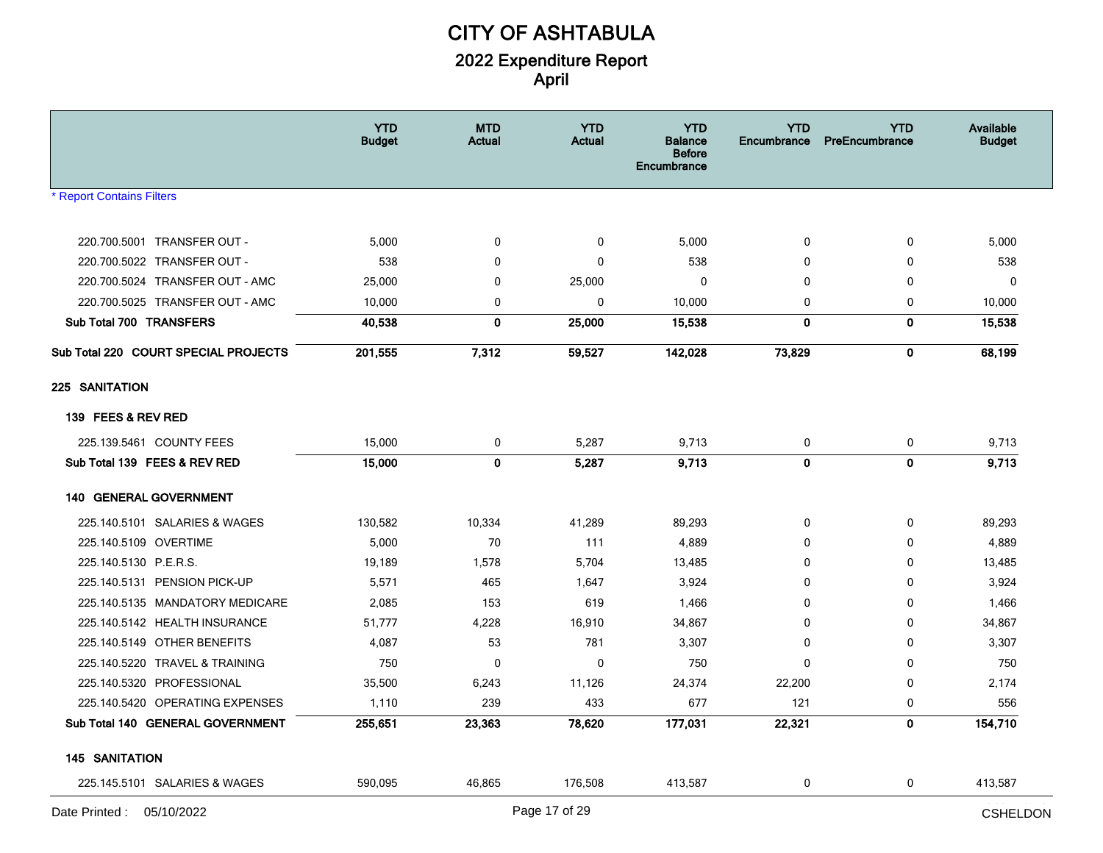|                                      | <b>YTD</b><br><b>Budget</b> | <b>MTD</b><br><b>Actual</b> | <b>YTD</b><br><b>Actual</b> | <b>YTD</b><br><b>Balance</b><br><b>Before</b><br>Encumbrance | <b>YTD</b><br><b>Encumbrance</b> | <b>YTD</b><br>PreEncumbrance | Available<br><b>Budget</b> |
|--------------------------------------|-----------------------------|-----------------------------|-----------------------------|--------------------------------------------------------------|----------------------------------|------------------------------|----------------------------|
| * Report Contains Filters            |                             |                             |                             |                                                              |                                  |                              |                            |
| 220.700.5001 TRANSFER OUT -          | 5,000                       | 0                           | 0                           | 5,000                                                        | 0                                | 0                            | 5,000                      |
| 220.700.5022 TRANSFER OUT -          | 538                         | 0                           | $\mathbf 0$                 | 538                                                          | $\mathbf 0$                      | 0                            | 538                        |
| 220.700.5024 TRANSFER OUT - AMC      | 25,000                      | 0                           | 25,000                      | $\mathbf 0$                                                  | 0                                | 0                            | 0                          |
| 220.700.5025 TRANSFER OUT - AMC      | 10,000                      | 0                           | $\bf{0}$                    | 10,000                                                       | 0                                | $\mathbf 0$                  | 10,000                     |
| Sub Total 700 TRANSFERS              | 40,538                      | 0                           | 25,000                      | 15,538                                                       | 0                                | 0                            | 15,538                     |
| Sub Total 220 COURT SPECIAL PROJECTS | 201,555                     | 7,312                       | 59,527                      | 142,028                                                      | 73,829                           | $\mathbf{0}$                 | 68,199                     |
| 225 SANITATION                       |                             |                             |                             |                                                              |                                  |                              |                            |
| 139 FEES & REV RED                   |                             |                             |                             |                                                              |                                  |                              |                            |
| 225.139.5461 COUNTY FEES             | 15,000                      | 0                           | 5,287                       | 9,713                                                        | 0                                | 0                            | 9,713                      |
| Sub Total 139 FEES & REV RED         | 15,000                      | $\mathbf 0$                 | 5,287                       | 9,713                                                        | $\mathbf 0$                      | $\mathbf 0$                  | 9,713                      |
| <b>140 GENERAL GOVERNMENT</b>        |                             |                             |                             |                                                              |                                  |                              |                            |
| 225.140.5101 SALARIES & WAGES        | 130,582                     | 10,334                      | 41,289                      | 89,293                                                       | 0                                | 0                            | 89,293                     |
| 225.140.5109 OVERTIME                | 5,000                       | 70                          | 111                         | 4,889                                                        | $\mathbf{0}$                     | 0                            | 4,889                      |
| 225.140.5130 P.E.R.S.                | 19,189                      | 1,578                       | 5,704                       | 13,485                                                       | $\Omega$                         | 0                            | 13,485                     |
| 225.140.5131 PENSION PICK-UP         | 5,571                       | 465                         | 1,647                       | 3,924                                                        | 0                                | 0                            | 3,924                      |
| 225.140.5135 MANDATORY MEDICARE      | 2,085                       | 153                         | 619                         | 1,466                                                        | 0                                | 0                            | 1,466                      |
| 225.140.5142 HEALTH INSURANCE        | 51,777                      | 4,228                       | 16,910                      | 34,867                                                       | $\mathbf{0}$                     | $\mathbf 0$                  | 34,867                     |
| 225.140.5149 OTHER BENEFITS          | 4,087                       | 53                          | 781                         | 3,307                                                        | $\mathbf 0$                      | 0                            | 3,307                      |
| 225.140.5220 TRAVEL & TRAINING       | 750                         | 0                           | 0                           | 750                                                          | $\mathbf{0}$                     | 0                            | 750                        |
| 225.140.5320 PROFESSIONAL            | 35,500                      | 6,243                       | 11,126                      | 24,374                                                       | 22,200                           | 0                            | 2,174                      |
| 225.140.5420 OPERATING EXPENSES      | 1,110                       | 239                         | 433                         | 677                                                          | 121                              | 0                            | 556                        |
| Sub Total 140 GENERAL GOVERNMENT     | 255,651                     | 23,363                      | 78,620                      | 177,031                                                      | 22,321                           | 0                            | 154,710                    |
| <b>145 SANITATION</b>                |                             |                             |                             |                                                              |                                  |                              |                            |
| 225.145.5101 SALARIES & WAGES        | 590,095                     | 46,865                      | 176,508                     | 413,587                                                      | 0                                | 0                            | 413,587                    |
| Date Printed: 05/10/2022             |                             |                             | Page 17 of 29               |                                                              |                                  |                              | <b>CSHELDON</b>            |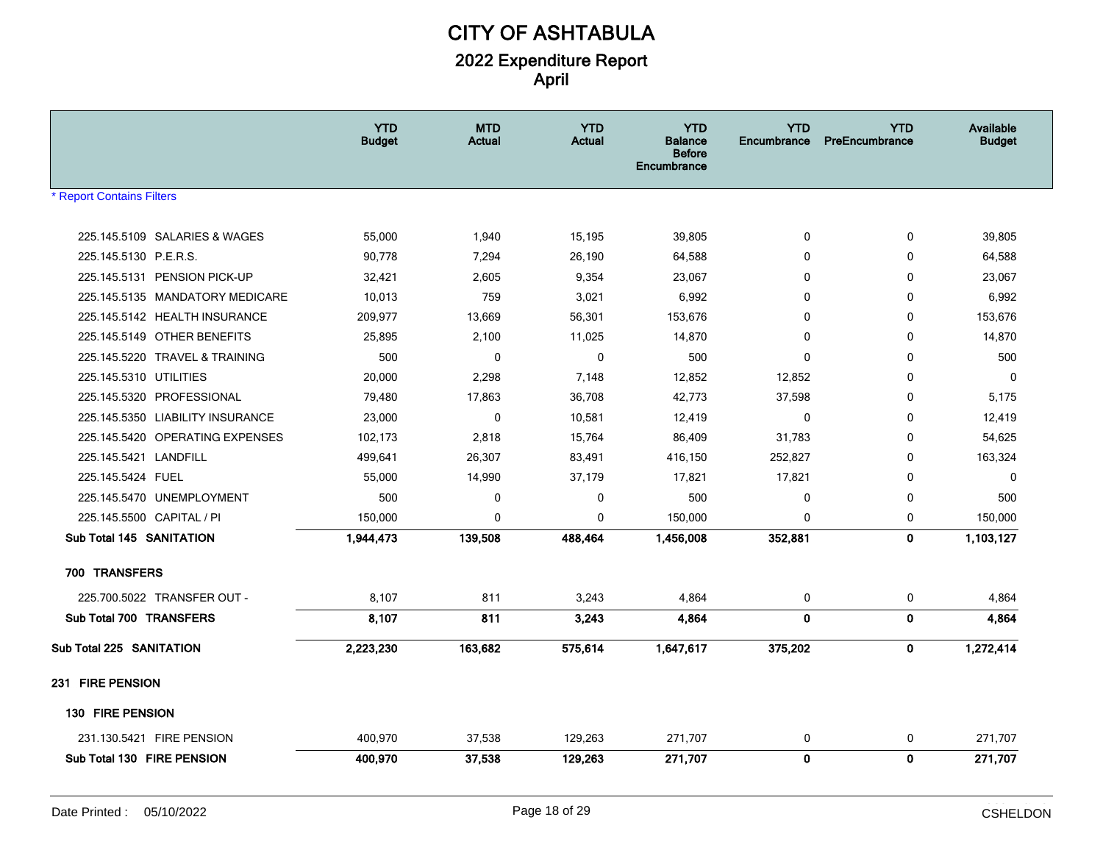|                                  | <b>YTD</b><br><b>Budget</b> | <b>MTD</b><br><b>Actual</b> | <b>YTD</b><br><b>Actual</b> | <b>YTD</b><br><b>Balance</b><br><b>Before</b><br>Encumbrance | <b>YTD</b><br>Encumbrance | <b>YTD</b><br>PreEncumbrance | Available<br><b>Budget</b> |
|----------------------------------|-----------------------------|-----------------------------|-----------------------------|--------------------------------------------------------------|---------------------------|------------------------------|----------------------------|
| <b>* Report Contains Filters</b> |                             |                             |                             |                                                              |                           |                              |                            |
| 225.145.5109 SALARIES & WAGES    | 55,000                      | 1,940                       | 15,195                      | 39,805                                                       | $\mathbf 0$               | 0                            | 39,805                     |
| 225.145.5130 P.E.R.S.            | 90,778                      | 7,294                       | 26,190                      | 64,588                                                       | $\mathbf{0}$              | $\mathbf 0$                  | 64,588                     |
| 225.145.5131 PENSION PICK-UP     | 32,421                      | 2,605                       | 9,354                       | 23,067                                                       | $\mathbf{0}$              | 0                            | 23,067                     |
| 225.145.5135 MANDATORY MEDICARE  | 10,013                      | 759                         | 3,021                       | 6,992                                                        | $\Omega$                  | $\mathbf 0$                  | 6,992                      |
| 225.145.5142 HEALTH INSURANCE    | 209,977                     | 13,669                      | 56,301                      | 153,676                                                      | 0                         | 0                            | 153,676                    |
| 225.145.5149 OTHER BENEFITS      | 25,895                      | 2,100                       | 11,025                      | 14,870                                                       | $\Omega$                  | $\mathbf 0$                  | 14,870                     |
| 225.145.5220 TRAVEL & TRAINING   | 500                         | $\mathbf 0$                 | $\mathbf 0$                 | 500                                                          | $\Omega$                  | $\mathbf 0$                  | 500                        |
| 225.145.5310 UTILITIES           | 20,000                      | 2,298                       | 7,148                       | 12,852                                                       | 12,852                    | 0                            | $\mathbf 0$                |
| 225.145.5320 PROFESSIONAL        | 79,480                      | 17,863                      | 36,708                      | 42,773                                                       | 37,598                    | $\mathbf 0$                  | 5,175                      |
| 225.145.5350 LIABILITY INSURANCE | 23,000                      | 0                           | 10,581                      | 12,419                                                       | $\mathbf 0$               | 0                            | 12,419                     |
| 225.145.5420 OPERATING EXPENSES  | 102,173                     | 2,818                       | 15,764                      | 86,409                                                       | 31,783                    | $\mathbf{0}$                 | 54,625                     |
| 225.145.5421 LANDFILL            | 499,641                     | 26,307                      | 83,491                      | 416,150                                                      | 252,827                   | $\mathbf 0$                  | 163,324                    |
| 225.145.5424 FUEL                | 55,000                      | 14,990                      | 37,179                      | 17,821                                                       | 17,821                    | $\mathbf 0$                  | $\mathbf 0$                |
| 225.145.5470 UNEMPLOYMENT        | 500                         | 0                           | 0                           | 500                                                          | $\mathbf 0$               | 0                            | 500                        |
| 225.145.5500 CAPITAL / PI        | 150,000                     | $\mathbf 0$                 | 0                           | 150,000                                                      | 0                         | 0                            | 150,000                    |
| Sub Total 145 SANITATION         | 1,944,473                   | 139,508                     | 488,464                     | 1,456,008                                                    | 352,881                   | $\mathbf 0$                  | 1,103,127                  |
| 700 TRANSFERS                    |                             |                             |                             |                                                              |                           |                              |                            |
| 225.700.5022 TRANSFER OUT -      | 8,107                       | 811                         | 3,243                       | 4,864                                                        | 0                         | 0                            | 4,864                      |
| Sub Total 700 TRANSFERS          | 8,107                       | 811                         | 3,243                       | 4,864                                                        | $\mathbf 0$               | 0                            | 4,864                      |
| Sub Total 225 SANITATION         | 2,223,230                   | 163,682                     | 575,614                     | 1,647,617                                                    | 375,202                   | $\pmb{0}$                    | 1,272,414                  |
| 231 FIRE PENSION                 |                             |                             |                             |                                                              |                           |                              |                            |
| 130 FIRE PENSION                 |                             |                             |                             |                                                              |                           |                              |                            |
| 231.130.5421 FIRE PENSION        | 400,970                     | 37,538                      | 129,263                     | 271,707                                                      | 0                         | $\mathbf 0$                  | 271,707                    |
| Sub Total 130 FIRE PENSION       | 400,970                     | 37,538                      | 129,263                     | 271,707                                                      | $\mathbf 0$               | $\mathbf 0$                  | 271,707                    |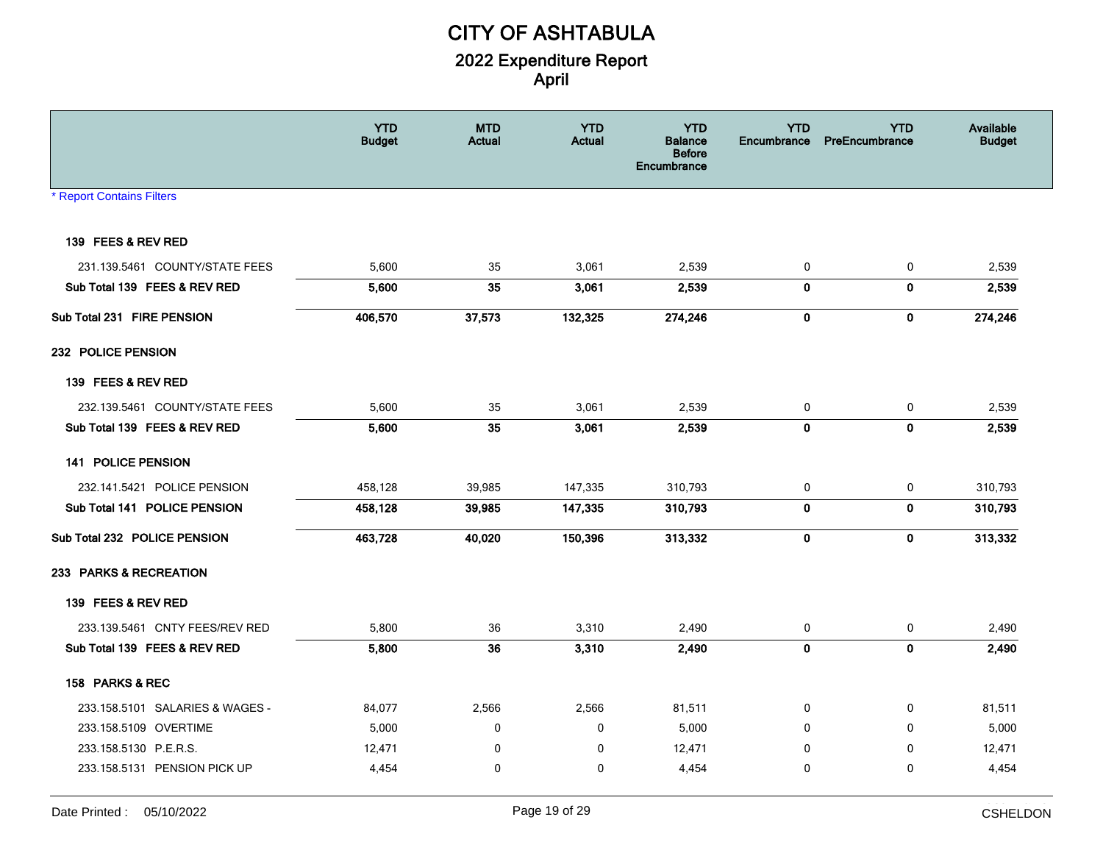|                                  | <b>YTD</b><br><b>Budget</b> | <b>MTD</b><br>Actual | <b>YTD</b><br><b>Actual</b> | <b>YTD</b><br><b>Balance</b><br><b>Before</b><br>Encumbrance | <b>YTD</b><br>Encumbrance | <b>YTD</b><br>PreEncumbrance | Available<br><b>Budget</b> |
|----------------------------------|-----------------------------|----------------------|-----------------------------|--------------------------------------------------------------|---------------------------|------------------------------|----------------------------|
| <b>* Report Contains Filters</b> |                             |                      |                             |                                                              |                           |                              |                            |
| 139 FEES & REV RED               |                             |                      |                             |                                                              |                           |                              |                            |
| 231.139.5461 COUNTY/STATE FEES   | 5,600                       | 35                   | 3,061                       | 2,539                                                        | 0                         | $\mathbf 0$                  | 2,539                      |
| Sub Total 139 FEES & REV RED     | 5,600                       | 35                   | 3,061                       | 2,539                                                        | $\mathbf{0}$              | $\mathbf 0$                  | 2,539                      |
| Sub Total 231 FIRE PENSION       | 406,570                     | 37,573               | 132,325                     | 274,246                                                      | $\mathbf 0$               | $\mathbf 0$                  | 274,246                    |
| 232 POLICE PENSION               |                             |                      |                             |                                                              |                           |                              |                            |
| 139 FEES & REV RED               |                             |                      |                             |                                                              |                           |                              |                            |
| 232.139.5461 COUNTY/STATE FEES   | 5,600                       | 35                   | 3,061                       | 2,539                                                        | 0                         | $\mathbf 0$                  | 2,539                      |
| Sub Total 139 FEES & REV RED     | 5,600                       | 35                   | 3,061                       | 2,539                                                        | $\mathbf 0$               | $\mathbf{0}$                 | 2,539                      |
| <b>141 POLICE PENSION</b>        |                             |                      |                             |                                                              |                           |                              |                            |
| 232.141.5421 POLICE PENSION      | 458,128                     | 39,985               | 147,335                     | 310,793                                                      | 0                         | 0                            | 310,793                    |
| Sub Total 141 POLICE PENSION     | 458,128                     | 39,985               | 147,335                     | 310,793                                                      | $\mathbf{0}$              | $\mathbf{0}$                 | 310,793                    |
| Sub Total 232 POLICE PENSION     | 463,728                     | 40,020               | 150,396                     | 313,332                                                      | $\mathbf 0$               | $\mathbf 0$                  | 313,332                    |
| 233 PARKS & RECREATION           |                             |                      |                             |                                                              |                           |                              |                            |
| 139 FEES & REV RED               |                             |                      |                             |                                                              |                           |                              |                            |
| 233.139.5461 CNTY FEES/REV RED   | 5,800                       | 36                   | 3,310                       | 2,490                                                        | 0                         | $\mathbf 0$                  | 2,490                      |
| Sub Total 139 FEES & REV RED     | 5,800                       | 36                   | 3,310                       | 2,490                                                        | $\mathbf{0}$              | $\mathbf{0}$                 | 2,490                      |
| 158 PARKS & REC                  |                             |                      |                             |                                                              |                           |                              |                            |
| 233.158.5101 SALARIES & WAGES -  | 84,077                      | 2,566                | 2,566                       | 81,511                                                       | 0                         | 0                            | 81,511                     |
| 233.158.5109 OVERTIME            | 5,000                       | 0                    | 0                           | 5,000                                                        | 0                         | $\mathbf 0$                  | 5,000                      |
| 233.158.5130 P.E.R.S.            | 12,471                      | $\mathbf 0$          | $\mathbf 0$                 | 12,471                                                       | $\Omega$                  | $\Omega$                     | 12,471                     |
| 233.158.5131 PENSION PICK UP     | 4,454                       | $\mathbf 0$          | $\mathbf 0$                 | 4,454                                                        | 0                         | $\Omega$                     | 4,454                      |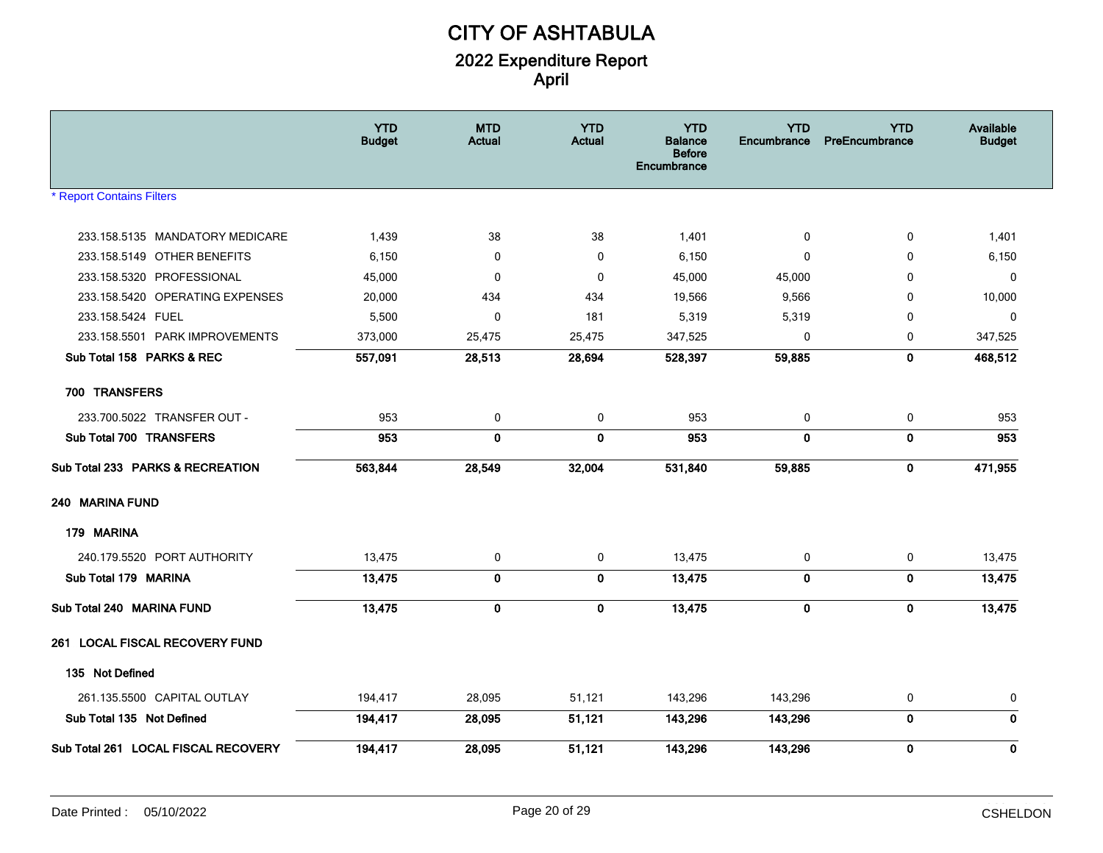|                                     | <b>YTD</b><br><b>Budget</b> | <b>MTD</b><br>Actual | <b>YTD</b><br><b>Actual</b> | <b>YTD</b><br><b>Balance</b><br><b>Before</b><br>Encumbrance | <b>YTD</b><br>Encumbrance | <b>YTD</b><br>PreEncumbrance | Available<br><b>Budget</b> |
|-------------------------------------|-----------------------------|----------------------|-----------------------------|--------------------------------------------------------------|---------------------------|------------------------------|----------------------------|
| <b>Report Contains Filters</b>      |                             |                      |                             |                                                              |                           |                              |                            |
| 233.158.5135 MANDATORY MEDICARE     | 1,439                       | 38                   | 38                          | 1,401                                                        | 0                         | 0                            | 1,401                      |
| 233.158.5149 OTHER BENEFITS         | 6,150                       | $\mathbf 0$          | $\mathbf 0$                 | 6,150                                                        | $\mathbf{0}$              | $\Omega$                     | 6,150                      |
| 233.158.5320 PROFESSIONAL           | 45,000                      | $\mathbf 0$          | 0                           | 45,000                                                       | 45,000                    | $\Omega$                     | 0                          |
| 233.158.5420 OPERATING EXPENSES     | 20,000                      | 434                  | 434                         | 19,566                                                       | 9,566                     | $\Omega$                     | 10,000                     |
| 233.158.5424 FUEL                   | 5,500                       | $\mathbf 0$          | 181                         | 5,319                                                        | 5,319                     | $\mathbf 0$                  | $\mathbf 0$                |
| 233.158.5501 PARK IMPROVEMENTS      | 373,000                     | 25,475               | 25,475                      | 347,525                                                      | 0                         | 0                            | 347,525                    |
| Sub Total 158 PARKS & REC           | 557,091                     | 28,513               | 28,694                      | 528,397                                                      | 59,885                    | $\mathbf 0$                  | 468,512                    |
| 700 TRANSFERS                       |                             |                      |                             |                                                              |                           |                              |                            |
| 233.700.5022 TRANSFER OUT -         | 953                         | 0                    | 0                           | 953                                                          | 0                         | 0                            | 953                        |
| Sub Total 700 TRANSFERS             | 953                         | $\mathbf 0$          | $\mathbf{0}$                | 953                                                          | $\mathbf{0}$              | $\mathbf 0$                  | 953                        |
| Sub Total 233 PARKS & RECREATION    | 563,844                     | 28,549               | 32,004                      | 531,840                                                      | 59,885                    | $\bf{0}$                     | 471,955                    |
| 240 MARINA FUND                     |                             |                      |                             |                                                              |                           |                              |                            |
| 179 MARINA                          |                             |                      |                             |                                                              |                           |                              |                            |
| 240.179.5520 PORT AUTHORITY         | 13,475                      | 0                    | 0                           | 13,475                                                       | 0                         | 0                            | 13,475                     |
| Sub Total 179 MARINA                | 13,475                      | $\mathbf 0$          | $\mathbf{0}$                | 13,475                                                       | $\mathbf 0$               | $\mathbf 0$                  | 13,475                     |
| Sub Total 240 MARINA FUND           | 13,475                      | $\mathbf 0$          | $\bf{0}$                    | 13,475                                                       | $\mathbf 0$               | $\mathbf 0$                  | 13,475                     |
| 261 LOCAL FISCAL RECOVERY FUND      |                             |                      |                             |                                                              |                           |                              |                            |
| 135 Not Defined                     |                             |                      |                             |                                                              |                           |                              |                            |
| 261.135.5500 CAPITAL OUTLAY         | 194,417                     | 28,095               | 51,121                      | 143,296                                                      | 143,296                   | 0                            | 0                          |
| Sub Total 135 Not Defined           | 194,417                     | 28.095               | 51,121                      | 143,296                                                      | 143,296                   | $\mathbf 0$                  | $\mathbf{0}$               |
| Sub Total 261 LOCAL FISCAL RECOVERY | 194,417                     | 28,095               | 51,121                      | 143,296                                                      | 143,296                   | $\bf{0}$                     | $\mathbf 0$                |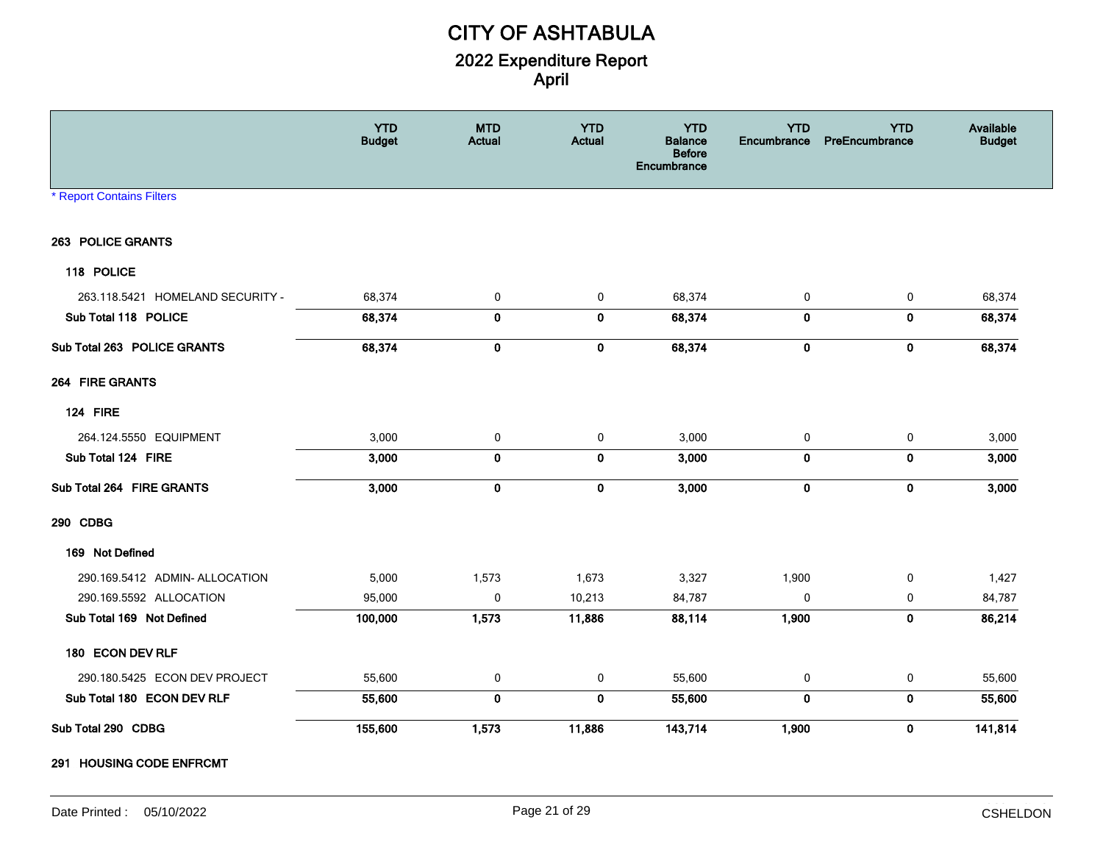|                                  | <b>YTD</b><br><b>Budget</b> | <b>MTD</b><br>Actual | <b>YTD</b><br><b>Actual</b> | <b>YTD</b><br><b>Balance</b><br><b>Before</b><br>Encumbrance | <b>YTD</b><br>Encumbrance | <b>YTD</b><br>PreEncumbrance | Available<br><b>Budget</b> |
|----------------------------------|-----------------------------|----------------------|-----------------------------|--------------------------------------------------------------|---------------------------|------------------------------|----------------------------|
| <b>* Report Contains Filters</b> |                             |                      |                             |                                                              |                           |                              |                            |
| 263 POLICE GRANTS                |                             |                      |                             |                                                              |                           |                              |                            |
| 118 POLICE                       |                             |                      |                             |                                                              |                           |                              |                            |
| 263.118.5421 HOMELAND SECURITY - | 68,374                      | 0                    | 0                           | 68,374                                                       | $\mathbf 0$               | 0                            | 68,374                     |
| Sub Total 118 POLICE             | 68,374                      | $\bf{0}$             | $\pmb{0}$                   | 68,374                                                       | $\mathbf 0$               | $\mathbf 0$                  | 68,374                     |
| Sub Total 263 POLICE GRANTS      | 68,374                      | $\mathbf 0$          | $\mathbf 0$                 | 68,374                                                       | $\mathbf 0$               | $\mathbf 0$                  | 68,374                     |
| 264 FIRE GRANTS                  |                             |                      |                             |                                                              |                           |                              |                            |
| 124 FIRE                         |                             |                      |                             |                                                              |                           |                              |                            |
| 264.124.5550 EQUIPMENT           | 3,000                       | 0                    | 0                           | 3,000                                                        | 0                         | 0                            | 3,000                      |
| Sub Total 124 FIRE               | 3,000                       | $\mathbf 0$          | $\bf{0}$                    | 3,000                                                        | $\mathbf 0$               | $\mathbf 0$                  | 3,000                      |
| Sub Total 264 FIRE GRANTS        | 3,000                       | $\pmb{0}$            | $\pmb{0}$                   | 3,000                                                        | $\pmb{0}$                 | $\pmb{0}$                    | 3,000                      |
| 290 CDBG                         |                             |                      |                             |                                                              |                           |                              |                            |
| 169 Not Defined                  |                             |                      |                             |                                                              |                           |                              |                            |
| 290.169.5412 ADMIN- ALLOCATION   | 5,000                       | 1,573                | 1,673                       | 3,327                                                        | 1,900                     | $\mathbf 0$                  | 1,427                      |
| 290.169.5592 ALLOCATION          | 95,000                      | $\pmb{0}$            | 10,213                      | 84,787                                                       | $\mathbf 0$               | $\mathbf 0$                  | 84,787                     |
| Sub Total 169 Not Defined        | 100,000                     | 1,573                | 11,886                      | 88,114                                                       | 1,900                     | $\mathbf 0$                  | 86,214                     |
| 180 ECON DEV RLF                 |                             |                      |                             |                                                              |                           |                              |                            |
| 290.180.5425 ECON DEV PROJECT    | 55,600                      | $\mathbf 0$          | 0                           | 55,600                                                       | 0                         | 0                            | 55,600                     |
| Sub Total 180 ECON DEV RLF       | 55,600                      | $\mathbf 0$          | $\mathbf 0$                 | 55,600                                                       | $\mathbf 0$               | $\mathbf{0}$                 | 55,600                     |
| Sub Total 290 CDBG               | 155,600                     | 1,573                | 11,886                      | 143,714                                                      | 1,900                     | $\mathbf 0$                  | 141,814                    |

**291 HOUSING CODE ENFRCMT**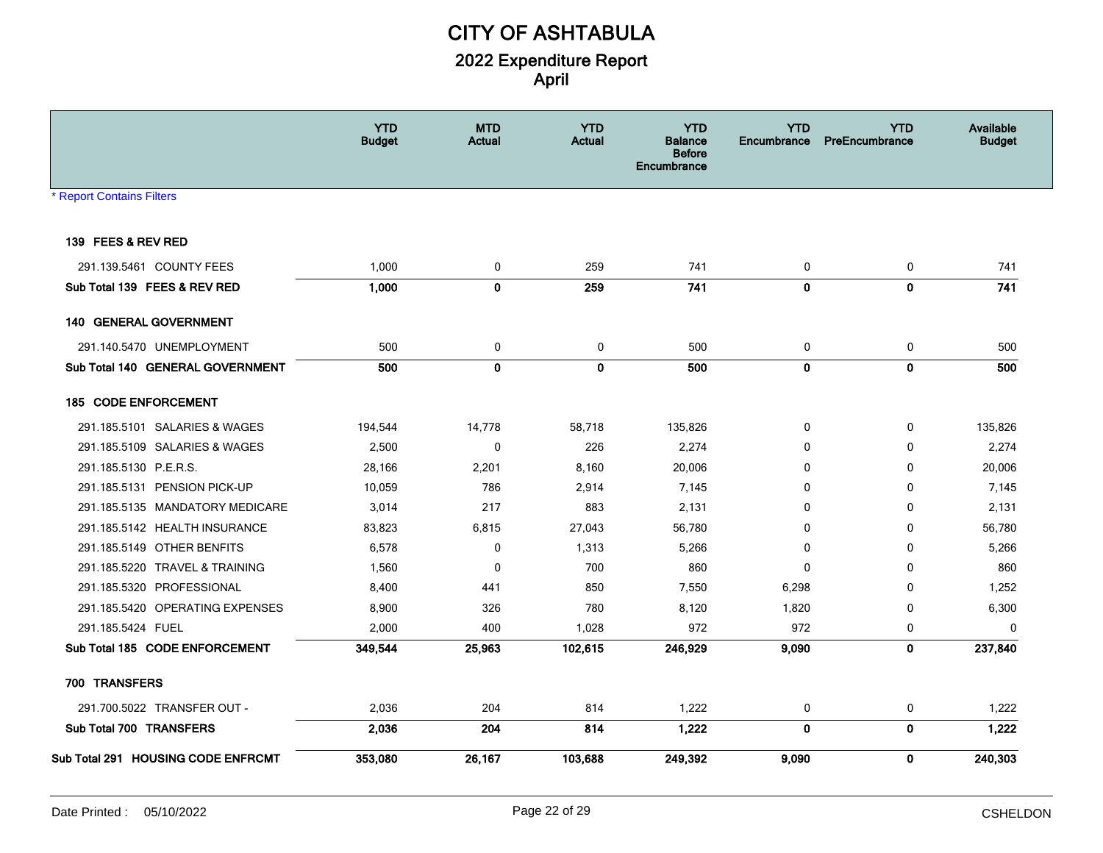|                                    | <b>YTD</b><br><b>Budget</b> | <b>MTD</b><br><b>Actual</b> | <b>YTD</b><br>Actual | <b>YTD</b><br><b>Balance</b><br><b>Before</b><br>Encumbrance | <b>YTD</b><br><b>Encumbrance</b> | <b>YTD</b><br><b>PreEncumbrance</b> | Available<br><b>Budget</b> |
|------------------------------------|-----------------------------|-----------------------------|----------------------|--------------------------------------------------------------|----------------------------------|-------------------------------------|----------------------------|
| <b>* Report Contains Filters</b>   |                             |                             |                      |                                                              |                                  |                                     |                            |
|                                    |                             |                             |                      |                                                              |                                  |                                     |                            |
| 139 FEES & REV RED                 |                             |                             |                      |                                                              |                                  |                                     |                            |
| 291.139.5461 COUNTY FEES           | 1,000                       | 0                           | 259                  | 741                                                          | 0                                | 0                                   | 741                        |
| Sub Total 139 FEES & REV RED       | 1,000                       | $\mathbf 0$                 | 259                  | 741                                                          | $\mathbf{0}$                     | $\mathbf 0$                         | 741                        |
| 140 GENERAL GOVERNMENT             |                             |                             |                      |                                                              |                                  |                                     |                            |
| 291.140.5470 UNEMPLOYMENT          | 500                         | 0                           | 0                    | 500                                                          | 0                                | 0                                   | 500                        |
| Sub Total 140 GENERAL GOVERNMENT   | 500                         | $\mathbf 0$                 | $\mathbf 0$          | 500                                                          | $\mathbf 0$                      | $\mathbf 0$                         | 500                        |
| 185 CODE ENFORCEMENT               |                             |                             |                      |                                                              |                                  |                                     |                            |
| 291.185.5101 SALARIES & WAGES      | 194,544                     | 14,778                      | 58,718               | 135,826                                                      | 0                                | 0                                   | 135,826                    |
| 291.185.5109 SALARIES & WAGES      | 2,500                       | 0                           | 226                  | 2,274                                                        | 0                                | 0                                   | 2,274                      |
| 291.185.5130 P.E.R.S.              | 28,166                      | 2,201                       | 8,160                | 20,006                                                       | 0                                | 0                                   | 20,006                     |
| 291.185.5131 PENSION PICK-UP       | 10,059                      | 786                         | 2,914                | 7,145                                                        | 0                                | 0                                   | 7,145                      |
| 291.185.5135 MANDATORY MEDICARE    | 3,014                       | 217                         | 883                  | 2,131                                                        | 0                                | 0                                   | 2,131                      |
| 291.185.5142 HEALTH INSURANCE      | 83,823                      | 6,815                       | 27,043               | 56,780                                                       | 0                                | 0                                   | 56,780                     |
| 291.185.5149 OTHER BENFITS         | 6,578                       | $\mathbf 0$                 | 1,313                | 5,266                                                        | $\Omega$                         | 0                                   | 5,266                      |
| 291.185.5220 TRAVEL & TRAINING     | 1,560                       | 0                           | 700                  | 860                                                          | $\mathbf{0}$                     | 0                                   | 860                        |
| 291.185.5320 PROFESSIONAL          | 8,400                       | 441                         | 850                  | 7,550                                                        | 6,298                            | 0                                   | 1,252                      |
| 291.185.5420 OPERATING EXPENSES    | 8,900                       | 326                         | 780                  | 8,120                                                        | 1,820                            | 0                                   | 6,300                      |
| 291.185.5424 FUEL                  | 2,000                       | 400                         | 1,028                | 972                                                          | 972                              | 0                                   | 0                          |
| Sub Total 185 CODE ENFORCEMENT     | 349,544                     | 25,963                      | 102,615              | 246,929                                                      | 9,090                            | $\mathbf 0$                         | 237,840                    |
| 700 TRANSFERS                      |                             |                             |                      |                                                              |                                  |                                     |                            |
| 291.700.5022 TRANSFER OUT -        | 2,036                       | 204                         | 814                  | 1,222                                                        | 0                                | 0                                   | 1,222                      |
| Sub Total 700 TRANSFERS            | 2,036                       | 204                         | 814                  | 1,222                                                        | $\mathbf 0$                      | $\pmb{0}$                           | 1,222                      |
| Sub Total 291 HOUSING CODE ENFRCMT | 353,080                     | 26,167                      | 103,688              | 249,392                                                      | 9,090                            | 0                                   | 240,303                    |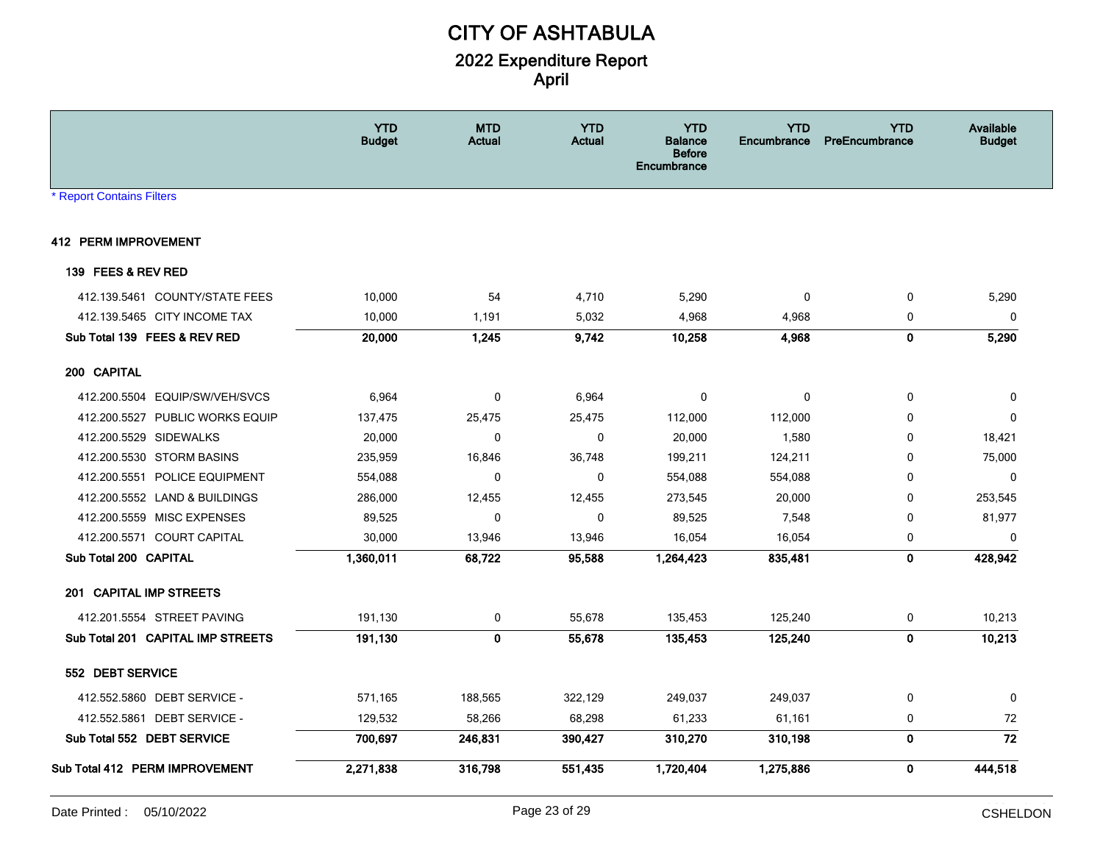|                                   | <b>YTD</b><br><b>Budget</b> | <b>MTD</b><br><b>Actual</b> | <b>YTD</b><br><b>Actual</b> | <b>YTD</b><br><b>Balance</b><br><b>Before</b><br>Encumbrance | <b>YTD</b><br>Encumbrance | <b>YTD</b><br><b>PreEncumbrance</b> | Available<br><b>Budget</b> |
|-----------------------------------|-----------------------------|-----------------------------|-----------------------------|--------------------------------------------------------------|---------------------------|-------------------------------------|----------------------------|
| <b>* Report Contains Filters</b>  |                             |                             |                             |                                                              |                           |                                     |                            |
| <b>412 PERM IMPROVEMENT</b>       |                             |                             |                             |                                                              |                           |                                     |                            |
| 139 FEES & REV RED                |                             |                             |                             |                                                              |                           |                                     |                            |
| 412.139.5461 COUNTY/STATE FEES    | 10,000                      | 54                          | 4,710                       | 5,290                                                        | $\mathbf{0}$              | 0                                   | 5,290                      |
| 412.139.5465 CITY INCOME TAX      | 10,000                      | 1,191                       | 5,032                       | 4,968                                                        | 4,968                     | 0                                   | $\pmb{0}$                  |
| Sub Total 139 FEES & REV RED      | 20,000                      | 1,245                       | 9,742                       | 10,258                                                       | 4,968                     | $\mathbf 0$                         | 5,290                      |
| 200 CAPITAL                       |                             |                             |                             |                                                              |                           |                                     |                            |
| 412.200.5504 EQUIP/SW/VEH/SVCS    | 6,964                       | $\mathbf 0$                 | 6,964                       | 0                                                            | 0                         | $\mathbf 0$                         | 0                          |
| 412.200.5527 PUBLIC WORKS EQUIP   | 137,475                     | 25,475                      | 25,475                      | 112,000                                                      | 112,000                   | 0                                   | 0                          |
| 412.200.5529 SIDEWALKS            | 20,000                      | 0                           | $\mathbf 0$                 | 20,000                                                       | 1,580                     | 0                                   | 18,421                     |
| 412.200.5530 STORM BASINS         | 235,959                     | 16,846                      | 36,748                      | 199,211                                                      | 124,211                   | $\Omega$                            | 75,000                     |
| 412.200.5551 POLICE EQUIPMENT     | 554,088                     | $\mathbf 0$                 | 0                           | 554,088                                                      | 554,088                   | $\mathbf 0$                         | $\mathbf 0$                |
| 412.200.5552 LAND & BUILDINGS     | 286,000                     | 12,455                      | 12,455                      | 273,545                                                      | 20,000                    | 0                                   | 253,545                    |
| 412.200.5559 MISC EXPENSES        | 89,525                      | $\mathbf 0$                 | $\mathbf 0$                 | 89,525                                                       | 7,548                     | 0                                   | 81,977                     |
| 412.200.5571 COURT CAPITAL        | 30,000                      | 13,946                      | 13,946                      | 16,054                                                       | 16,054                    | 0                                   | $\mathbf{0}$               |
| Sub Total 200 CAPITAL             | 1,360,011                   | 68,722                      | 95,588                      | 1,264,423                                                    | 835,481                   | $\mathbf 0$                         | 428,942                    |
| 201 CAPITAL IMP STREETS           |                             |                             |                             |                                                              |                           |                                     |                            |
| 412.201.5554 STREET PAVING        | 191,130                     | 0                           | 55,678                      | 135,453                                                      | 125,240                   | 0                                   | 10,213                     |
| Sub Total 201 CAPITAL IMP STREETS | 191,130                     | $\mathbf{0}$                | 55,678                      | 135,453                                                      | 125,240                   | $\mathbf 0$                         | 10,213                     |
| 552 DEBT SERVICE                  |                             |                             |                             |                                                              |                           |                                     |                            |
| 412.552.5860 DEBT SERVICE -       | 571,165                     | 188,565                     | 322,129                     | 249,037                                                      | 249,037                   | 0                                   | 0                          |
| 412.552.5861 DEBT SERVICE -       | 129,532                     | 58,266                      | 68,298                      | 61,233                                                       | 61,161                    | 0                                   | 72                         |
| Sub Total 552 DEBT SERVICE        | 700,697                     | 246,831                     | 390,427                     | 310,270                                                      | 310,198                   | $\pmb{0}$                           | $\overline{72}$            |
| Sub Total 412 PERM IMPROVEMENT    | 2,271,838                   | 316,798                     | 551,435                     | 1,720,404                                                    | 1,275,886                 | 0                                   | 444,518                    |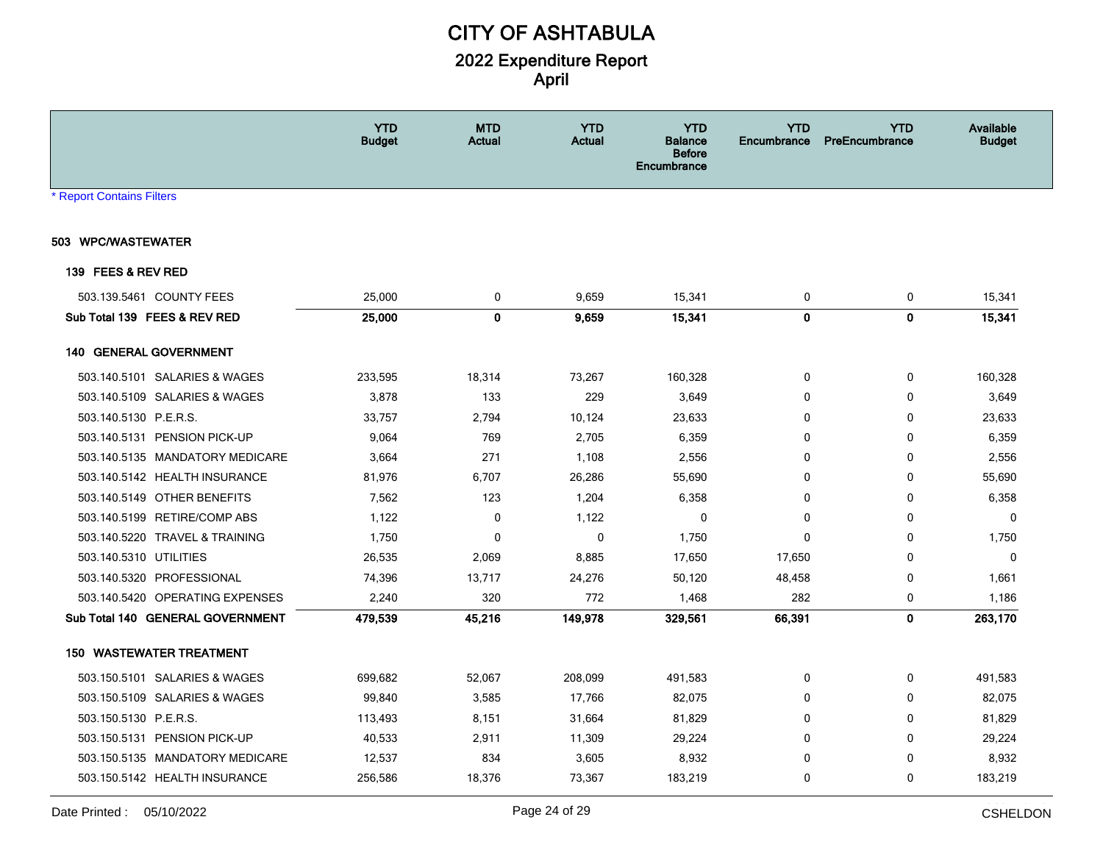|                                  |                                  | <b>YTD</b><br><b>Budget</b> | <b>MTD</b><br>Actual | <b>YTD</b><br>Actual | <b>YTD</b><br><b>Balance</b><br><b>Before</b><br><b>Encumbrance</b> | <b>YTD</b><br>Encumbrance | <b>YTD</b><br>PreEncumbrance | Available<br><b>Budget</b> |
|----------------------------------|----------------------------------|-----------------------------|----------------------|----------------------|---------------------------------------------------------------------|---------------------------|------------------------------|----------------------------|
| <b>* Report Contains Filters</b> |                                  |                             |                      |                      |                                                                     |                           |                              |                            |
| 503 WPC/WASTEWATER               |                                  |                             |                      |                      |                                                                     |                           |                              |                            |
| 139 FEES & REV RED               |                                  |                             |                      |                      |                                                                     |                           |                              |                            |
|                                  | 503.139.5461 COUNTY FEES         | 25,000                      | 0                    | 9,659                | 15,341                                                              | 0                         | 0                            | 15,341                     |
|                                  | Sub Total 139 FEES & REV RED     | 25,000                      | $\mathbf 0$          | 9,659                | 15,341                                                              | $\mathbf 0$               | $\mathbf 0$                  | 15,341                     |
|                                  | 140 GENERAL GOVERNMENT           |                             |                      |                      |                                                                     |                           |                              |                            |
|                                  | 503.140.5101 SALARIES & WAGES    | 233,595                     | 18,314               | 73,267               | 160,328                                                             | 0                         | 0                            | 160,328                    |
|                                  | 503.140.5109 SALARIES & WAGES    | 3,878                       | 133                  | 229                  | 3,649                                                               | $\mathbf{0}$              | $\mathbf 0$                  | 3,649                      |
| 503.140.5130 P.E.R.S.            |                                  | 33,757                      | 2,794                | 10,124               | 23,633                                                              | $\mathbf{0}$              | $\mathbf 0$                  | 23,633                     |
|                                  | 503.140.5131 PENSION PICK-UP     | 9,064                       | 769                  | 2,705                | 6,359                                                               | $\mathbf{0}$              | 0                            | 6,359                      |
|                                  | 503.140.5135 MANDATORY MEDICARE  | 3,664                       | 271                  | 1,108                | 2,556                                                               | 0                         | 0                            | 2,556                      |
|                                  | 503.140.5142 HEALTH INSURANCE    | 81,976                      | 6,707                | 26,286               | 55,690                                                              | 0                         | 0                            | 55,690                     |
|                                  | 503.140.5149 OTHER BENEFITS      | 7,562                       | 123                  | 1,204                | 6,358                                                               | 0                         | $\mathbf 0$                  | 6,358                      |
|                                  | 503.140.5199 RETIRE/COMP ABS     | 1,122                       | 0                    | 1,122                | 0                                                                   | 0                         | 0                            | 0                          |
|                                  | 503.140.5220 TRAVEL & TRAINING   | 1,750                       | $\mathbf 0$          | 0                    | 1,750                                                               | 0                         | 0                            | 1,750                      |
| 503.140.5310 UTILITIES           |                                  | 26,535                      | 2,069                | 8,885                | 17,650                                                              | 17,650                    | $\mathbf 0$                  | $\mathbf 0$                |
|                                  | 503.140.5320 PROFESSIONAL        | 74,396                      | 13,717               | 24,276               | 50,120                                                              | 48,458                    | 0                            | 1,661                      |
|                                  | 503.140.5420 OPERATING EXPENSES  | 2,240                       | 320                  | 772                  | 1,468                                                               | 282                       | 0                            | 1,186                      |
|                                  | Sub Total 140 GENERAL GOVERNMENT | 479,539                     | 45,216               | 149,978              | 329,561                                                             | 66,391                    | $\mathbf 0$                  | 263,170                    |
|                                  | <b>150 WASTEWATER TREATMENT</b>  |                             |                      |                      |                                                                     |                           |                              |                            |
|                                  | 503.150.5101 SALARIES & WAGES    | 699,682                     | 52,067               | 208,099              | 491,583                                                             | 0                         | 0                            | 491,583                    |
|                                  | 503.150.5109 SALARIES & WAGES    | 99,840                      | 3,585                | 17,766               | 82,075                                                              | 0                         | 0                            | 82,075                     |
| 503.150.5130 P.E.R.S.            |                                  | 113,493                     | 8,151                | 31,664               | 81,829                                                              | 0                         | 0                            | 81,829                     |
|                                  | 503.150.5131 PENSION PICK-UP     | 40,533                      | 2,911                | 11,309               | 29,224                                                              | 0                         | $\mathbf 0$                  | 29,224                     |
|                                  | 503.150.5135 MANDATORY MEDICARE  | 12,537                      | 834                  | 3,605                | 8,932                                                               | 0                         | 0                            | 8,932                      |
|                                  | 503.150.5142 HEALTH INSURANCE    | 256,586                     | 18,376               | 73,367               | 183,219                                                             | 0                         | $\mathbf 0$                  | 183,219                    |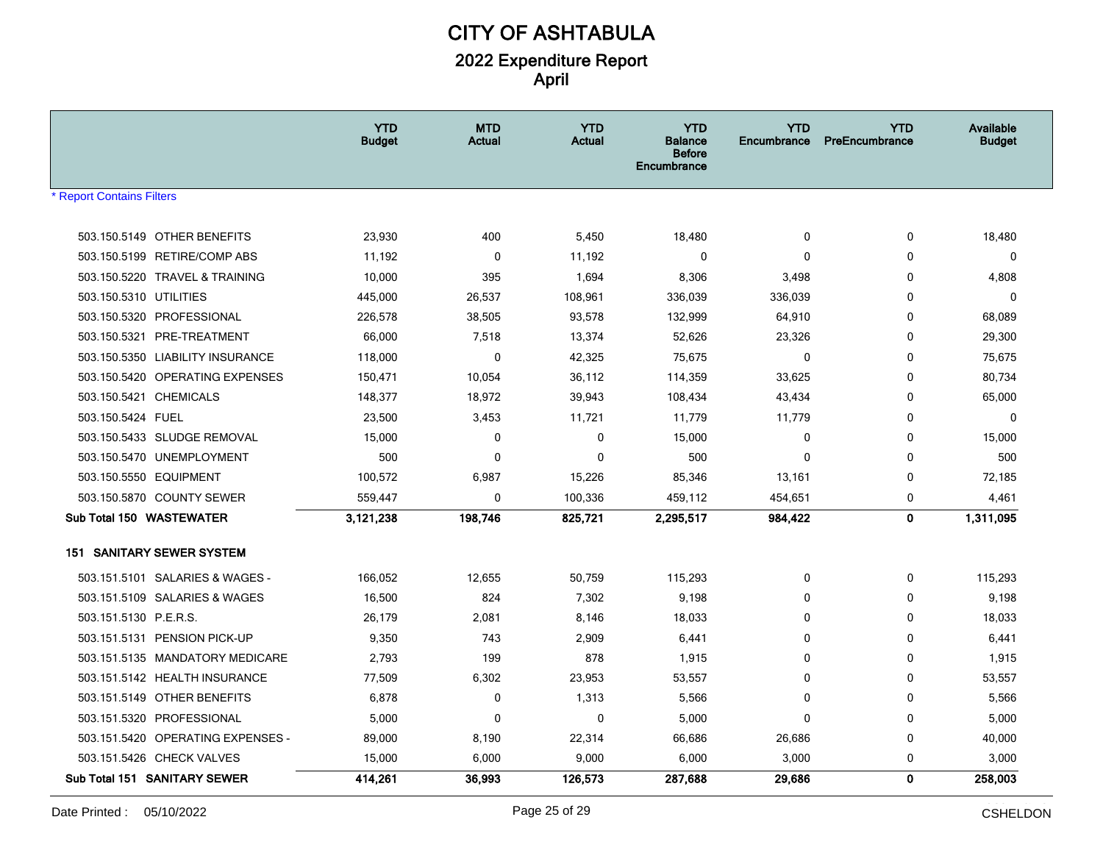|                                                                     | <b>YTD</b><br><b>Budget</b> | <b>MTD</b><br><b>Actual</b> | <b>YTD</b><br><b>Actual</b> | <b>YTD</b><br>Balance<br><b>Before</b><br>Encumbrance | <b>YTD</b><br>Encumbrance | <b>YTD</b><br>PreEncumbrance | Available<br><b>Budget</b> |
|---------------------------------------------------------------------|-----------------------------|-----------------------------|-----------------------------|-------------------------------------------------------|---------------------------|------------------------------|----------------------------|
| <b>Report Contains Filters</b>                                      |                             |                             |                             |                                                       |                           |                              |                            |
|                                                                     |                             |                             |                             |                                                       |                           |                              |                            |
| 503.150.5149 OTHER BENEFITS                                         | 23,930                      | 400                         | 5,450                       | 18,480                                                | $\mathbf 0$               | 0                            | 18,480                     |
| 503.150.5199 RETIRE/COMP ABS                                        | 11,192                      | 0                           | 11,192                      | $\Omega$                                              | 0                         | 0                            | 0                          |
| 503.150.5220 TRAVEL & TRAINING                                      | 10,000                      | 395                         | 1,694                       | 8,306                                                 | 3,498                     | 0                            | 4,808                      |
| 503.150.5310 UTILITIES                                              | 445,000                     | 26,537                      | 108,961                     | 336,039                                               | 336,039                   | 0                            | 0                          |
| 503.150.5320 PROFESSIONAL                                           | 226,578                     | 38,505<br>7,518             | 93,578<br>13,374            | 132,999                                               | 64,910                    | 0                            | 68,089                     |
| 503.150.5321 PRE-TREATMENT                                          | 66,000                      | $\mathbf 0$                 | 42,325                      | 52,626<br>75,675                                      | 23,326<br>$\mathbf 0$     | 0                            | 29,300                     |
| 503.150.5350 LIABILITY INSURANCE<br>503.150.5420 OPERATING EXPENSES | 118,000<br>150,471          | 10,054                      | 36,112                      | 114,359                                               | 33,625                    | 0<br>0                       | 75,675<br>80,734           |
| 503.150.5421 CHEMICALS                                              | 148,377                     | 18,972                      | 39,943                      | 108,434                                               | 43,434                    | 0                            | 65,000                     |
| 503.150.5424 FUEL                                                   | 23,500                      | 3,453                       | 11,721                      | 11,779                                                | 11,779                    | 0                            | 0                          |
| 503.150.5433 SLUDGE REMOVAL                                         | 15,000                      | 0                           | $\mathbf 0$                 | 15,000                                                | 0                         | 0                            | 15,000                     |
| 503.150.5470 UNEMPLOYMENT                                           | 500                         | $\mathbf 0$                 | $\mathbf 0$                 | 500                                                   | $\mathbf 0$               | 0                            | 500                        |
| 503.150.5550 EQUIPMENT                                              | 100,572                     | 6,987                       | 15,226                      | 85,346                                                | 13,161                    | 0                            | 72,185                     |
| 503.150.5870 COUNTY SEWER                                           | 559,447                     | $\mathbf 0$                 | 100,336                     | 459,112                                               | 454,651                   | 0                            | 4,461                      |
| Sub Total 150 WASTEWATER                                            | 3,121,238                   | 198,746                     | 825,721                     | 2,295,517                                             | 984,422                   | $\mathbf 0$                  | 1,311,095                  |
|                                                                     |                             |                             |                             |                                                       |                           |                              |                            |
| 151 SANITARY SEWER SYSTEM                                           |                             |                             |                             |                                                       |                           |                              |                            |
| 503.151.5101 SALARIES & WAGES -                                     | 166,052                     | 12,655                      | 50,759                      | 115,293                                               | 0                         | 0                            | 115,293                    |
| 503.151.5109 SALARIES & WAGES                                       | 16,500                      | 824                         | 7,302                       | 9,198                                                 | 0                         | 0                            | 9,198                      |
| 503.151.5130 P.E.R.S.                                               | 26,179                      | 2,081                       | 8,146                       | 18,033                                                | 0                         | 0                            | 18,033                     |
| 503.151.5131 PENSION PICK-UP                                        | 9,350                       | 743                         | 2,909                       | 6,441                                                 | 0                         | 0                            | 6,441                      |
| 503.151.5135 MANDATORY MEDICARE                                     | 2,793                       | 199                         | 878                         | 1,915                                                 | 0                         | 0                            | 1,915                      |
| 503.151.5142 HEALTH INSURANCE                                       | 77,509                      | 6,302                       | 23,953                      | 53,557                                                | $\Omega$                  | $\mathbf{0}$                 | 53,557                     |
| 503.151.5149 OTHER BENEFITS                                         | 6,878                       | 0                           | 1,313                       | 5,566                                                 | 0                         | 0                            | 5,566                      |
| 503.151.5320 PROFESSIONAL                                           | 5,000                       | $\mathbf 0$                 | $\mathbf 0$                 | 5,000                                                 | $\mathbf{0}$              | 0                            | 5,000                      |
| 503.151.5420 OPERATING EXPENSES -                                   | 89,000                      | 8,190                       | 22,314                      | 66,686                                                | 26,686                    | 0                            | 40,000                     |
| 503.151.5426 CHECK VALVES                                           | 15,000                      | 6,000                       | 9,000                       | 6,000                                                 | 3,000                     | 0                            | 3,000                      |
| Sub Total 151 SANITARY SEWER                                        | 414,261                     | 36,993                      | 126,573                     | 287,688                                               | 29,686                    | $\mathbf 0$                  | 258,003                    |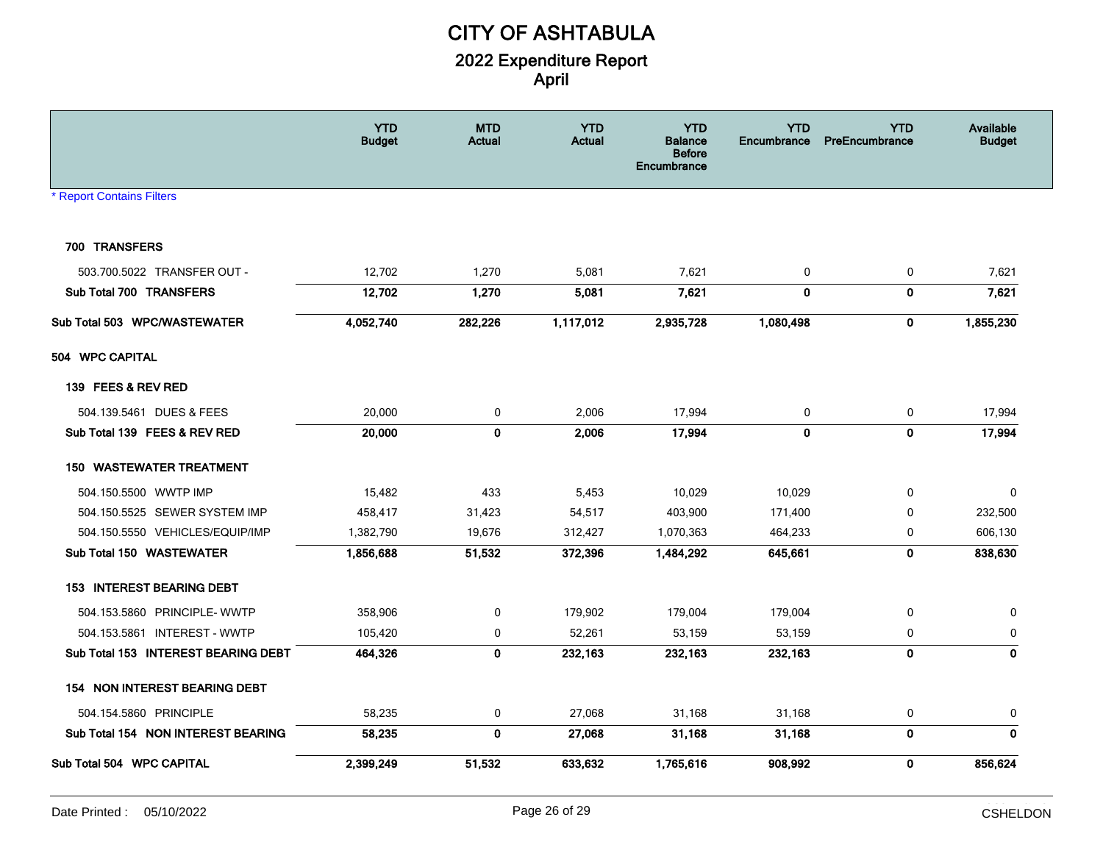|                                     | <b>YTD</b><br><b>Budget</b> | <b>MTD</b><br><b>Actual</b> | <b>YTD</b><br><b>Actual</b> | <b>YTD</b><br><b>Balance</b><br><b>Before</b><br>Encumbrance | <b>YTD</b><br>Encumbrance | <b>YTD</b><br>PreEncumbrance | Available<br><b>Budget</b> |
|-------------------------------------|-----------------------------|-----------------------------|-----------------------------|--------------------------------------------------------------|---------------------------|------------------------------|----------------------------|
| <b>Report Contains Filters</b>      |                             |                             |                             |                                                              |                           |                              |                            |
|                                     |                             |                             |                             |                                                              |                           |                              |                            |
| 700 TRANSFERS                       |                             |                             |                             |                                                              |                           |                              |                            |
| 503.700.5022 TRANSFER OUT -         | 12,702                      | 1,270                       | 5,081                       | 7,621                                                        | 0                         | $\pmb{0}$                    | 7,621                      |
| Sub Total 700 TRANSFERS             | 12,702                      | 1,270                       | 5,081                       | 7,621                                                        | $\mathbf 0$               | $\mathbf 0$                  | 7,621                      |
| Sub Total 503 WPC/WASTEWATER        | 4,052,740                   | 282,226                     | 1,117,012                   | 2,935,728                                                    | 1,080,498                 | 0                            | 1,855,230                  |
| 504 WPC CAPITAL                     |                             |                             |                             |                                                              |                           |                              |                            |
| 139 FEES & REV RED                  |                             |                             |                             |                                                              |                           |                              |                            |
| 504.139.5461 DUES & FEES            | 20,000                      | $\mathbf 0$                 | 2,006                       | 17,994                                                       | 0                         | 0                            | 17,994                     |
| Sub Total 139 FEES & REV RED        | 20,000                      | 0                           | 2,006                       | 17,994                                                       | $\mathbf 0$               | $\mathbf 0$                  | 17,994                     |
| <b>WASTEWATER TREATMENT</b><br>150  |                             |                             |                             |                                                              |                           |                              |                            |
| 504.150.5500 WWTP IMP               | 15,482                      | 433                         | 5,453                       | 10,029                                                       | 10,029                    | $\mathbf 0$                  | 0                          |
| 504.150.5525 SEWER SYSTEM IMP       | 458,417                     | 31,423                      | 54,517                      | 403,900                                                      | 171,400                   | $\mathbf 0$                  | 232,500                    |
| 504.150.5550 VEHICLES/EQUIP/IMP     | 1,382,790                   | 19,676                      | 312,427                     | 1,070,363                                                    | 464,233                   | 0                            | 606,130                    |
| Sub Total 150 WASTEWATER            | 1,856,688                   | 51,532                      | 372,396                     | 1,484,292                                                    | 645,661                   | $\mathbf 0$                  | 838,630                    |
| <b>153 INTEREST BEARING DEBT</b>    |                             |                             |                             |                                                              |                           |                              |                            |
| 504.153.5860 PRINCIPLE-WWTP         | 358,906                     | 0                           | 179,902                     | 179,004                                                      | 179,004                   | 0                            | 0                          |
| 504.153.5861 INTEREST - WWTP        | 105,420                     | $\mathbf 0$                 | 52,261                      | 53,159                                                       | 53,159                    | 0                            | $\mathbf 0$                |
| Sub Total 153 INTEREST BEARING DEBT | 464,326                     | $\mathbf 0$                 | 232,163                     | 232,163                                                      | 232,163                   | $\mathbf 0$                  | $\mathbf{0}$               |
| 154 NON INTEREST BEARING DEBT       |                             |                             |                             |                                                              |                           |                              |                            |
| 504.154.5860 PRINCIPLE              | 58,235                      | $\mathbf 0$                 | 27,068                      | 31,168                                                       | 31,168                    | 0                            | 0                          |
| Sub Total 154 NON INTEREST BEARING  | 58,235                      | $\mathbf 0$                 | 27,068                      | 31,168                                                       | 31,168                    | $\mathbf 0$                  | $\mathbf 0$                |
| Sub Total 504 WPC CAPITAL           | 2,399,249                   | 51,532                      | 633,632                     | 1,765,616                                                    | 908,992                   | $\mathbf 0$                  | 856,624                    |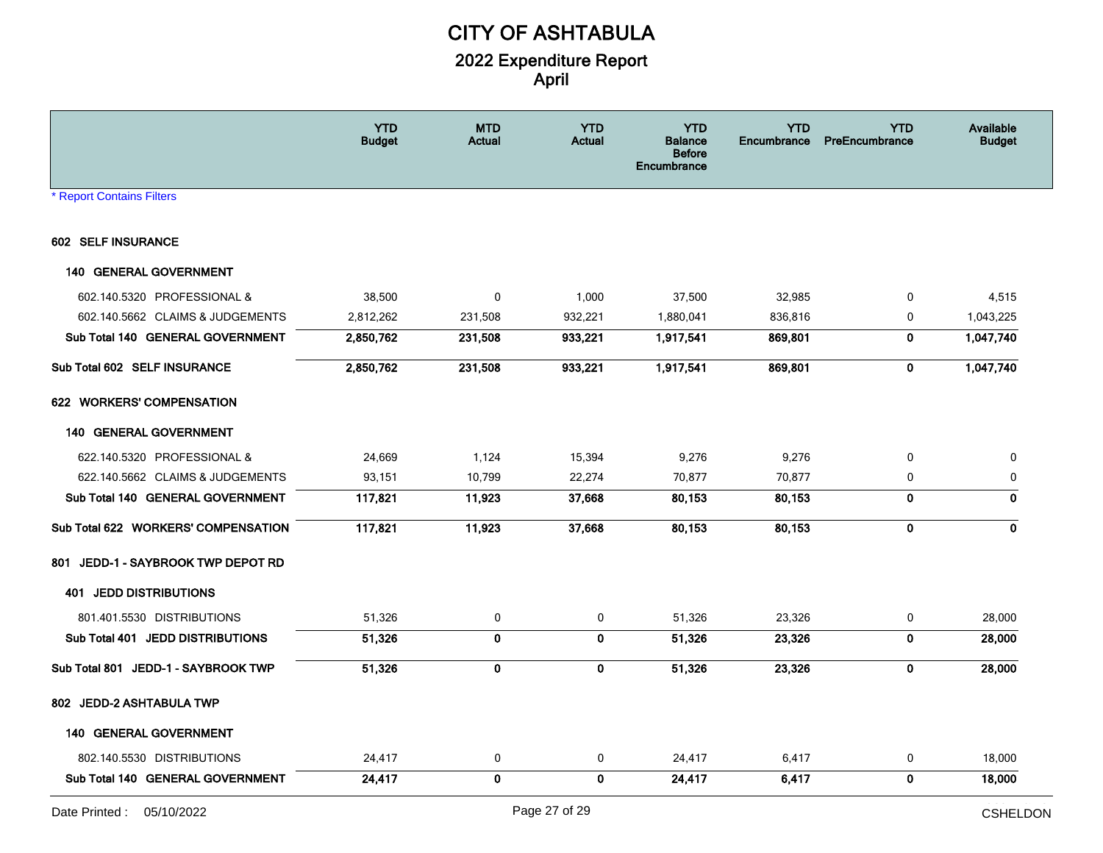|                                     | <b>YTD</b><br><b>Budget</b> | <b>MTD</b><br>Actual | <b>YTD</b><br><b>Actual</b> | <b>YTD</b><br><b>Balance</b><br><b>Before</b><br><b>Encumbrance</b> | <b>YTD</b><br><b>Encumbrance</b> | <b>YTD</b><br><b>PreEncumbrance</b> | Available<br><b>Budget</b> |
|-------------------------------------|-----------------------------|----------------------|-----------------------------|---------------------------------------------------------------------|----------------------------------|-------------------------------------|----------------------------|
| <b>* Report Contains Filters</b>    |                             |                      |                             |                                                                     |                                  |                                     |                            |
| 602 SELF INSURANCE                  |                             |                      |                             |                                                                     |                                  |                                     |                            |
| <b>140 GENERAL GOVERNMENT</b>       |                             |                      |                             |                                                                     |                                  |                                     |                            |
| 602.140.5320 PROFESSIONAL &         | 38,500                      | 0                    | 1,000                       | 37,500                                                              | 32,985                           | 0                                   | 4,515                      |
| 602.140.5662 CLAIMS & JUDGEMENTS    | 2,812,262                   | 231,508              | 932,221                     | 1,880,041                                                           | 836,816                          | 0                                   | 1,043,225                  |
| Sub Total 140 GENERAL GOVERNMENT    | 2,850,762                   | 231,508              | 933,221                     | 1,917,541                                                           | 869,801                          | $\mathbf 0$                         | 1,047,740                  |
| Sub Total 602 SELF INSURANCE        | 2,850,762                   | 231,508              | 933,221                     | 1,917,541                                                           | 869,801                          | 0                                   | 1,047,740                  |
| 622 WORKERS' COMPENSATION           |                             |                      |                             |                                                                     |                                  |                                     |                            |
| 140 GENERAL GOVERNMENT              |                             |                      |                             |                                                                     |                                  |                                     |                            |
| 622.140.5320 PROFESSIONAL &         | 24,669                      | 1,124                | 15,394                      | 9,276                                                               | 9,276                            | 0                                   | 0                          |
| 622.140.5662 CLAIMS & JUDGEMENTS    | 93,151                      | 10,799               | 22,274                      | 70,877                                                              | 70,877                           | 0                                   | 0                          |
| Sub Total 140 GENERAL GOVERNMENT    | 117,821                     | 11,923               | 37,668                      | 80,153                                                              | 80,153                           | $\mathbf 0$                         | 0                          |
| Sub Total 622 WORKERS' COMPENSATION | 117,821                     | 11,923               | 37,668                      | 80,153                                                              | 80,153                           | 0                                   | 0                          |
| 801 JEDD-1 - SAYBROOK TWP DEPOT RD  |                             |                      |                             |                                                                     |                                  |                                     |                            |
| <b>401 JEDD DISTRIBUTIONS</b>       |                             |                      |                             |                                                                     |                                  |                                     |                            |
| 801.401.5530 DISTRIBUTIONS          | 51,326                      | 0                    | 0                           | 51,326                                                              | 23,326                           | 0                                   | 28,000                     |
| Sub Total 401 JEDD DISTRIBUTIONS    | 51,326                      | $\mathbf 0$          | $\mathbf{0}$                | 51,326                                                              | 23,326                           | 0                                   | 28,000                     |
| Sub Total 801 JEDD-1 - SAYBROOK TWP | 51,326                      | $\mathbf 0$          | 0                           | 51,326                                                              | 23,326                           | $\mathbf 0$                         | 28,000                     |
| 802 JEDD-2 ASHTABULA TWP            |                             |                      |                             |                                                                     |                                  |                                     |                            |
| <b>140 GENERAL GOVERNMENT</b>       |                             |                      |                             |                                                                     |                                  |                                     |                            |
| 802.140.5530 DISTRIBUTIONS          | 24,417                      | 0                    | 0                           | 24,417                                                              | 6,417                            | 0                                   | 18,000                     |
| Sub Total 140 GENERAL GOVERNMENT    | 24,417                      | 0                    | 0                           | 24,417                                                              | 6,417                            | $\mathbf 0$                         | 18,000                     |
|                                     |                             |                      |                             |                                                                     |                                  |                                     | المتنصب والممالي           |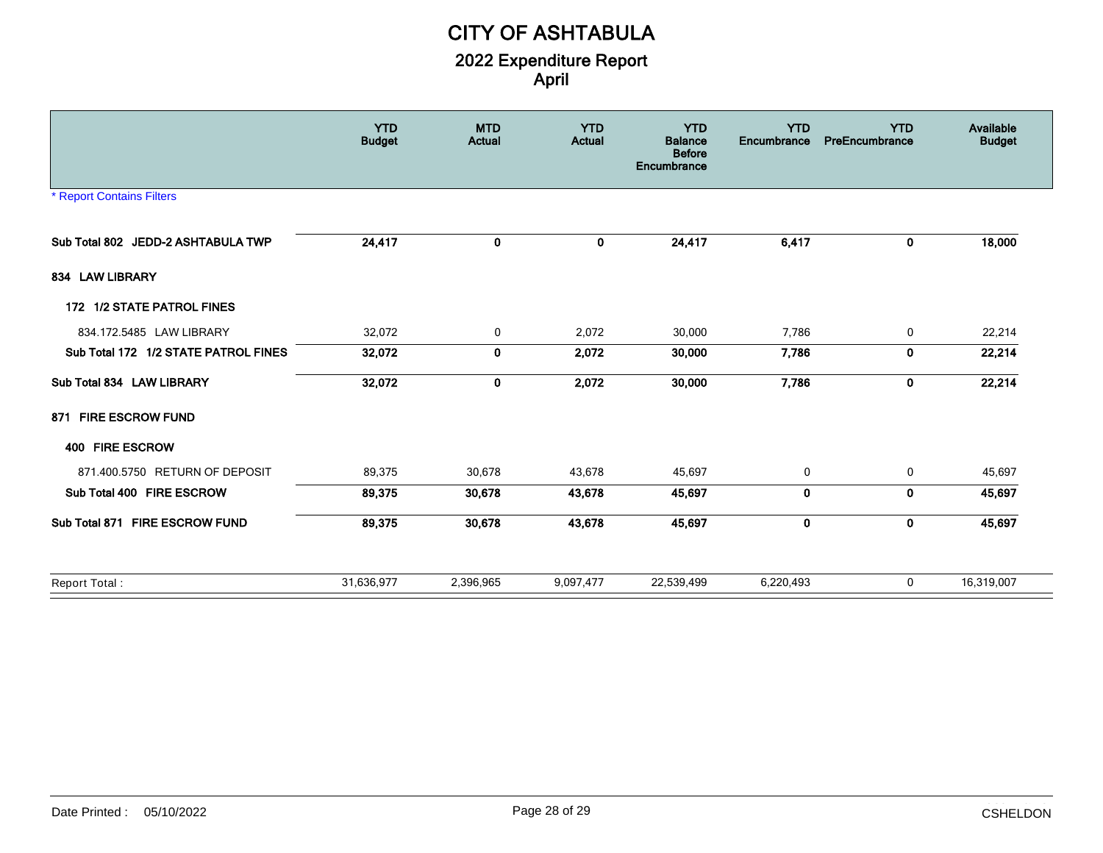|                                      | <b>YTD</b><br><b>Budget</b> | <b>MTD</b><br><b>Actual</b> | <b>YTD</b><br><b>Actual</b> | <b>YTD</b><br><b>Balance</b><br><b>Before</b><br>Encumbrance | <b>YTD</b><br>Encumbrance | <b>YTD</b><br>PreEncumbrance | Available<br><b>Budget</b> |
|--------------------------------------|-----------------------------|-----------------------------|-----------------------------|--------------------------------------------------------------|---------------------------|------------------------------|----------------------------|
| <b>* Report Contains Filters</b>     |                             |                             |                             |                                                              |                           |                              |                            |
| Sub Total 802 JEDD-2 ASHTABULA TWP   | 24,417                      | 0                           | 0                           | 24,417                                                       | 6,417                     | 0                            | 18,000                     |
| 834 LAW LIBRARY                      |                             |                             |                             |                                                              |                           |                              |                            |
| 172 1/2 STATE PATROL FINES           |                             |                             |                             |                                                              |                           |                              |                            |
| 834.172.5485 LAW LIBRARY             | 32,072                      | 0                           | 2,072                       | 30,000                                                       | 7,786                     | 0                            | 22,214                     |
| Sub Total 172 1/2 STATE PATROL FINES | 32,072                      | 0                           | 2,072                       | 30,000                                                       | 7,786                     | 0                            | 22,214                     |
| Sub Total 834 LAW LIBRARY            | 32,072                      | $\mathbf{0}$                | 2,072                       | 30,000                                                       | 7,786                     | $\mathbf{0}$                 | 22,214                     |
| 871 FIRE ESCROW FUND                 |                             |                             |                             |                                                              |                           |                              |                            |
| 400 FIRE ESCROW                      |                             |                             |                             |                                                              |                           |                              |                            |
| 871.400.5750 RETURN OF DEPOSIT       | 89,375                      | 30,678                      | 43,678                      | 45,697                                                       | 0                         | 0                            | 45,697                     |
| Sub Total 400 FIRE ESCROW            | 89,375                      | 30,678                      | 43,678                      | 45,697                                                       | 0                         | 0                            | 45,697                     |
| Sub Total 871 FIRE ESCROW FUND       | 89,375                      | 30,678                      | 43,678                      | 45,697                                                       | 0                         | $\mathbf 0$                  | 45,697                     |
| Report Total:                        | 31,636,977                  | 2,396,965                   | 9,097,477                   | 22,539,499                                                   | 6,220,493                 | 0                            | 16,319,007                 |